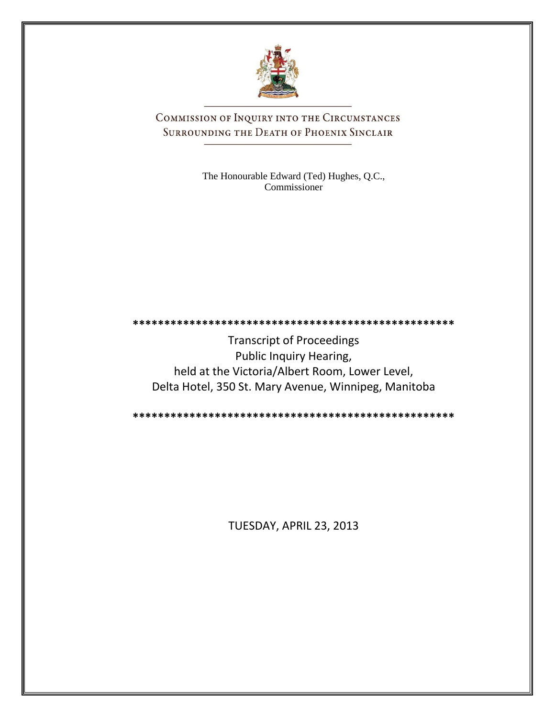

COMMISSION OF INQUIRY INTO THE CIRCUMSTANCES SURROUNDING THE DEATH OF PHOENIX SINCLAIR

> The Honourable Edward (Ted) Hughes, Q.C., Commissioner

**\*\*\*\*\*\*\*\*\*\*\*\*\*\*\*\*\*\*\*\*\*\*\*\*\*\*\*\*\*\*\*\*\*\*\*\*\*\*\*\*\*\*\*\*\*\*\*\*\*\*\***

Transcript of Proceedings Public Inquiry Hearing, held at the Victoria/Albert Room, Lower Level, Delta Hotel, 350 St. Mary Avenue, Winnipeg, Manitoba

**\*\*\*\*\*\*\*\*\*\*\*\*\*\*\*\*\*\*\*\*\*\*\*\*\*\*\*\*\*\*\*\*\*\*\*\*\*\*\*\*\*\*\*\*\*\*\*\*\*\*\***

TUESDAY, APRIL 23, 2013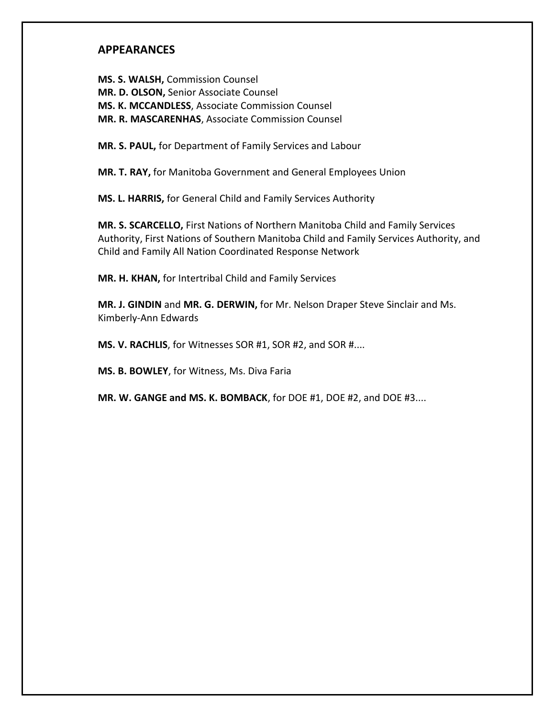### **APPEARANCES**

**MS. S. WALSH,** Commission Counsel **MR. D. OLSON,** Senior Associate Counsel **MS. K. MCCANDLESS**, Associate Commission Counsel **MR. R. MASCARENHAS**, Associate Commission Counsel

**MR. S. PAUL,** for Department of Family Services and Labour

**MR. T. RAY,** for Manitoba Government and General Employees Union

**MS. L. HARRIS,** for General Child and Family Services Authority

**MR. S. SCARCELLO,** First Nations of Northern Manitoba Child and Family Services Authority, First Nations of Southern Manitoba Child and Family Services Authority, and Child and Family All Nation Coordinated Response Network

**MR. H. KHAN,** for Intertribal Child and Family Services

**MR. J. GINDIN** and **MR. G. DERWIN,** for Mr. Nelson Draper Steve Sinclair and Ms. Kimberly-Ann Edwards

**MS. V. RACHLIS**, for Witnesses SOR #1, SOR #2, and SOR #....

**MS. B. BOWLEY**, for Witness, Ms. Diva Faria

**MR. W. GANGE and MS. K. BOMBACK**, for DOE #1, DOE #2, and DOE #3....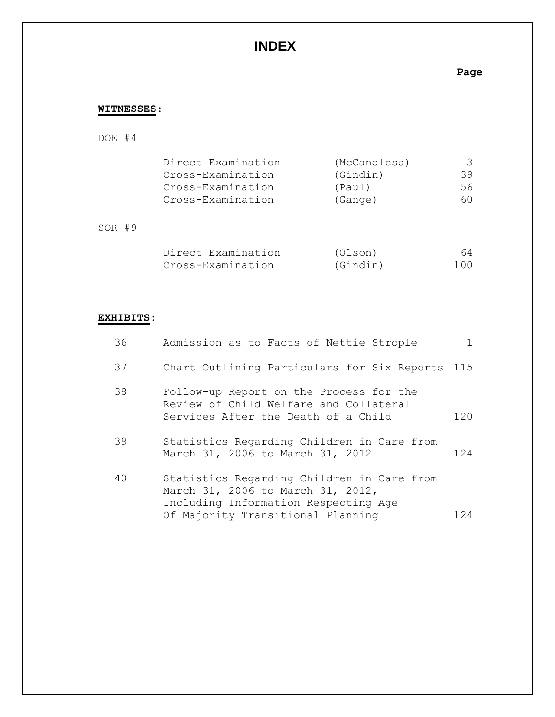# **INDEX**

### **Page**

### **WITNESSES**:

## DOE #4

| Direct Examination | (McCandless) |    |
|--------------------|--------------|----|
| Cross-Examination  | (Gindin)     | 39 |
| Cross-Examination  | (Paul)       | 56 |
| Cross-Examination  | (Gange)      | 60 |

### SOR #9

| Direct Examination | (Olson)  | 64  |
|--------------------|----------|-----|
| Cross-Examination  | (Gindin) | 100 |

#### **EXHIBITS**:

| 36 | Admission as to Facts of Nettie Strople                                                                                  | $\mathbf{1}$ |
|----|--------------------------------------------------------------------------------------------------------------------------|--------------|
| 37 | Chart Outlining Particulars for Six Reports 115                                                                          |              |
| 38 | Follow-up Report on the Process for the<br>Review of Child Welfare and Collateral<br>Services After the Death of a Child | 120          |
| 39 | Statistics Regarding Children in Care from<br>March 31, 2006 to March 31, 2012                                           | 12.4         |
| 40 | Statistics Regarding Children in Care from<br>March 31, 2006 to March 31, 2012,<br>Including Information Respecting Age  |              |
|    | Of Majority Transitional Planning                                                                                        | 124          |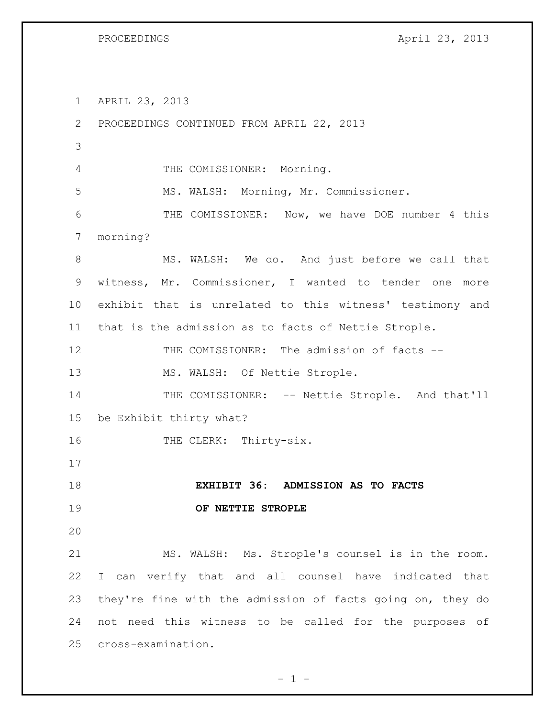PROCEEDINGS April 23, 2013

 APRIL 23, 2013 PROCEEDINGS CONTINUED FROM APRIL 22, 2013

THE COMISSIONER: Morning.

MS. WALSH: Morning, Mr. Commissioner.

 THE COMISSIONER: Now, we have DOE number 4 this morning?

 MS. WALSH: We do. And just before we call that witness, Mr. Commissioner, I wanted to tender one more exhibit that is unrelated to this witness' testimony and that is the admission as to facts of Nettie Strople.

 THE COMISSIONER: The admission of facts -- 13 MS. WALSH: Of Nettie Strople.

14 THE COMISSIONER: -- Nettie Strople. And that'll be Exhibit thirty what?

16 THE CLERK: Thirty-six.

 **EXHIBIT 36: ADMISSION AS TO FACTS OF NETTIE STROPLE**

 MS. WALSH: Ms. Strople's counsel is in the room. I can verify that and all counsel have indicated that they're fine with the admission of facts going on, they do not need this witness to be called for the purposes of cross-examination.

 $- 1 -$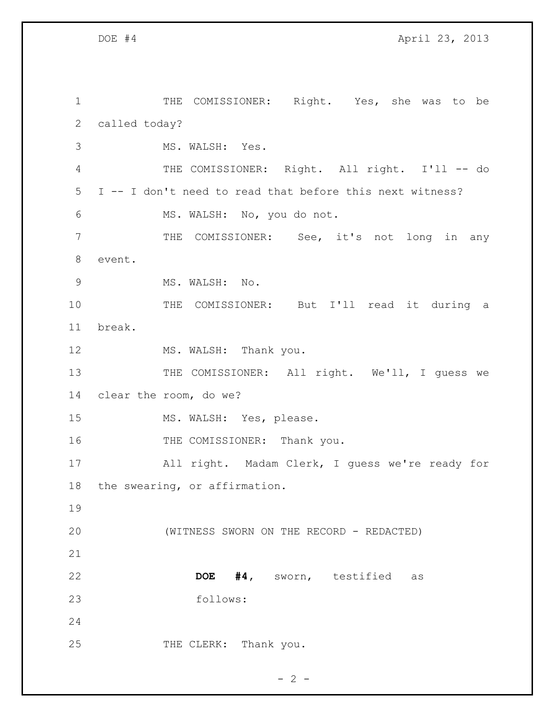1 THE COMISSIONER: Right. Yes, she was to be called today? MS. WALSH: Yes. THE COMISSIONER: Right. All right. I'll -- do I -- I don't need to read that before this next witness? MS. WALSH: No, you do not. THE COMISSIONER: See, it's not long in any event. 9 MS. WALSH: No. THE COMISSIONER: But I'll read it during a break. 12 MS. WALSH: Thank you. 13 THE COMISSIONER: All right. We'll, I guess we clear the room, do we? 15 MS. WALSH: Yes, please. 16 THE COMISSIONER: Thank you. All right. Madam Clerk, I guess we're ready for the swearing, or affirmation. (WITNESS SWORN ON THE RECORD - REDACTED) **DOE #4,** sworn, testified as follows: 25 THE CLERK: Thank you.

 $- 2 -$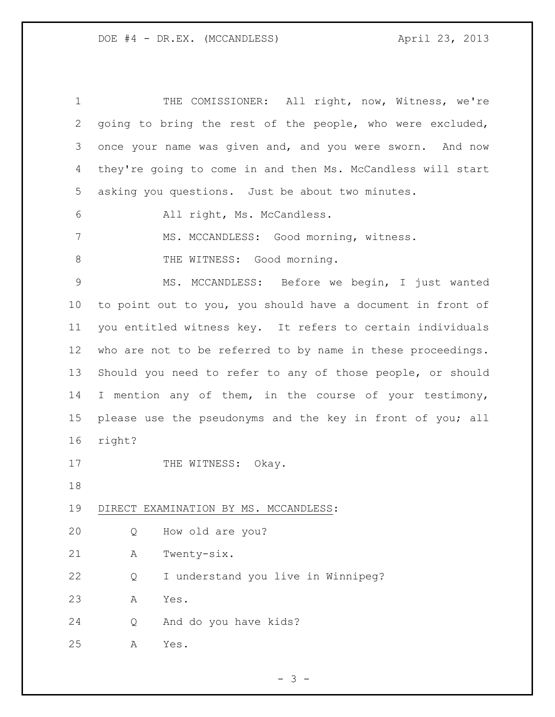| $\mathbf 1$  |        | THE COMISSIONER: All right, now, Witness, we're             |
|--------------|--------|-------------------------------------------------------------|
| $\mathbf{2}$ |        | going to bring the rest of the people, who were excluded,   |
| 3            |        | once your name was given and, and you were sworn. And now   |
| 4            |        | they're going to come in and then Ms. McCandless will start |
| 5            |        | asking you questions. Just be about two minutes.            |
| 6            |        | All right, Ms. McCandless.                                  |
| 7            |        | MS. MCCANDLESS: Good morning, witness.                      |
| $\,8\,$      |        | THE WITNESS: Good morning.                                  |
| $\mathsf 9$  |        | MS. MCCANDLESS: Before we begin, I just wanted              |
| 10           |        | to point out to you, you should have a document in front of |
| 11           |        | you entitled witness key. It refers to certain individuals  |
| 12           |        | who are not to be referred to by name in these proceedings. |
| 13           |        | Should you need to refer to any of those people, or should  |
| 14           |        | I mention any of them, in the course of your testimony,     |
| 15           |        | please use the pseudonyms and the key in front of you; all  |
| 16           | right? |                                                             |
| 17           |        | THE WITNESS:<br>Okay.                                       |
| 18           |        |                                                             |
| 19           |        | DIRECT EXAMINATION BY MS. MCCANDLESS:                       |
| 20           | Q      | How old are you?                                            |
| 21           | Α      | Twenty-six.                                                 |
| 22           | Q      | I understand you live in Winnipeg?                          |
| 23           | Α      | Yes.                                                        |
| 24           | Q      | And do you have kids?                                       |
| 25           | Α      | Yes.                                                        |

- 3 -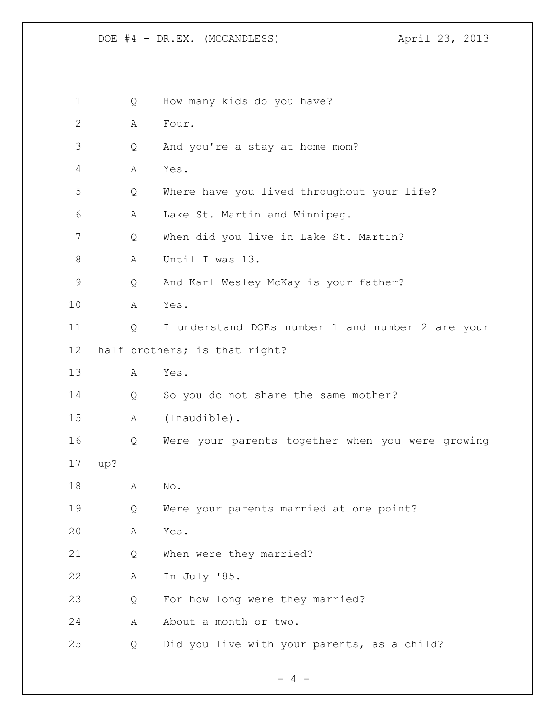Q How many kids do you have? A Four. Q And you're a stay at home mom? A Yes. Q Where have you lived throughout your life? A Lake St. Martin and Winnipeg. Q When did you live in Lake St. Martin? A Until I was 13. Q And Karl Wesley McKay is your father? A Yes. Q I understand DOEs number 1 and number 2 are your half brothers; is that right? A Yes. Q So you do not share the same mother? A (Inaudible). Q Were your parents together when you were growing up? A No. Q Were your parents married at one point? A Yes. Q When were they married? A In July '85. Q For how long were they married? A About a month or two. Q Did you live with your parents, as a child?

 $- 4 -$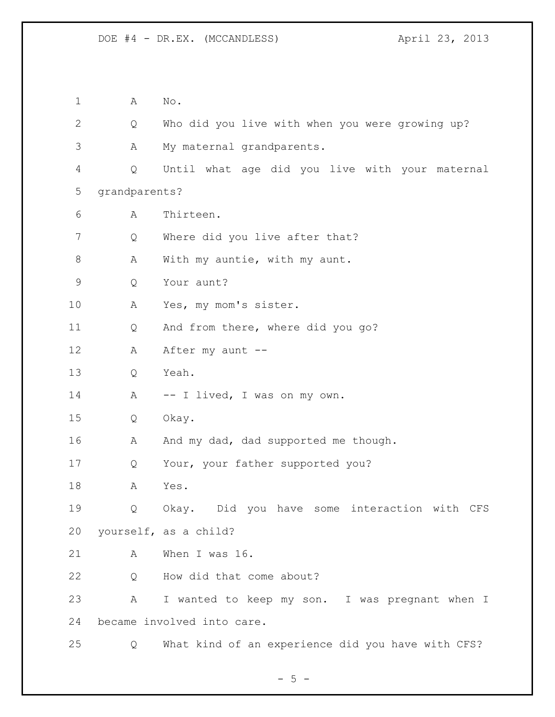A No. Q Who did you live with when you were growing up? A My maternal grandparents. Q Until what age did you live with your maternal grandparents? A Thirteen. 7 Q Where did you live after that? 8 A With my auntie, with my aunt. Q Your aunt? A Yes, my mom's sister. Q And from there, where did you go? 12 A After my aunt -- Q Yeah. 14 A -- I lived, I was on my own. Q Okay. 16 A And my dad, dad supported me though. Q Your, your father supported you? A Yes. Q Okay. Did you have some interaction with CFS yourself, as a child? A When I was 16. Q How did that come about? A I wanted to keep my son. I was pregnant when I became involved into care. Q What kind of an experience did you have with CFS?

 $- 5 -$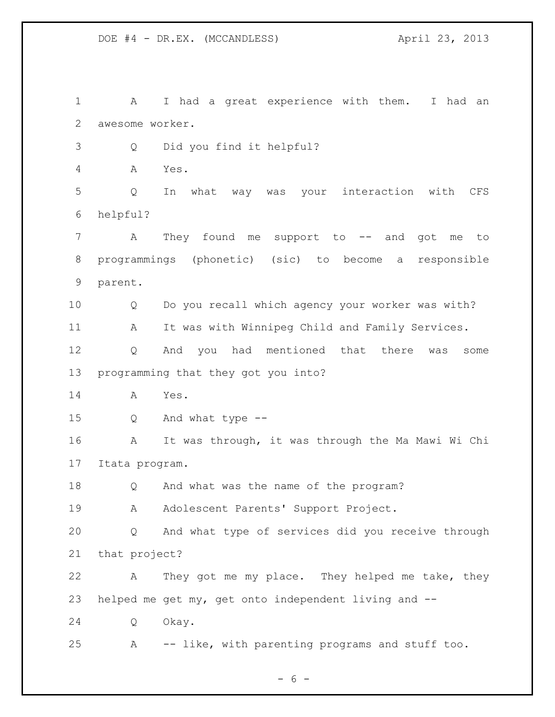A I had a great experience with them. I had an awesome worker. Q Did you find it helpful? A Yes. Q In what way was your interaction with CFS helpful? 7 A They found me support to -- and got me to programmings (phonetic) (sic) to become a responsible parent. Q Do you recall which agency your worker was with? A It was with Winnipeg Child and Family Services. Q And you had mentioned that there was some programming that they got you into? A Yes. Q And what type -- A It was through, it was through the Ma Mawi Wi Chi Itata program. Q And what was the name of the program? A Adolescent Parents' Support Project. Q And what type of services did you receive through that project? A They got me my place. They helped me take, they helped me get my, get onto independent living and -- Q Okay. A -- like, with parenting programs and stuff too.

 $- 6 -$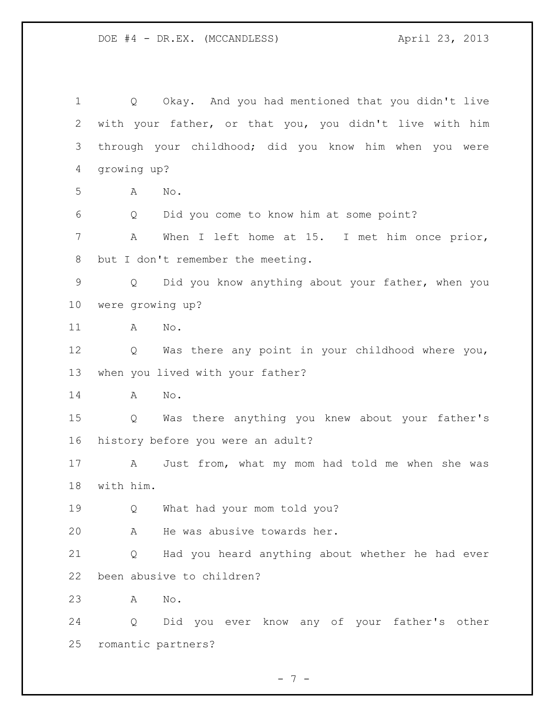Q Okay. And you had mentioned that you didn't live with your father, or that you, you didn't live with him through your childhood; did you know him when you were growing up? A No. Q Did you come to know him at some point? A When I left home at 15. I met him once prior, 8 but I don't remember the meeting. Q Did you know anything about your father, when you were growing up? A No. Q Was there any point in your childhood where you, when you lived with your father? A No. Q Was there anything you knew about your father's history before you were an adult? A Just from, what my mom had told me when she was with him. Q What had your mom told you? A He was abusive towards her. Q Had you heard anything about whether he had ever been abusive to children? A No. Q Did you ever know any of your father's other romantic partners?

- 7 -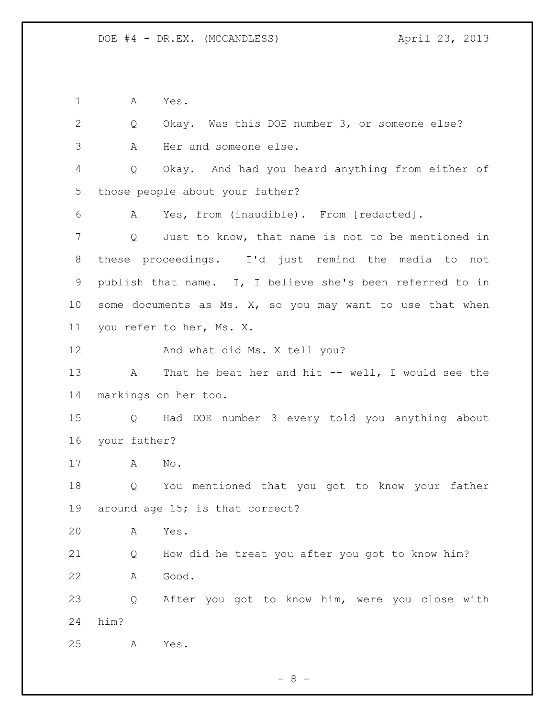A Yes.

 Q Okay. Was this DOE number 3, or someone else? A Her and someone else. Q Okay. And had you heard anything from either of those people about your father? A Yes, from (inaudible). From [redacted]. Q Just to know, that name is not to be mentioned in these proceedings. I'd just remind the media to not publish that name. I, I believe she's been referred to in some documents as Ms. X, so you may want to use that when you refer to her, Ms. X. And what did Ms. X tell you? 13 A That he beat her and hit -- well, I would see the markings on her too. Q Had DOE number 3 every told you anything about your father? A No. Q You mentioned that you got to know your father around age 15; is that correct? A Yes. Q How did he treat you after you got to know him? A Good. Q After you got to know him, were you close with him? A Yes.

 $- 8 -$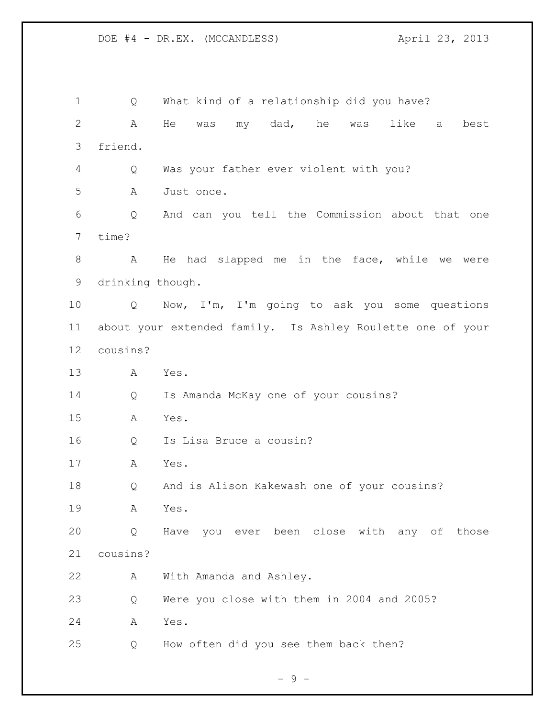Q What kind of a relationship did you have? A He was my dad, he was like a best friend. Q Was your father ever violent with you? A Just once. Q And can you tell the Commission about that one time? A He had slapped me in the face, while we were drinking though. Q Now, I'm, I'm going to ask you some questions about your extended family. Is Ashley Roulette one of your cousins? A Yes. Q Is Amanda McKay one of your cousins? A Yes. Q Is Lisa Bruce a cousin? A Yes. Q And is Alison Kakewash one of your cousins? A Yes. Q Have you ever been close with any of those cousins? A With Amanda and Ashley. Q Were you close with them in 2004 and 2005? A Yes. Q How often did you see them back then?

- 9 -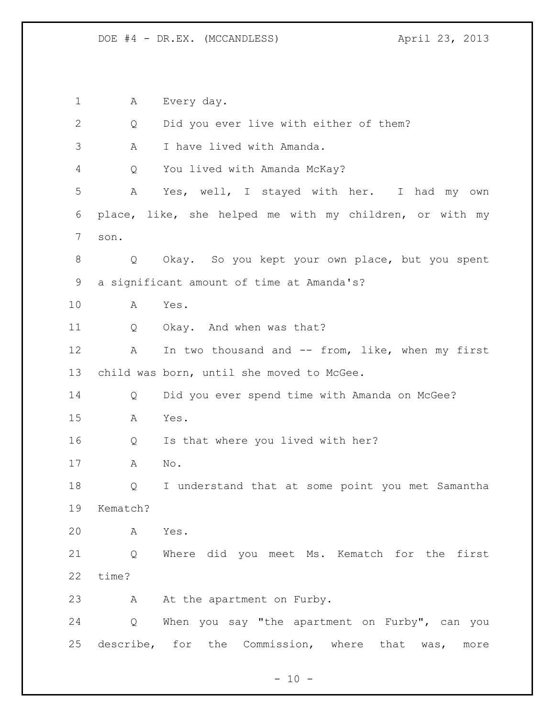A Every day. Q Did you ever live with either of them? A I have lived with Amanda. Q You lived with Amanda McKay? A Yes, well, I stayed with her. I had my own place, like, she helped me with my children, or with my son. Q Okay. So you kept your own place, but you spent a significant amount of time at Amanda's? A Yes. Q Okay. And when was that? 12 A In two thousand and -- from, like, when my first child was born, until she moved to McGee. Q Did you ever spend time with Amanda on McGee? A Yes. Q Is that where you lived with her? A No. Q I understand that at some point you met Samantha Kematch? A Yes. Q Where did you meet Ms. Kematch for the first time? 23 A At the apartment on Furby. Q When you say "the apartment on Furby", can you describe, for the Commission, where that was, more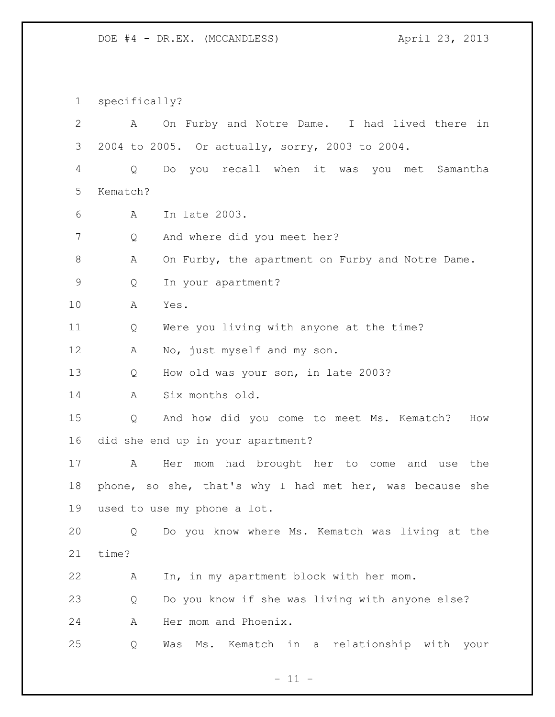specifically? A On Furby and Notre Dame. I had lived there in 2004 to 2005. Or actually, sorry, 2003 to 2004. Q Do you recall when it was you met Samantha Kematch? A In late 2003. Q And where did you meet her? A On Furby, the apartment on Furby and Notre Dame. Q In your apartment? A Yes. Q Were you living with anyone at the time? 12 A No, just myself and my son. Q How old was your son, in late 2003? A Six months old. Q And how did you come to meet Ms. Kematch? How did she end up in your apartment? A Her mom had brought her to come and use the phone, so she, that's why I had met her, was because she used to use my phone a lot. Q Do you know where Ms. Kematch was living at the time? A In, in my apartment block with her mom. Q Do you know if she was living with anyone else? A Her mom and Phoenix. Q Was Ms. Kematch in a relationship with your

 $- 11 -$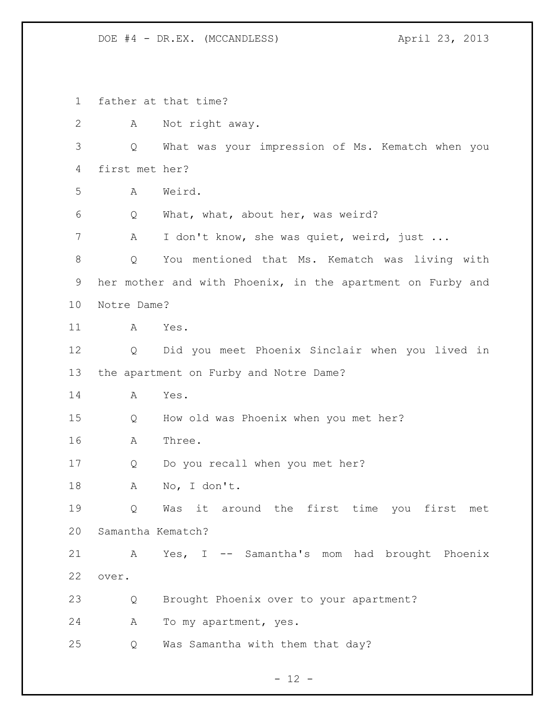father at that time? A Not right away. Q What was your impression of Ms. Kematch when you first met her? A Weird. Q What, what, about her, was weird? A I don't know, she was quiet, weird, just ... Q You mentioned that Ms. Kematch was living with her mother and with Phoenix, in the apartment on Furby and Notre Dame? A Yes. Q Did you meet Phoenix Sinclair when you lived in the apartment on Furby and Notre Dame? A Yes. Q How old was Phoenix when you met her? A Three. Q Do you recall when you met her? A No, I don't. Q Was it around the first time you first met Samantha Kematch? A Yes, I -- Samantha's mom had brought Phoenix over. Q Brought Phoenix over to your apartment? A To my apartment, yes. Q Was Samantha with them that day?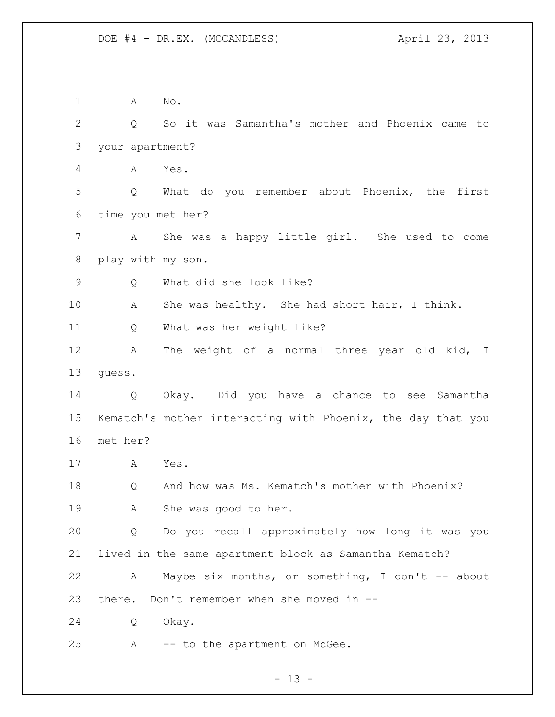A No. Q So it was Samantha's mother and Phoenix came to your apartment? A Yes. Q What do you remember about Phoenix, the first time you met her? A She was a happy little girl. She used to come play with my son. Q What did she look like? A She was healthy. She had short hair, I think. Q What was her weight like? A The weight of a normal three year old kid, I guess. Q Okay. Did you have a chance to see Samantha Kematch's mother interacting with Phoenix, the day that you met her? A Yes. Q And how was Ms. Kematch's mother with Phoenix? A She was good to her. Q Do you recall approximately how long it was you lived in the same apartment block as Samantha Kematch? 22 A Maybe six months, or something, I don't -- about there. Don't remember when she moved in -- Q Okay. A -- to the apartment on McGee.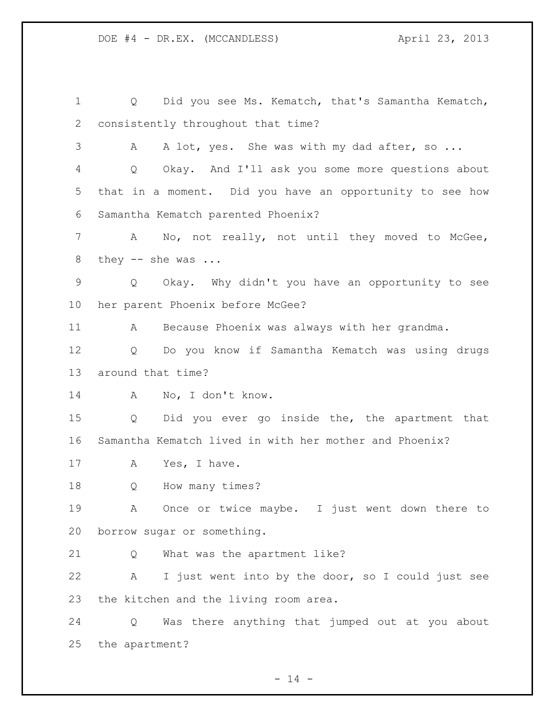Q Did you see Ms. Kematch, that's Samantha Kematch, consistently throughout that time? 3 A A lot, yes. She was with my dad after, so ... Q Okay. And I'll ask you some more questions about that in a moment. Did you have an opportunity to see how Samantha Kematch parented Phoenix? A No, not really, not until they moved to McGee, 8 they -- she was ... Q Okay. Why didn't you have an opportunity to see her parent Phoenix before McGee? A Because Phoenix was always with her grandma. Q Do you know if Samantha Kematch was using drugs around that time? A No, I don't know. Q Did you ever go inside the, the apartment that Samantha Kematch lived in with her mother and Phoenix? 17 A Yes, I have. Q How many times? A Once or twice maybe. I just went down there to borrow sugar or something. Q What was the apartment like? A I just went into by the door, so I could just see the kitchen and the living room area. Q Was there anything that jumped out at you about the apartment?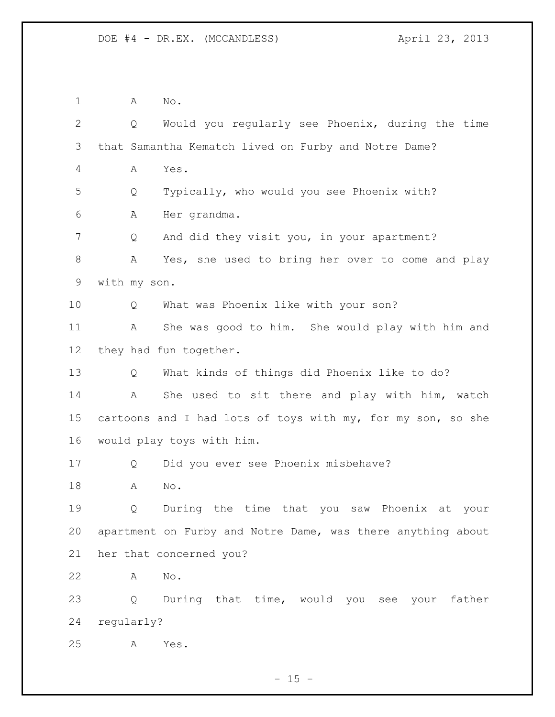A No. Q Would you regularly see Phoenix, during the time that Samantha Kematch lived on Furby and Notre Dame? A Yes. Q Typically, who would you see Phoenix with? A Her grandma. 7 Q And did they visit you, in your apartment? A Yes, she used to bring her over to come and play with my son. Q What was Phoenix like with your son? A She was good to him. She would play with him and they had fun together. Q What kinds of things did Phoenix like to do? A She used to sit there and play with him, watch 15 cartoons and I had lots of toys with my, for my son, so she would play toys with him. Q Did you ever see Phoenix misbehave? A No. Q During the time that you saw Phoenix at your apartment on Furby and Notre Dame, was there anything about her that concerned you? A No. Q During that time, would you see your father regularly? A Yes.

 $- 15 -$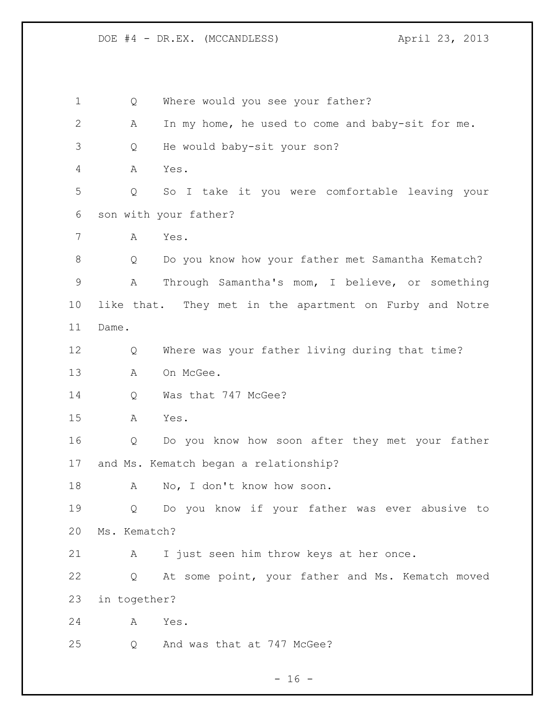Q Where would you see your father? A In my home, he used to come and baby-sit for me. Q He would baby-sit your son? A Yes. Q So I take it you were comfortable leaving your son with your father? A Yes. Q Do you know how your father met Samantha Kematch? A Through Samantha's mom, I believe, or something like that. They met in the apartment on Furby and Notre Dame. Q Where was your father living during that time? 13 A On McGee. 14 Q Was that 747 McGee? A Yes. Q Do you know how soon after they met your father and Ms. Kematch began a relationship? 18 A No, I don't know how soon. Q Do you know if your father was ever abusive to Ms. Kematch? A I just seen him throw keys at her once. Q At some point, your father and Ms. Kematch moved in together? A Yes. Q And was that at 747 McGee?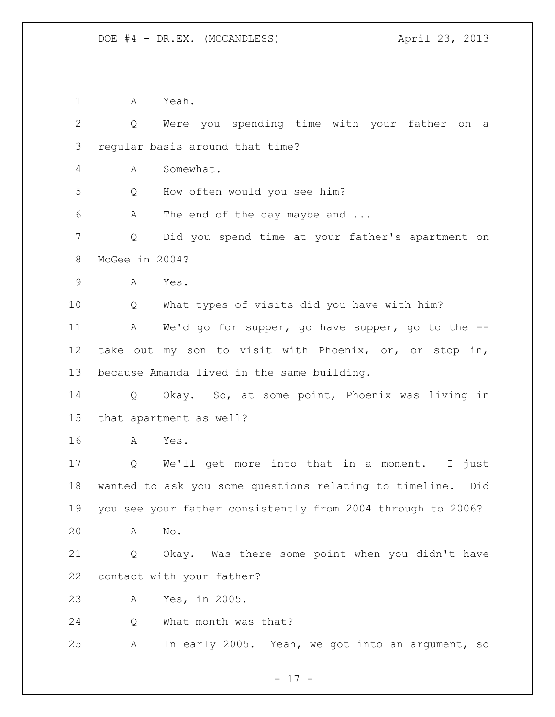A Yeah. Q Were you spending time with your father on a regular basis around that time? A Somewhat. Q How often would you see him? A The end of the day maybe and ... Q Did you spend time at your father's apartment on McGee in 2004? A Yes. Q What types of visits did you have with him? 11 A We'd go for supper, go have supper, go to the -- take out my son to visit with Phoenix, or, or stop in, because Amanda lived in the same building. Q Okay. So, at some point, Phoenix was living in that apartment as well? A Yes. Q We'll get more into that in a moment. I just wanted to ask you some questions relating to timeline. Did you see your father consistently from 2004 through to 2006? A No. Q Okay. Was there some point when you didn't have contact with your father? A Yes, in 2005. Q What month was that? A In early 2005. Yeah, we got into an argument, so

- 17 -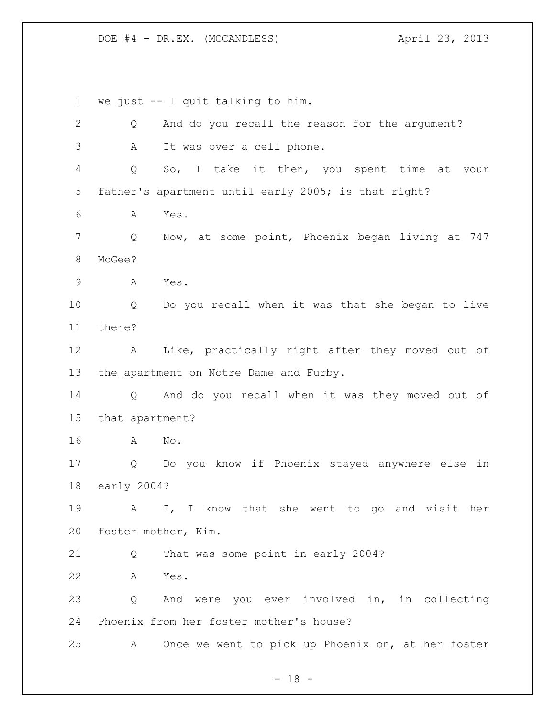we just -- I quit talking to him. Q And do you recall the reason for the argument? A It was over a cell phone. Q So, I take it then, you spent time at your father's apartment until early 2005; is that right? A Yes. Q Now, at some point, Phoenix began living at 747 McGee? A Yes. Q Do you recall when it was that she began to live there? A Like, practically right after they moved out of the apartment on Notre Dame and Furby. Q And do you recall when it was they moved out of that apartment? A No. Q Do you know if Phoenix stayed anywhere else in early 2004? A I, I know that she went to go and visit her foster mother, Kim. Q That was some point in early 2004? A Yes. Q And were you ever involved in, in collecting Phoenix from her foster mother's house? A Once we went to pick up Phoenix on, at her foster

 $- 18 -$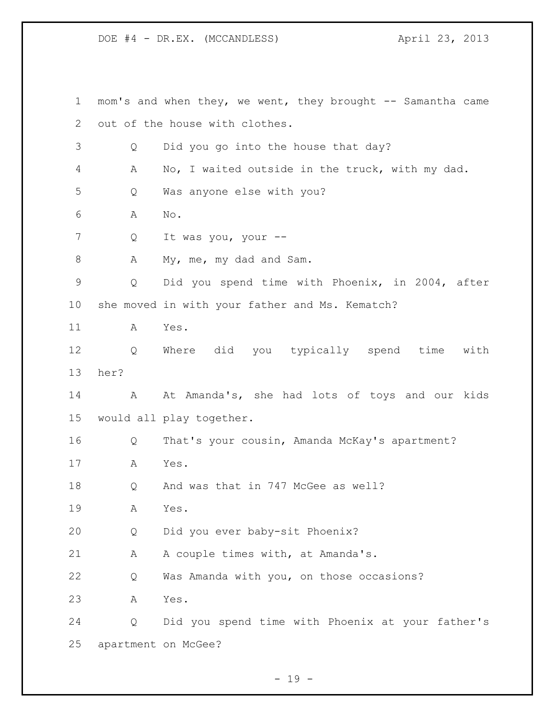mom's and when they, we went, they brought -- Samantha came out of the house with clothes. Q Did you go into the house that day? A No, I waited outside in the truck, with my dad. Q Was anyone else with you? A No. Q It was you, your -- 8 A My, me, my dad and Sam. Q Did you spend time with Phoenix, in 2004, after she moved in with your father and Ms. Kematch? A Yes. Q Where did you typically spend time with her? 14 A At Amanda's, she had lots of toys and our kids would all play together. Q That's your cousin, Amanda McKay's apartment? A Yes. 18 Q And was that in 747 McGee as well? A Yes. Q Did you ever baby-sit Phoenix? 21 A A couple times with, at Amanda's. Q Was Amanda with you, on those occasions? A Yes. Q Did you spend time with Phoenix at your father's apartment on McGee?

- 19 -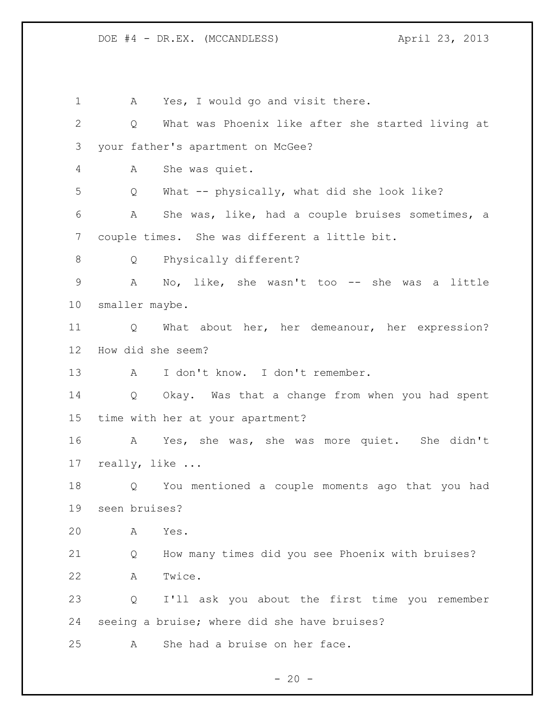1 A Yes, I would go and visit there. Q What was Phoenix like after she started living at your father's apartment on McGee? A She was quiet. Q What -- physically, what did she look like? A She was, like, had a couple bruises sometimes, a couple times. She was different a little bit. 8 Q Physically different? A No, like, she wasn't too -- she was a little smaller maybe. Q What about her, her demeanour, her expression? How did she seem? A I don't know. I don't remember. Q Okay. Was that a change from when you had spent time with her at your apartment? A Yes, she was, she was more quiet. She didn't really, like ... Q You mentioned a couple moments ago that you had seen bruises? A Yes. Q How many times did you see Phoenix with bruises? A Twice. Q I'll ask you about the first time you remember seeing a bruise; where did she have bruises? A She had a bruise on her face.

 $- 20 -$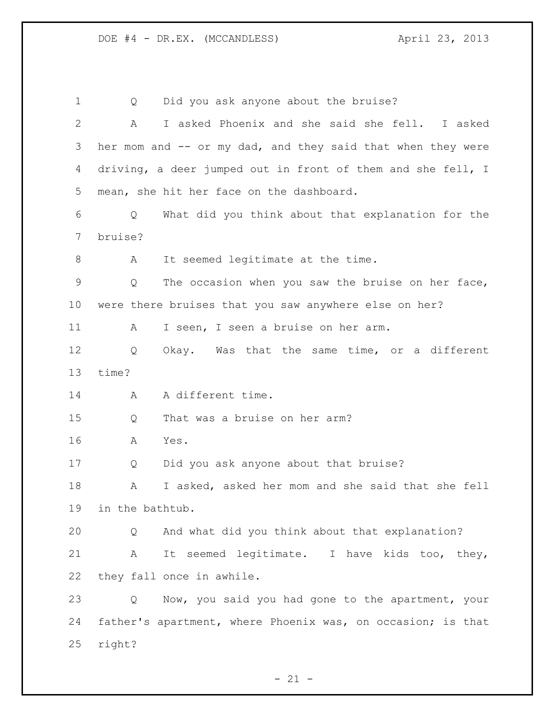Q Did you ask anyone about the bruise? A I asked Phoenix and she said she fell. I asked her mom and -- or my dad, and they said that when they were driving, a deer jumped out in front of them and she fell, I mean, she hit her face on the dashboard. Q What did you think about that explanation for the bruise? 8 A It seemed legitimate at the time. Q The occasion when you saw the bruise on her face, were there bruises that you saw anywhere else on her? 11 A I seen, I seen a bruise on her arm. Q Okay. Was that the same time, or a different time? 14 A A different time. Q That was a bruise on her arm? A Yes. Q Did you ask anyone about that bruise? A I asked, asked her mom and she said that she fell in the bathtub. Q And what did you think about that explanation? A It seemed legitimate. I have kids too, they, they fall once in awhile. Q Now, you said you had gone to the apartment, your father's apartment, where Phoenix was, on occasion; is that right?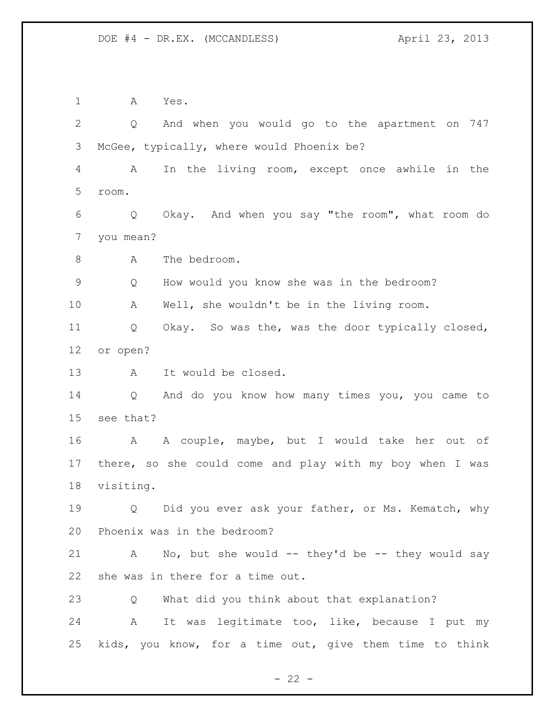A Yes. Q And when you would go to the apartment on 747 McGee, typically, where would Phoenix be? A In the living room, except once awhile in the room. Q Okay. And when you say "the room", what room do you mean? 8 A The bedroom. Q How would you know she was in the bedroom? A Well, she wouldn't be in the living room. Q Okay. So was the, was the door typically closed, or open? A It would be closed. Q And do you know how many times you, you came to see that? A A couple, maybe, but I would take her out of there, so she could come and play with my boy when I was visiting. 19 0 Did you ever ask your father, or Ms. Kematch, why Phoenix was in the bedroom? A No, but she would -- they'd be -- they would say she was in there for a time out. Q What did you think about that explanation? A It was legitimate too, like, because I put my kids, you know, for a time out, give them time to think

 $- 22 -$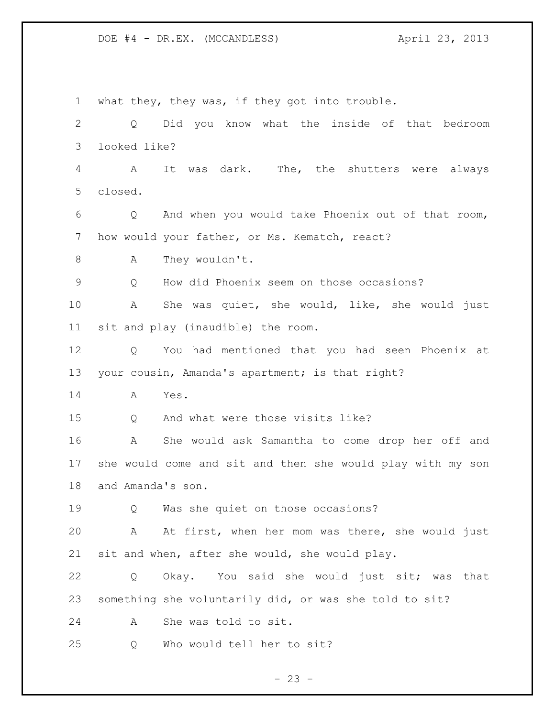what they, they was, if they got into trouble. Q Did you know what the inside of that bedroom looked like? A It was dark. The, the shutters were always closed. Q And when you would take Phoenix out of that room, 7 how would your father, or Ms. Kematch, react? 8 A They wouldn't. Q How did Phoenix seem on those occasions? A She was quiet, she would, like, she would just sit and play (inaudible) the room. Q You had mentioned that you had seen Phoenix at your cousin, Amanda's apartment; is that right? A Yes. 15 O And what were those visits like? A She would ask Samantha to come drop her off and she would come and sit and then she would play with my son and Amanda's son. Q Was she quiet on those occasions? A At first, when her mom was there, she would just sit and when, after she would, she would play. Q Okay. You said she would just sit; was that something she voluntarily did, or was she told to sit? A She was told to sit. Q Who would tell her to sit?

 $- 23 -$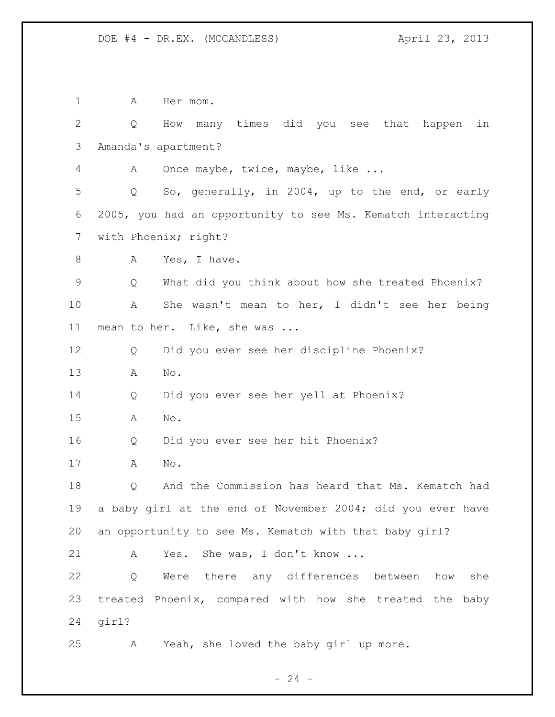1 A Hermom. Q How many times did you see that happen in Amanda's apartment? A Once maybe, twice, maybe, like ... Q So, generally, in 2004, up to the end, or early 2005, you had an opportunity to see Ms. Kematch interacting with Phoenix; right? 8 A Yes, I have. Q What did you think about how she treated Phoenix? A She wasn't mean to her, I didn't see her being mean to her. Like, she was ... Q Did you ever see her discipline Phoenix? A No. Q Did you ever see her yell at Phoenix? A No. Q Did you ever see her hit Phoenix? A No. Q And the Commission has heard that Ms. Kematch had a baby girl at the end of November 2004; did you ever have an opportunity to see Ms. Kematch with that baby girl? 21 A Yes. She was, I don't know ... Q Were there any differences between how she treated Phoenix, compared with how she treated the baby girl? A Yeah, she loved the baby girl up more.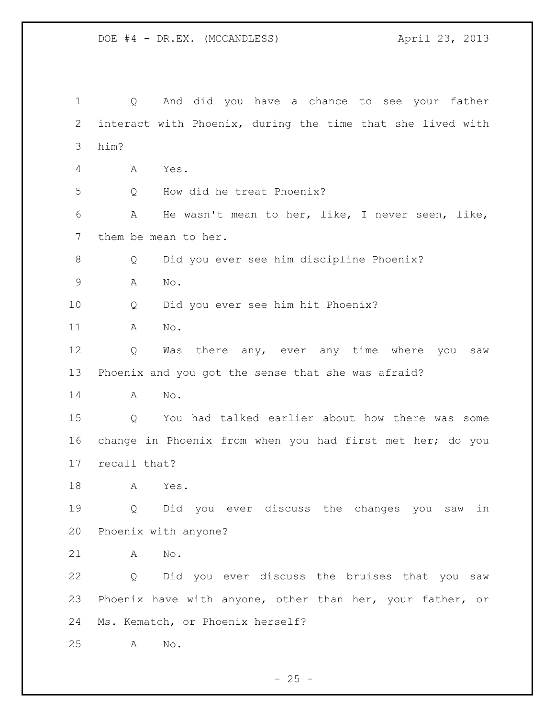Q And did you have a chance to see your father interact with Phoenix, during the time that she lived with him? A Yes. Q How did he treat Phoenix? A He wasn't mean to her, like, I never seen, like, them be mean to her. Q Did you ever see him discipline Phoenix? A No. Q Did you ever see him hit Phoenix? A No. Q Was there any, ever any time where you saw Phoenix and you got the sense that she was afraid? A No. Q You had talked earlier about how there was some change in Phoenix from when you had first met her; do you recall that? A Yes. Q Did you ever discuss the changes you saw in Phoenix with anyone? A No. Q Did you ever discuss the bruises that you saw Phoenix have with anyone, other than her, your father, or Ms. Kematch, or Phoenix herself? A No.

 $- 25 -$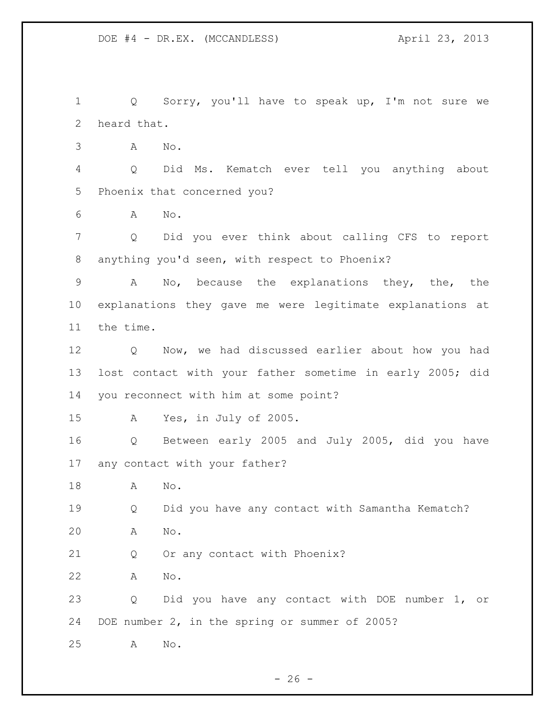Q Sorry, you'll have to speak up, I'm not sure we heard that.

A No.

 Q Did Ms. Kematch ever tell you anything about Phoenix that concerned you?

A No.

 Q Did you ever think about calling CFS to report anything you'd seen, with respect to Phoenix?

 A No, because the explanations they, the, the explanations they gave me were legitimate explanations at the time.

 Q Now, we had discussed earlier about how you had lost contact with your father sometime in early 2005; did you reconnect with him at some point?

A Yes, in July of 2005.

 Q Between early 2005 and July 2005, did you have any contact with your father?

A No.

 Q Did you have any contact with Samantha Kematch? A No.

Q Or any contact with Phoenix?

A No.

 Q Did you have any contact with DOE number 1, or DOE number 2, in the spring or summer of 2005?

A No.

 $- 26 -$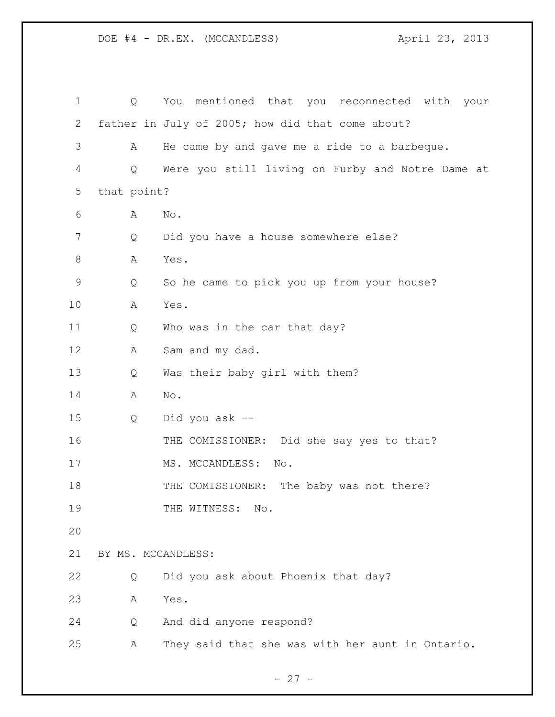| $\mathbf 1$ | Q                  | You mentioned that you reconnected with your     |
|-------------|--------------------|--------------------------------------------------|
| 2           |                    | father in July of 2005; how did that come about? |
| 3           | A                  | He came by and gave me a ride to a barbeque.     |
| 4           | Q                  | Were you still living on Furby and Notre Dame at |
| 5           | that point?        |                                                  |
| 6           | Α                  | $\mathop{\rm No}\nolimits$ .                     |
| 7           | Q                  | Did you have a house somewhere else?             |
| 8           | Α                  | Yes.                                             |
| 9           | Q                  | So he came to pick you up from your house?       |
| 10          | A                  | Yes.                                             |
| 11          | Q                  | Who was in the car that day?                     |
| 12          | Α                  | Sam and my dad.                                  |
| 13          | Q                  | Was their baby girl with them?                   |
| 14          | Α                  | No.                                              |
| 15          | Q                  | Did you ask --                                   |
| 16          |                    | THE COMISSIONER: Did she say yes to that?        |
| 17          |                    | MS. MCCANDLESS:<br>No.                           |
| 18          |                    | THE COMISSIONER: The baby was not there?         |
| 19          |                    | THE WITNESS:<br>$\mathbb{N} \circ$ .             |
| 20          |                    |                                                  |
| 21          | BY MS. MCCANDLESS: |                                                  |
| 22          | Q                  | Did you ask about Phoenix that day?              |
| 23          | Α                  | Yes.                                             |
| 24          | Q                  | And did anyone respond?                          |
| 25          | Α                  | They said that she was with her aunt in Ontario. |
|             |                    |                                                  |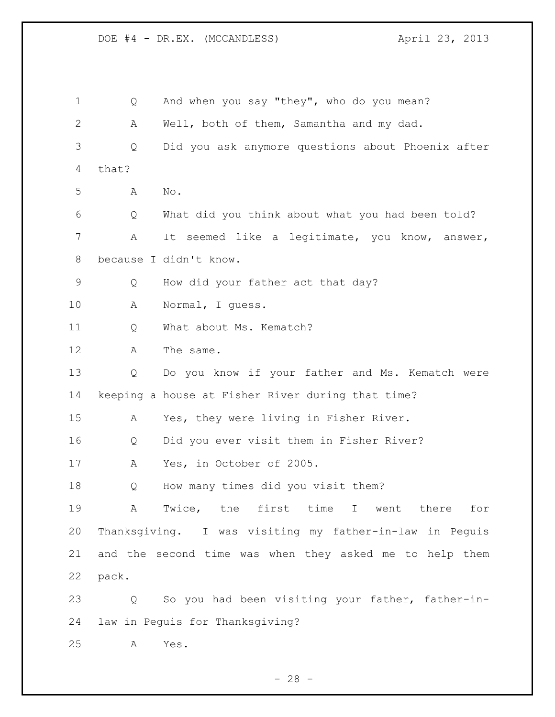DOE #4 - DR.EX. (MCCANDLESS) April 23, 2013 Q And when you say "they", who do you mean? A Well, both of them, Samantha and my dad.

 Q Did you ask anymore questions about Phoenix after that?

A No.

 Q What did you think about what you had been told? A It seemed like a legitimate, you know, answer, because I didn't know.

Q How did your father act that day?

A Normal, I guess.

11 O What about Ms. Kematch?

12 A The same.

 Q Do you know if your father and Ms. Kematch were keeping a house at Fisher River during that time?

A Yes, they were living in Fisher River.

Q Did you ever visit them in Fisher River?

A Yes, in October of 2005.

Q How many times did you visit them?

 A Twice, the first time I went there for Thanksgiving. I was visiting my father-in-law in Peguis and the second time was when they asked me to help them pack.

 Q So you had been visiting your father, father-in-law in Peguis for Thanksgiving?

A Yes.

 $- 28 -$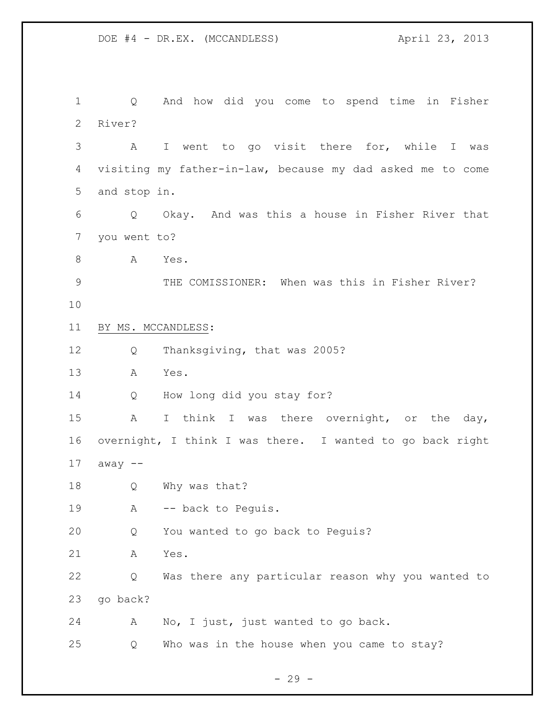Q And how did you come to spend time in Fisher River? A I went to go visit there for, while I was visiting my father-in-law, because my dad asked me to come and stop in. Q Okay. And was this a house in Fisher River that you went to? 8 A Yes. THE COMISSIONER: When was this in Fisher River? BY MS. MCCANDLESS: Q Thanksgiving, that was 2005? A Yes. Q How long did you stay for? A I think I was there overnight, or the day, overnight, I think I was there. I wanted to go back right away -- Q Why was that? 19 A -- back to Pequis. Q You wanted to go back to Peguis? A Yes. Q Was there any particular reason why you wanted to go back? A No, I just, just wanted to go back. Q Who was in the house when you came to stay?

 $-29 -$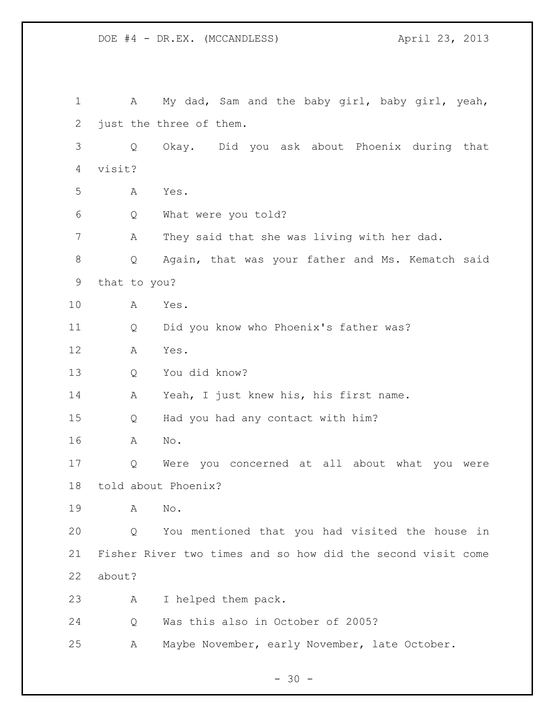1 A My dad, Sam and the baby girl, baby girl, yeah, just the three of them. Q Okay. Did you ask about Phoenix during that visit? A Yes. Q What were you told? A They said that she was living with her dad. Q Again, that was your father and Ms. Kematch said that to you? A Yes. Q Did you know who Phoenix's father was? A Yes. Q You did know? A Yeah, I just knew his, his first name. Q Had you had any contact with him? A No. Q Were you concerned at all about what you were told about Phoenix? A No. Q You mentioned that you had visited the house in Fisher River two times and so how did the second visit come about? A I helped them pack. Q Was this also in October of 2005? A Maybe November, early November, late October.

DOE #4 - DR.EX. (MCCANDLESS) April 23, 2013

 $- 30 -$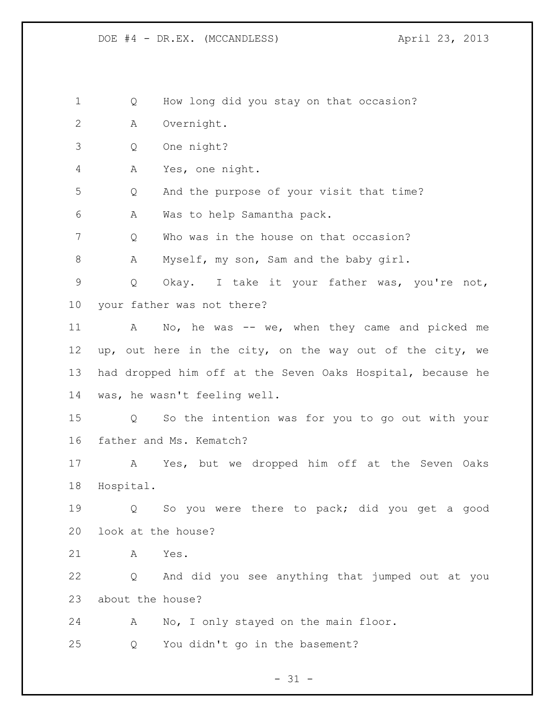Q How long did you stay on that occasion?

A Overnight.

Q One night?

A Yes, one night.

Q And the purpose of your visit that time?

A Was to help Samantha pack.

Q Who was in the house on that occasion?

8 A Myself, my son, Sam and the baby girl.

 Q Okay. I take it your father was, you're not, your father was not there?

11 A No, he was -- we, when they came and picked me up, out here in the city, on the way out of the city, we had dropped him off at the Seven Oaks Hospital, because he was, he wasn't feeling well.

 Q So the intention was for you to go out with your father and Ms. Kematch?

 A Yes, but we dropped him off at the Seven Oaks Hospital.

 Q So you were there to pack; did you get a good look at the house?

A Yes.

 Q And did you see anything that jumped out at you about the house?

A No, I only stayed on the main floor.

Q You didn't go in the basement?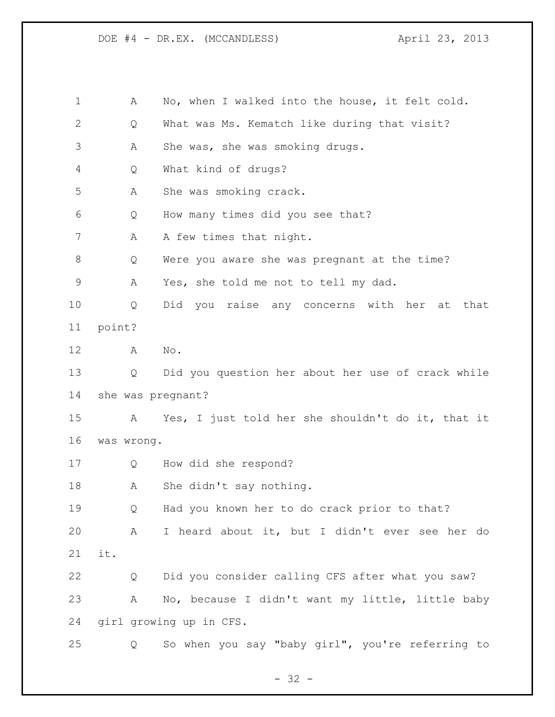| 1            | Α                 | No, when I walked into the house, it felt cold.   |
|--------------|-------------------|---------------------------------------------------|
| $\mathbf{2}$ | Q                 | What was Ms. Kematch like during that visit?      |
| 3            | Α                 | She was, she was smoking drugs.                   |
| 4            | Q                 | What kind of drugs?                               |
| 5            | Α                 | She was smoking crack.                            |
| 6            | Q                 | How many times did you see that?                  |
| 7            | Α                 | A few times that night.                           |
| $\,8\,$      | Q                 | Were you aware she was pregnant at the time?      |
| $\mathsf 9$  | A                 | Yes, she told me not to tell my dad.              |
| 10           | Q                 | Did you raise any concerns with her<br>that<br>at |
| 11           | point?            |                                                   |
| 12           | Α                 | $\mathrm{No}$ .                                   |
| 13           | Q                 | Did you question her about her use of crack while |
| 14           | she was pregnant? |                                                   |
| 15           | A                 | Yes, I just told her she shouldn't do it, that it |
| 16           | was wrong.        |                                                   |
| 17           | Q                 | How did she respond?                              |
| 18           | Α                 | She didn't say nothing.                           |
| 19           | Q                 | Had you known her to do crack prior to that?      |
| 20           | A                 | I heard about it, but I didn't ever see her do    |
| 21           | it.               |                                                   |
| 22           | Q                 | Did you consider calling CFS after what you saw?  |
| 23           | Α                 | No, because I didn't want my little, little baby  |
| 24           |                   | girl growing up in CFS.                           |
| 25           | Q                 | So when you say "baby girl", you're referring to  |

- 32 -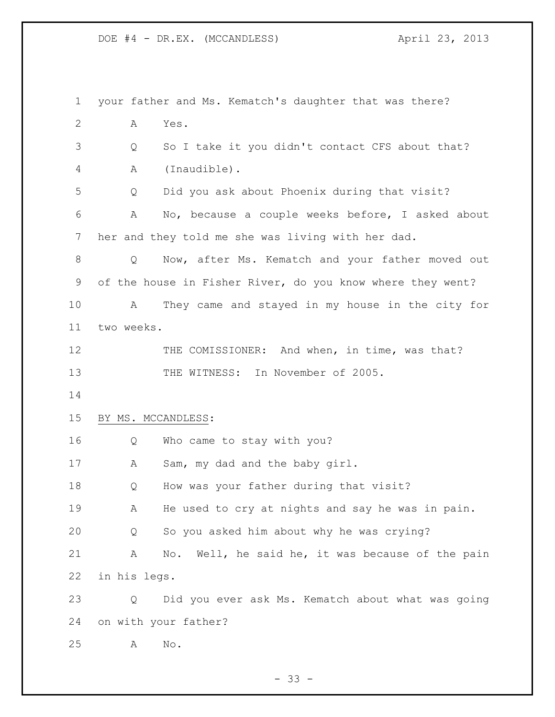| $\mathbf 1$  |              | your father and Ms. Kematch's daughter that was there?     |
|--------------|--------------|------------------------------------------------------------|
| $\mathbf{2}$ | Α            | Yes.                                                       |
| 3            | Q            | So I take it you didn't contact CFS about that?            |
| 4            | Α            | (Inaudible).                                               |
| 5            | Q            | Did you ask about Phoenix during that visit?               |
| 6            | A            | No, because a couple weeks before, I asked about           |
| 7            |              | her and they told me she was living with her dad.          |
| 8            | Q            | Now, after Ms. Kematch and your father moved out           |
| 9            |              | of the house in Fisher River, do you know where they went? |
| 10           | А            | They came and stayed in my house in the city for           |
| 11           | two weeks.   |                                                            |
| 12           |              | THE COMISSIONER: And when, in time, was that?              |
| 13           |              | THE WITNESS: In November of 2005.                          |
| 14           |              |                                                            |
| 15           |              | BY MS. MCCANDLESS:                                         |
| 16           | Q            | Who came to stay with you?                                 |
| 17           | A            | Sam, my dad and the baby girl.                             |
| 18           | Q            | How was your father during that visit?                     |
| 19           | Α            | He used to cry at nights and say he was in pain.           |
| 20           | Q            | So you asked him about why he was crying?                  |
| 21           | Α            | No. Well, he said he, it was because of the pain           |
| 22           | in his legs. |                                                            |
| 23           | Q            | Did you ever ask Ms. Kematch about what was going          |
| 24           |              | on with your father?                                       |
| 25           | Α            | No.                                                        |

- 33 -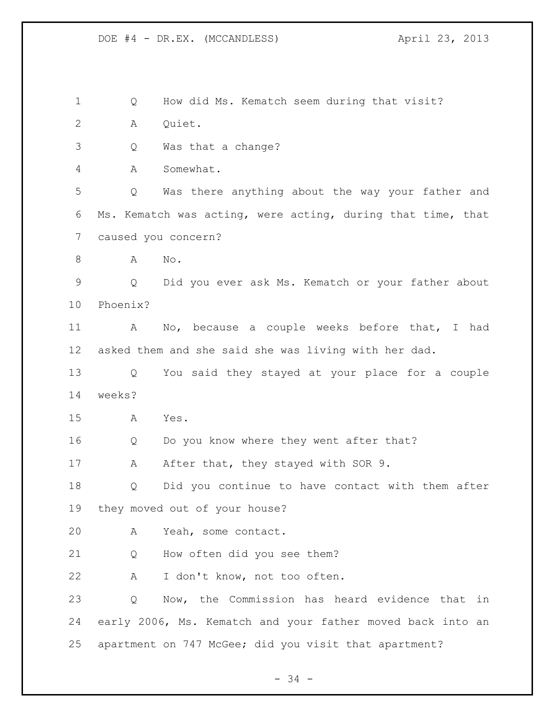Q How did Ms. Kematch seem during that visit? A Quiet. Q Was that a change? A Somewhat. Q Was there anything about the way your father and Ms. Kematch was acting, were acting, during that time, that caused you concern? 8 A No. Q Did you ever ask Ms. Kematch or your father about Phoenix? A No, because a couple weeks before that, I had asked them and she said she was living with her dad. Q You said they stayed at your place for a couple weeks? A Yes. Q Do you know where they went after that? 17 A After that, they stayed with SOR 9. Q Did you continue to have contact with them after they moved out of your house? A Yeah, some contact. Q How often did you see them? A I don't know, not too often. Q Now, the Commission has heard evidence that in early 2006, Ms. Kematch and your father moved back into an apartment on 747 McGee; did you visit that apartment?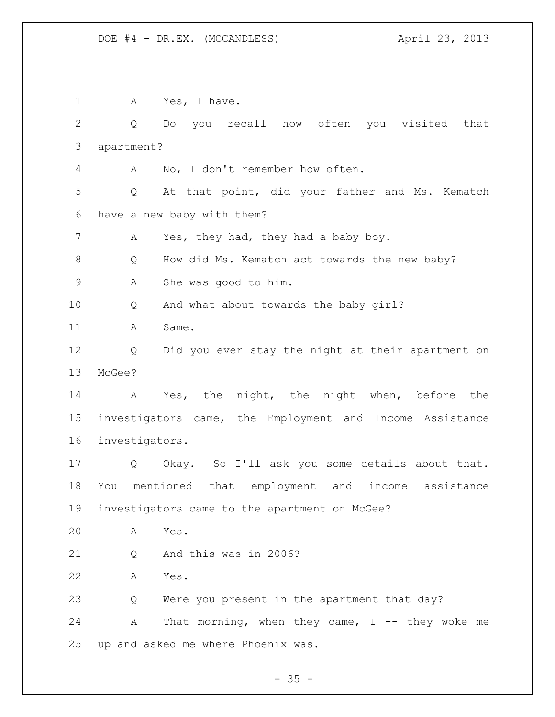1 A Yes, I have. Q Do you recall how often you visited that apartment? A No, I don't remember how often. Q At that point, did your father and Ms. Kematch have a new baby with them? A Yes, they had, they had a baby boy. 8 Q How did Ms. Kematch act towards the new baby? A She was good to him. Q And what about towards the baby girl? A Same. Q Did you ever stay the night at their apartment on McGee? A Yes, the night, the night when, before the investigators came, the Employment and Income Assistance investigators. Q Okay. So I'll ask you some details about that. You mentioned that employment and income assistance investigators came to the apartment on McGee? A Yes. Q And this was in 2006? A Yes. Q Were you present in the apartment that day? 24 A That morning, when they came, I -- they woke me up and asked me where Phoenix was.

 $- 35 -$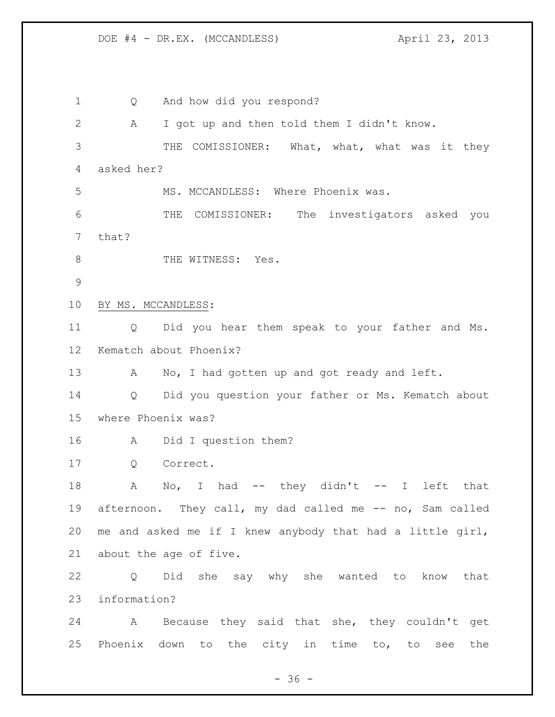DOE #4 - DR.EX. (MCCANDLESS) April 23, 2013

 Q And how did you respond? A I got up and then told them I didn't know. THE COMISSIONER: What, what, what was it they asked her? 5 MS. MCCANDLESS: Where Phoenix was. THE COMISSIONER: The investigators asked you that? 8 THE WITNESS: Yes. BY MS. MCCANDLESS: Q Did you hear them speak to your father and Ms. Kematch about Phoenix? 13 A No, I had gotten up and got ready and left. Q Did you question your father or Ms. Kematch about where Phoenix was? A Did I question them? Q Correct. 18 A No, I had -- they didn't -- I left that 19 afternoon. They call, my dad called me -- no, Sam called me and asked me if I knew anybody that had a little girl, about the age of five. Q Did she say why she wanted to know that information? A Because they said that she, they couldn't get Phoenix down to the city in time to, to see the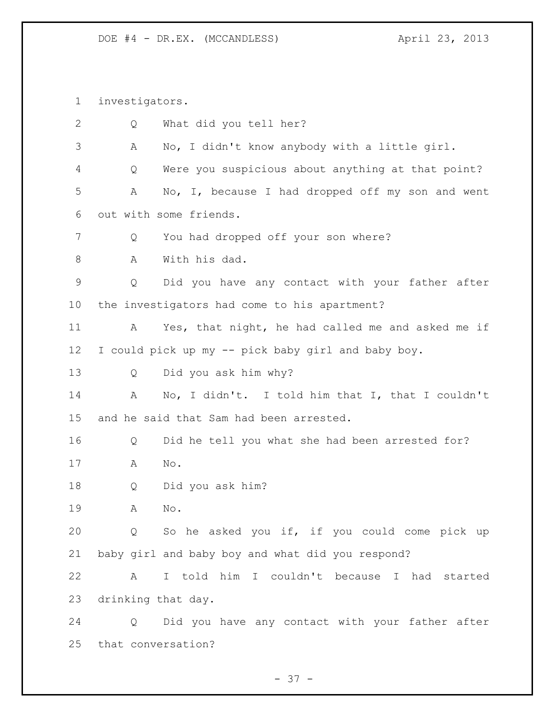investigators.

| 2           | Q                  | What did you tell her?                             |
|-------------|--------------------|----------------------------------------------------|
| 3           | Α                  | No, I didn't know anybody with a little girl.      |
| 4           | Q                  | Were you suspicious about anything at that point?  |
| 5           | Α                  | No, I, because I had dropped off my son and went   |
| 6           |                    | out with some friends.                             |
| 7           | Q                  | You had dropped off your son where?                |
| 8           | A                  | With his dad.                                      |
| $\mathsf 9$ | Q                  | Did you have any contact with your father after    |
| 10          |                    | the investigators had come to his apartment?       |
| 11          | А                  | Yes, that night, he had called me and asked me if  |
| 12          |                    | I could pick up my -- pick baby girl and baby boy. |
| 13          | Q                  | Did you ask him why?                               |
| 14          | A                  | No, I didn't. I told him that I, that I couldn't   |
| 15          |                    | and he said that Sam had been arrested.            |
| 16          | Q                  | Did he tell you what she had been arrested for?    |
| 17          | Α                  | No.                                                |
| 18          | Q                  | Did you ask him?                                   |
| 19          | Α                  | No.                                                |
| 20          |                    | Q So he asked you if, if you could come pick up    |
| 21          |                    | baby girl and baby boy and what did you respond?   |
| 22          | A                  | I told him I couldn't because I had started        |
| 23          | drinking that day. |                                                    |
| 24          |                    | Q Did you have any contact with your father after  |
| 25          |                    | that conversation?                                 |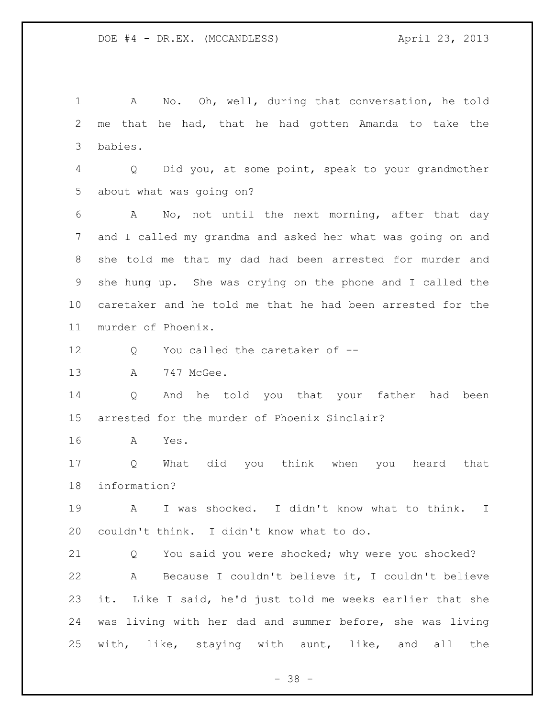A No. Oh, well, during that conversation, he told me that he had, that he had gotten Amanda to take the babies. Q Did you, at some point, speak to your grandmother about what was going on? A No, not until the next morning, after that day and I called my grandma and asked her what was going on and she told me that my dad had been arrested for murder and she hung up. She was crying on the phone and I called the caretaker and he told me that he had been arrested for the murder of Phoenix. 12 Q You called the caretaker of -- A 747 McGee. Q And he told you that your father had been arrested for the murder of Phoenix Sinclair? A Yes. Q What did you think when you heard that information? A I was shocked. I didn't know what to think. I couldn't think. I didn't know what to do. Q You said you were shocked; why were you shocked? A Because I couldn't believe it, I couldn't believe it. Like I said, he'd just told me weeks earlier that she was living with her dad and summer before, she was living with, like, staying with aunt, like, and all the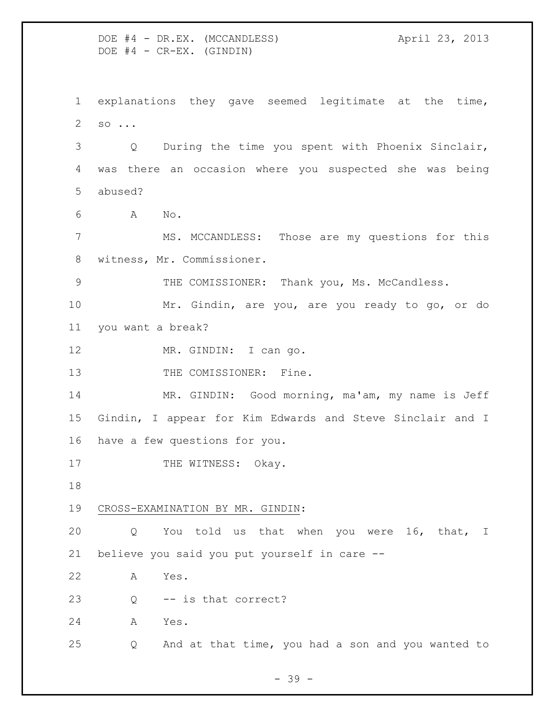DOE #4 - DR.EX. (MCCANDLESS) April 23, 2013  $DOE$   $#4$  -  $CR-EX.$  (GINDIN) explanations they gave seemed legitimate at the time, so ... Q During the time you spent with Phoenix Sinclair, was there an occasion where you suspected she was being abused? A No. MS. MCCANDLESS: Those are my questions for this witness, Mr. Commissioner. THE COMISSIONER: Thank you, Ms. McCandless. Mr. Gindin, are you, are you ready to go, or do you want a break? 12 MR. GINDIN: I can go. 13 THE COMISSIONER: Fine. MR. GINDIN: Good morning, ma'am, my name is Jeff Gindin, I appear for Kim Edwards and Steve Sinclair and I have a few questions for you. 17 THE WITNESS: Okay. CROSS-EXAMINATION BY MR. GINDIN: Q You told us that when you were 16, that, I believe you said you put yourself in care -- A Yes. Q -- is that correct? A Yes. Q And at that time, you had a son and you wanted to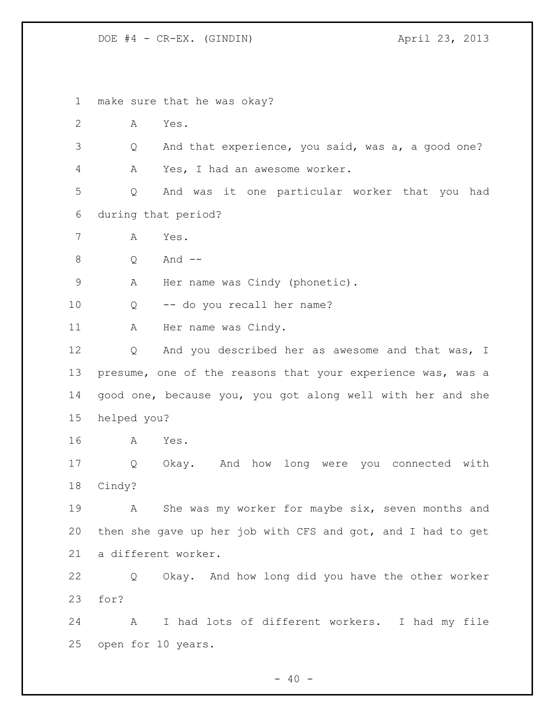make sure that he was okay? A Yes. Q And that experience, you said, was a, a good one? A Yes, I had an awesome worker. Q And was it one particular worker that you had during that period? A Yes. Q And -- A Her name was Cindy (phonetic). Q -- do you recall her name? A Her name was Cindy. 12 Q And you described her as awesome and that was, I 13 presume, one of the reasons that your experience was, was a good one, because you, you got along well with her and she helped you? A Yes. Q Okay. And how long were you connected with Cindy? A She was my worker for maybe six, seven months and then she gave up her job with CFS and got, and I had to get a different worker. Q Okay. And how long did you have the other worker for? A I had lots of different workers. I had my file open for 10 years.

 $- 40 -$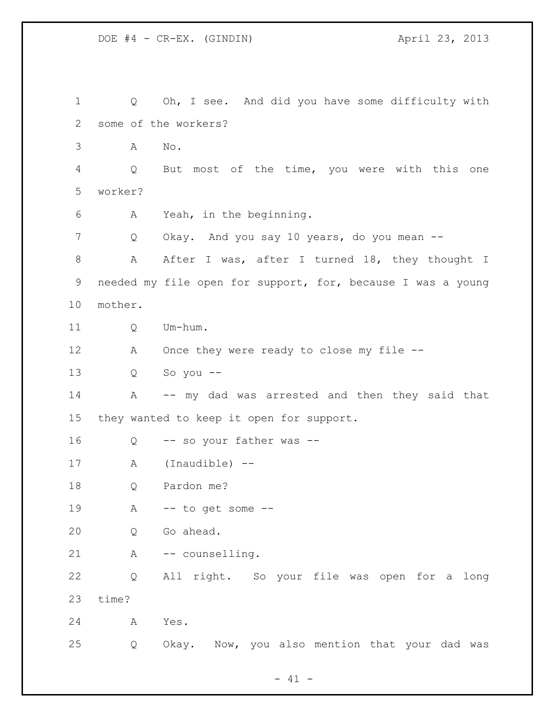Q Oh, I see. And did you have some difficulty with some of the workers? A No. Q But most of the time, you were with this one worker? A Yeah, in the beginning. 7 Q Okay. And you say 10 years, do you mean --8 A After I was, after I turned 18, they thought I needed my file open for support, for, because I was a young mother. Q Um-hum. 12 A Once they were ready to close my file -- Q So you -- A -- my dad was arrested and then they said that they wanted to keep it open for support. Q -- so your father was -- A (Inaudible) -- Q Pardon me? A -- to get some -- Q Go ahead. 21 A -- counselling. Q All right. So your file was open for a long time? A Yes. Q Okay. Now, you also mention that your dad was

 $- 41 -$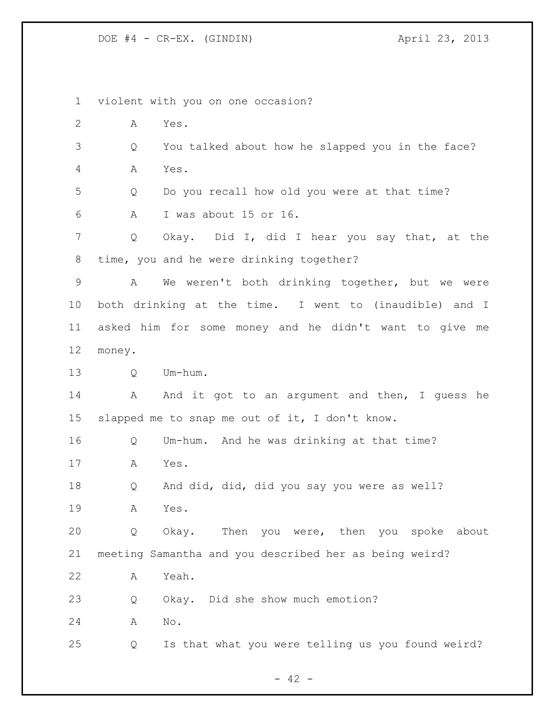violent with you on one occasion? A Yes. Q You talked about how he slapped you in the face? A Yes. Q Do you recall how old you were at that time? A I was about 15 or 16. Q Okay. Did I, did I hear you say that, at the time, you and he were drinking together? A We weren't both drinking together, but we were both drinking at the time. I went to (inaudible) and I asked him for some money and he didn't want to give me money. 13 O Um-hum. 14 A And it got to an argument and then, I guess he slapped me to snap me out of it, I don't know. Q Um-hum. And he was drinking at that time? A Yes. Q And did, did, did you say you were as well? A Yes. Q Okay. Then you were, then you spoke about meeting Samantha and you described her as being weird? A Yeah. Q Okay. Did she show much emotion? A No. Q Is that what you were telling us you found weird?

 $- 42 -$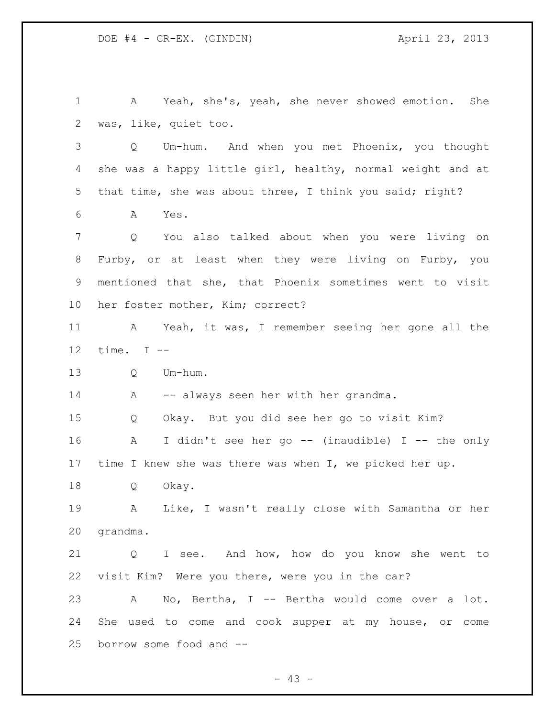A Yeah, she's, yeah, she never showed emotion. She was, like, quiet too. Q Um-hum. And when you met Phoenix, you thought she was a happy little girl, healthy, normal weight and at that time, she was about three, I think you said; right? A Yes. Q You also talked about when you were living on Furby, or at least when they were living on Furby, you mentioned that she, that Phoenix sometimes went to visit her foster mother, Kim; correct? A Yeah, it was, I remember seeing her gone all the time. I -- Q Um-hum. 14 A -- always seen her with her grandma. Q Okay. But you did see her go to visit Kim? A I didn't see her go -- (inaudible) I -- the only time I knew she was there was when I, we picked her up. Q Okay. A Like, I wasn't really close with Samantha or her grandma. Q I see. And how, how do you know she went to visit Kim? Were you there, were you in the car? A No, Bertha, I -- Bertha would come over a lot. She used to come and cook supper at my house, or come borrow some food and --

 $- 43 -$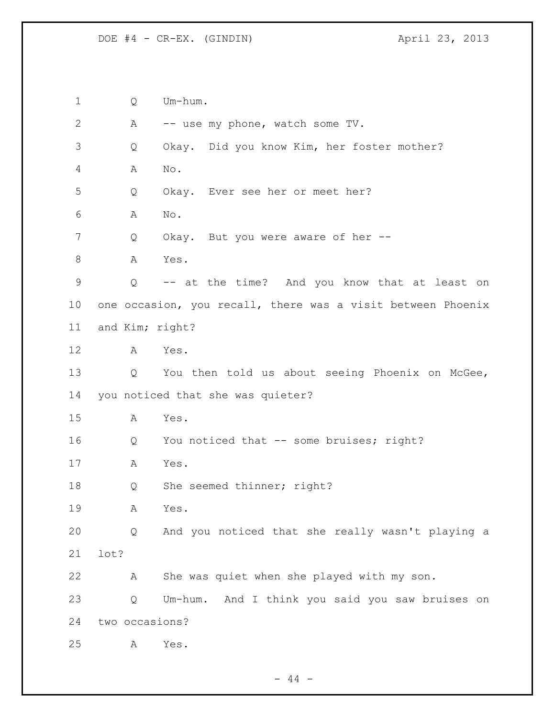Q Um-hum. A -- use my phone, watch some TV. Q Okay. Did you know Kim, her foster mother? A No. Q Okay. Ever see her or meet her? A No. 7 Q Okay. But you were aware of her --8 A Yes. Q -- at the time? And you know that at least on one occasion, you recall, there was a visit between Phoenix and Kim; right? A Yes. Q You then told us about seeing Phoenix on McGee, you noticed that she was quieter? A Yes. 16 Q You noticed that -- some bruises; right? A Yes. 18 Q She seemed thinner; right? A Yes. Q And you noticed that she really wasn't playing a lot? A She was quiet when she played with my son. Q Um-hum. And I think you said you saw bruises on two occasions? A Yes.

 $- 44 -$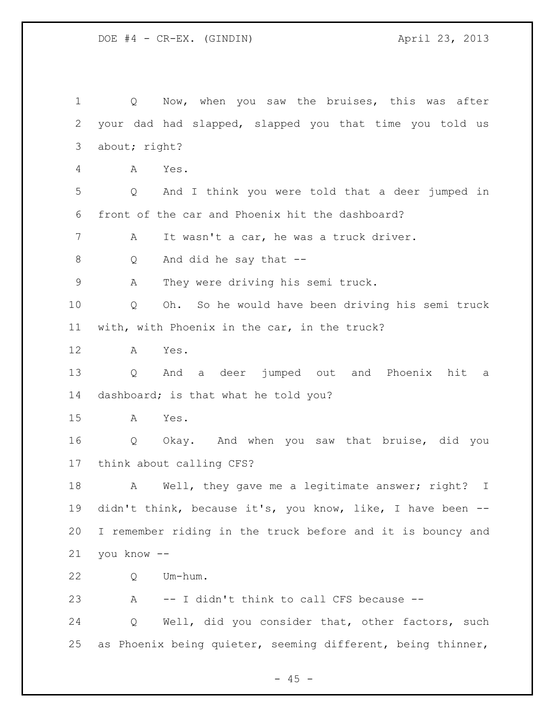1 Q Now, when you saw the bruises, this was after your dad had slapped, slapped you that time you told us about; right? A Yes. Q And I think you were told that a deer jumped in front of the car and Phoenix hit the dashboard? A It wasn't a car, he was a truck driver. Q And did he say that -- A They were driving his semi truck. Q Oh. So he would have been driving his semi truck with, with Phoenix in the car, in the truck? A Yes. Q And a deer jumped out and Phoenix hit a dashboard; is that what he told you? A Yes. Q Okay. And when you saw that bruise, did you think about calling CFS? 18 A Well, they gave me a legitimate answer; right? I 19 didn't think, because it's, you know, like, I have been -- I remember riding in the truck before and it is bouncy and you know -- Q Um-hum. A -- I didn't think to call CFS because -- Q Well, did you consider that, other factors, such as Phoenix being quieter, seeming different, being thinner,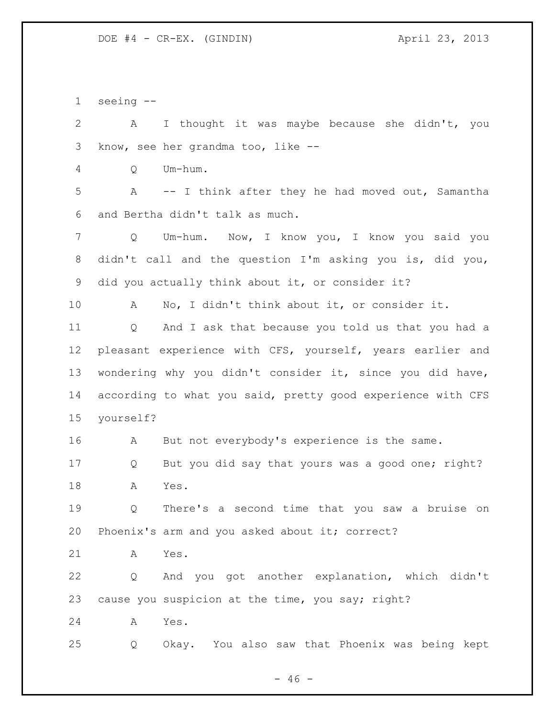seeing --

 A I thought it was maybe because she didn't, you know, see her grandma too, like --

Q Um-hum.

 A -- I think after they he had moved out, Samantha and Bertha didn't talk as much.

 Q Um-hum. Now, I know you, I know you said you didn't call and the question I'm asking you is, did you, did you actually think about it, or consider it?

A No, I didn't think about it, or consider it.

 Q And I ask that because you told us that you had a pleasant experience with CFS, yourself, years earlier and wondering why you didn't consider it, since you did have, according to what you said, pretty good experience with CFS yourself?

A But not everybody's experience is the same.

 Q But you did say that yours was a good one; right? A Yes.

 Q There's a second time that you saw a bruise on Phoenix's arm and you asked about it; correct?

A Yes.

 Q And you got another explanation, which didn't cause you suspicion at the time, you say; right?

A Yes.

Q Okay. You also saw that Phoenix was being kept

 $- 46 -$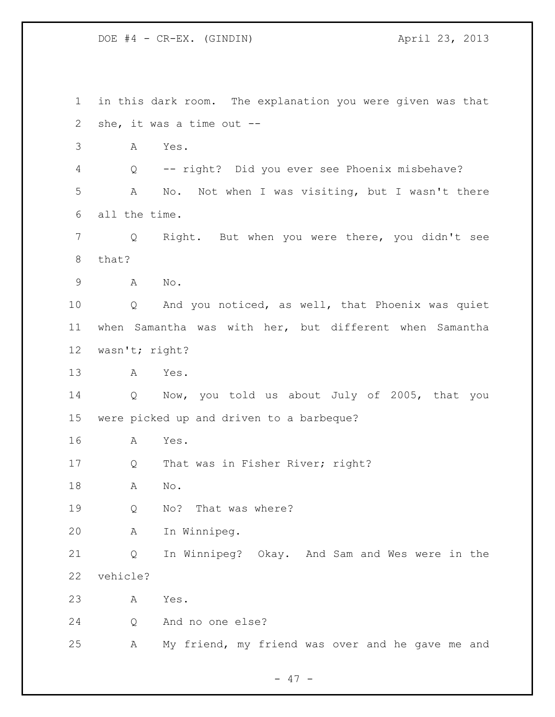in this dark room. The explanation you were given was that she, it was a time out -- A Yes. Q -- right? Did you ever see Phoenix misbehave? A No. Not when I was visiting, but I wasn't there all the time. Q Right. But when you were there, you didn't see that? A No. Q And you noticed, as well, that Phoenix was quiet when Samantha was with her, but different when Samantha wasn't; right? A Yes. Q Now, you told us about July of 2005, that you were picked up and driven to a barbeque? A Yes. 17 Q That was in Fisher River; right? A No. Q No? That was where? A In Winnipeg. Q In Winnipeg? Okay. And Sam and Wes were in the vehicle? A Yes. Q And no one else? A My friend, my friend was over and he gave me and

 $- 47 -$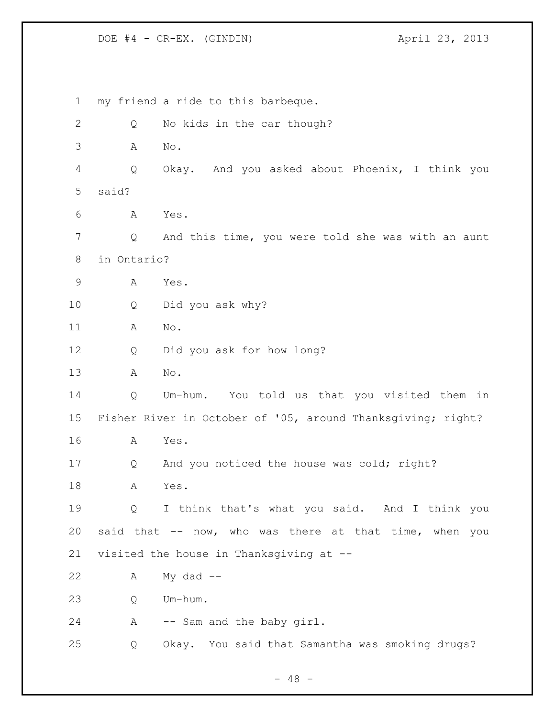my friend a ride to this barbeque. 2 Q No kids in the car though? A No. Q Okay. And you asked about Phoenix, I think you said? A Yes. Q And this time, you were told she was with an aunt in Ontario? A Yes. Q Did you ask why? A No. Q Did you ask for how long? A No. Q Um-hum. You told us that you visited them in Fisher River in October of '05, around Thanksgiving; right? A Yes. Q And you noticed the house was cold; right? A Yes. Q I think that's what you said. And I think you said that -- now, who was there at that time, when you visited the house in Thanksgiving at -- A My dad -- Q Um-hum. A -- Sam and the baby girl. Q Okay. You said that Samantha was smoking drugs?

 $- 48 -$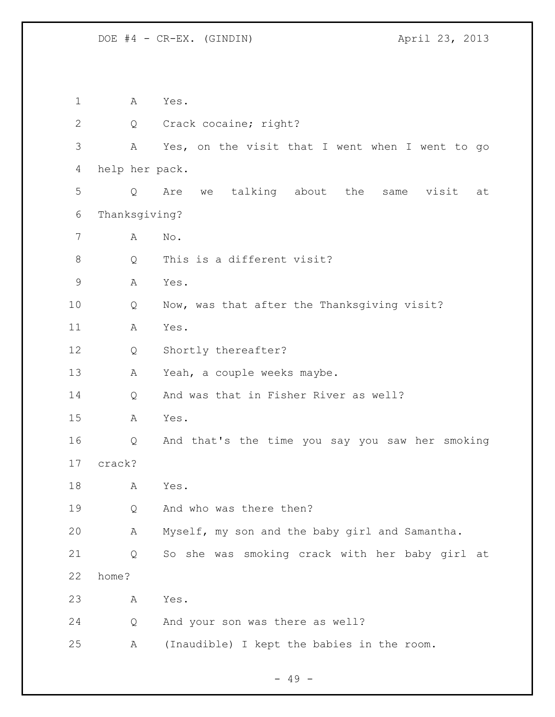A Yes. 2 Q Crack cocaine; right? A Yes, on the visit that I went when I went to go help her pack. Q Are we talking about the same visit at Thanksgiving? A No. 8 Q This is a different visit? A Yes. Q Now, was that after the Thanksgiving visit? A Yes. Q Shortly thereafter? 13 A Yeah, a couple weeks maybe. Q And was that in Fisher River as well? A Yes. Q And that's the time you say you saw her smoking crack? A Yes. Q And who was there then? A Myself, my son and the baby girl and Samantha. Q So she was smoking crack with her baby girl at home? A Yes. Q And your son was there as well? A (Inaudible) I kept the babies in the room.

- 49 -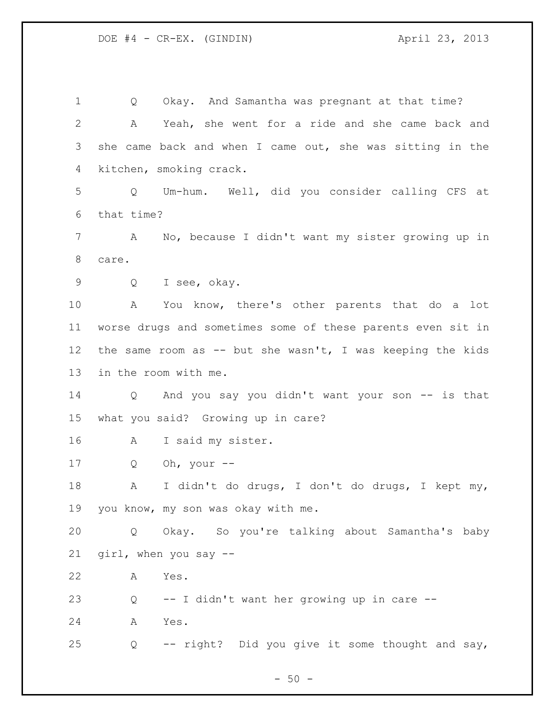Q Okay. And Samantha was pregnant at that time? A Yeah, she went for a ride and she came back and she came back and when I came out, she was sitting in the kitchen, smoking crack. Q Um-hum. Well, did you consider calling CFS at that time? A No, because I didn't want my sister growing up in care. Q I see, okay. A You know, there's other parents that do a lot worse drugs and sometimes some of these parents even sit in 12 the same room as -- but she wasn't, I was keeping the kids in the room with me. Q And you say you didn't want your son -- is that what you said? Growing up in care? A I said my sister. Q Oh, your -- A I didn't do drugs, I don't do drugs, I kept my, you know, my son was okay with me. Q Okay. So you're talking about Samantha's baby girl, when you say -- A Yes. Q -- I didn't want her growing up in care -- A Yes. Q -- right? Did you give it some thought and say,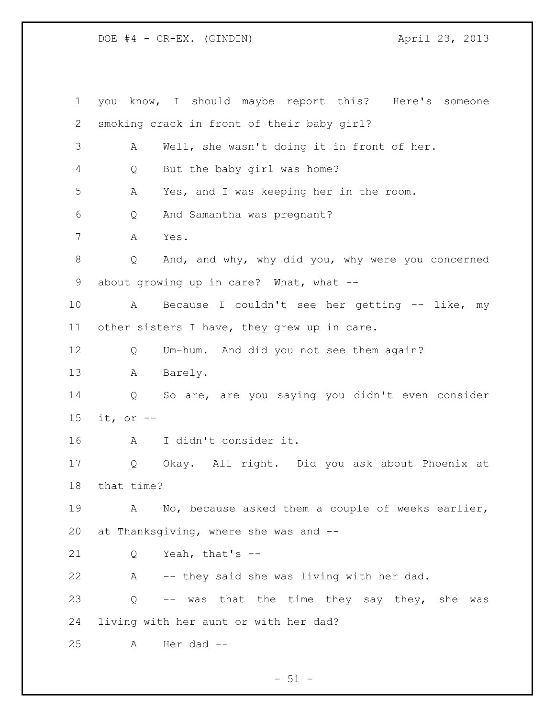DOE #4 - CR-EX. (GINDIN) April 23, 2013

 you know, I should maybe report this? Here's someone smoking crack in front of their baby girl? A Well, she wasn't doing it in front of her. Q But the baby girl was home? A Yes, and I was keeping her in the room. Q And Samantha was pregnant? A Yes. Q And, and why, why did you, why were you concerned 9 about growing up in care? What, what -- A Because I couldn't see her getting -- like, my other sisters I have, they grew up in care. Q Um-hum. And did you not see them again? A Barely. Q So are, are you saying you didn't even consider it, or -- A I didn't consider it. Q Okay. All right. Did you ask about Phoenix at that time? A No, because asked them a couple of weeks earlier, at Thanksgiving, where she was and -- Q Yeah, that's -- A -- they said she was living with her dad. Q -- was that the time they say they, she was living with her aunt or with her dad? A Her dad --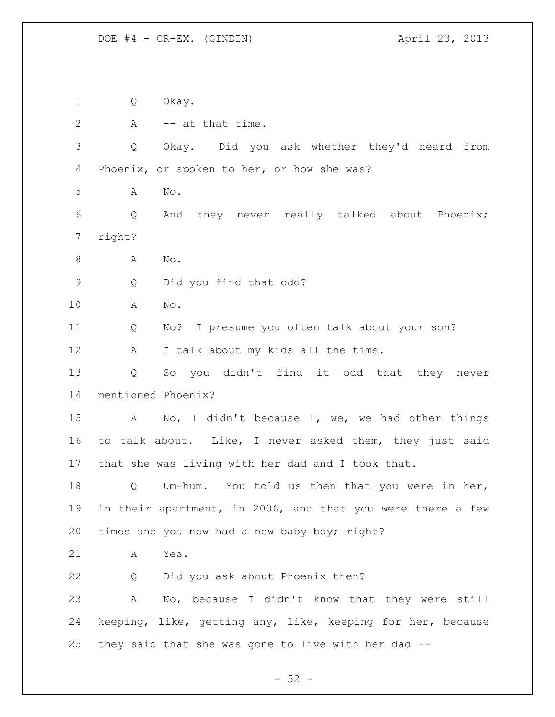Q Okay. 2 A -- at that time. Q Okay. Did you ask whether they'd heard from 4 Phoenix, or spoken to her, or how she was? A No. Q And they never really talked about Phoenix; right? 8 A No. Q Did you find that odd? A No. Q No? I presume you often talk about your son? 12 A I talk about my kids all the time. Q So you didn't find it odd that they never mentioned Phoenix? A No, I didn't because I, we, we had other things to talk about. Like, I never asked them, they just said that she was living with her dad and I took that. Q Um-hum. You told us then that you were in her, in their apartment, in 2006, and that you were there a few times and you now had a new baby boy; right? A Yes. Q Did you ask about Phoenix then? A No, because I didn't know that they were still keeping, like, getting any, like, keeping for her, because they said that she was gone to live with her dad --

 $-52 -$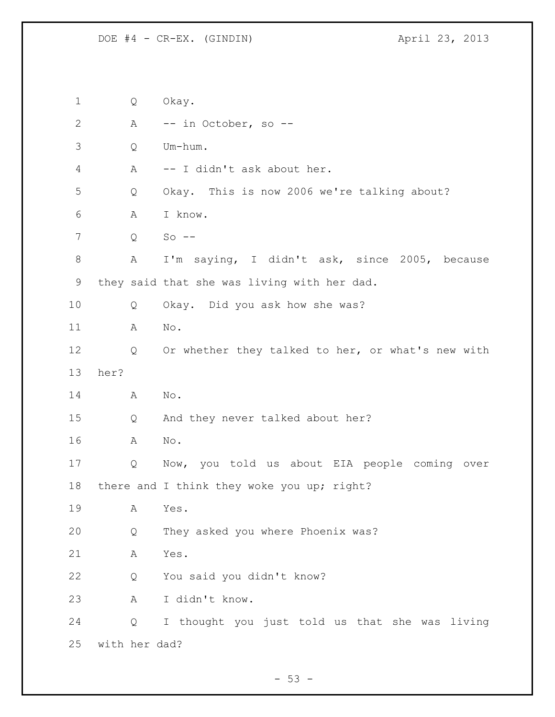Q Okay. A -- in October, so -- Q Um-hum. A -- I didn't ask about her. Q Okay. This is now 2006 we're talking about? A I know. Q So -- A I'm saying, I didn't ask, since 2005, because they said that she was living with her dad. Q Okay. Did you ask how she was? A No. 12 Q Or whether they talked to her, or what's new with her? A No. Q And they never talked about her? A No. Q Now, you told us about EIA people coming over 18 there and I think they woke you up; right? A Yes. Q They asked you where Phoenix was? A Yes. Q You said you didn't know? A I didn't know. Q I thought you just told us that she was living with her dad?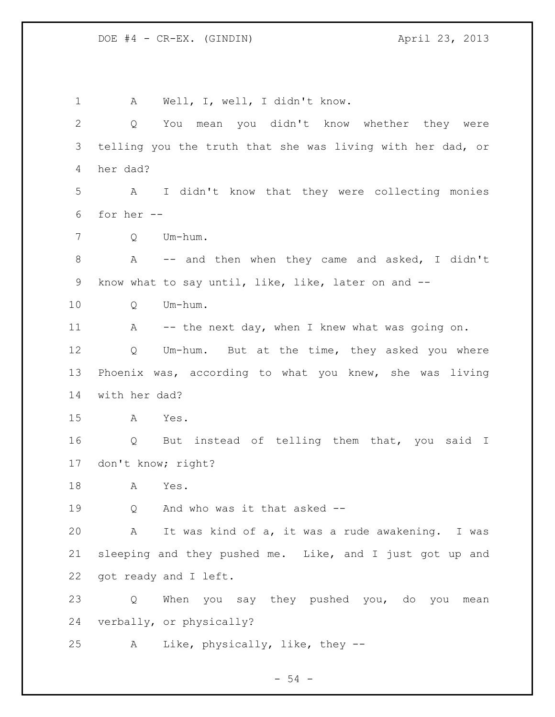A Well, I, well, I didn't know. Q You mean you didn't know whether they were telling you the truth that she was living with her dad, or her dad? A I didn't know that they were collecting monies for her -- Q Um-hum. A -- and then when they came and asked, I didn't know what to say until, like, like, later on and -- Q Um-hum. 11 A -- the next day, when I knew what was going on. Q Um-hum. But at the time, they asked you where Phoenix was, according to what you knew, she was living with her dad? A Yes. 16 Q But instead of telling them that, you said I don't know; right? A Yes. Q And who was it that asked -- A It was kind of a, it was a rude awakening. I was sleeping and they pushed me. Like, and I just got up and got ready and I left. Q When you say they pushed you, do you mean verbally, or physically? A Like, physically, like, they --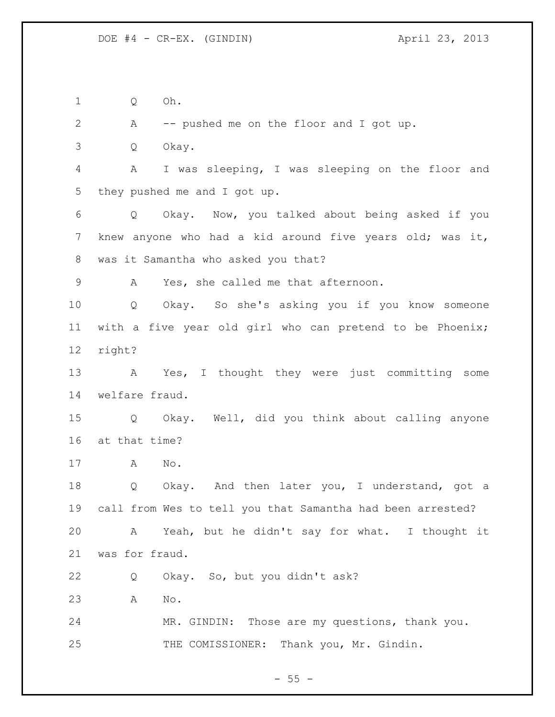Q Oh.

A -- pushed me on the floor and I got up.

Q Okay.

 A I was sleeping, I was sleeping on the floor and they pushed me and I got up.

 Q Okay. Now, you talked about being asked if you knew anyone who had a kid around five years old; was it, was it Samantha who asked you that?

A Yes, she called me that afternoon.

 Q Okay. So she's asking you if you know someone with a five year old girl who can pretend to be Phoenix; right?

 A Yes, I thought they were just committing some welfare fraud.

 Q Okay. Well, did you think about calling anyone at that time?

A No.

18 Q Okay. And then later you, I understand, got a call from Wes to tell you that Samantha had been arrested? A Yeah, but he didn't say for what. I thought it was for fraud.

Q Okay. So, but you didn't ask?

A No.

 MR. GINDIN: Those are my questions, thank you. THE COMISSIONER: Thank you, Mr. Gindin.

 $- 55 -$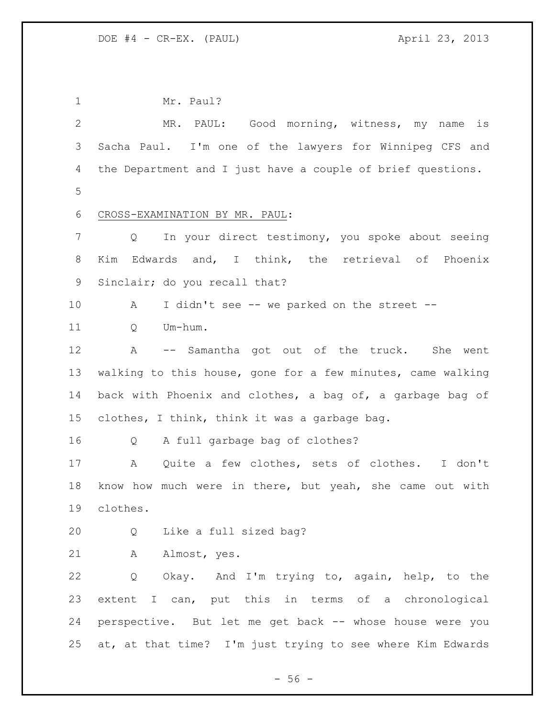| $\mathbf 1$    | Mr. Paul?                                                   |  |
|----------------|-------------------------------------------------------------|--|
| $\overline{2}$ | MR. PAUL: Good morning, witness, my name<br>is              |  |
| 3              | Sacha Paul. I'm one of the lawyers for Winnipeg CFS and     |  |
| 4              | the Department and I just have a couple of brief questions. |  |
| 5              |                                                             |  |
| 6              | CROSS-EXAMINATION BY MR. PAUL:                              |  |
| 7              | In your direct testimony, you spoke about seeing<br>Q       |  |
| 8              | Edwards and, I think, the retrieval of Phoenix<br>Kim       |  |
| 9              | Sinclair; do you recall that?                               |  |
| 10             | I didn't see -- we parked on the street --<br>A             |  |
| 11             | Um-hum.<br>Q                                                |  |
| 12             | -- Samantha got out of the truck.<br>A<br>She went          |  |
| 13             | walking to this house, gone for a few minutes, came walking |  |
| 14             | back with Phoenix and clothes, a bag of, a garbage bag of   |  |
| 15             | clothes, I think, think it was a garbage bag.               |  |
| 16             | A full garbage bag of clothes?<br>Q                         |  |
| 17             | Quite a few clothes, sets of clothes. I don't<br>Α          |  |
| 18             | know how much were in there, but yeah, she came out with    |  |
| 19             | clothes.                                                    |  |
| 20             | Like a full sized bag?<br>Q                                 |  |
| 21             | Α<br>Almost, yes.                                           |  |
| 22             | Okay. And I'm trying to, again, help, to the<br>Q           |  |
| 23             | extent I can, put this in terms of a chronological          |  |
| 24             | perspective. But let me get back -- whose house were you    |  |
| 25             | at, at that time? I'm just trying to see where Kim Edwards  |  |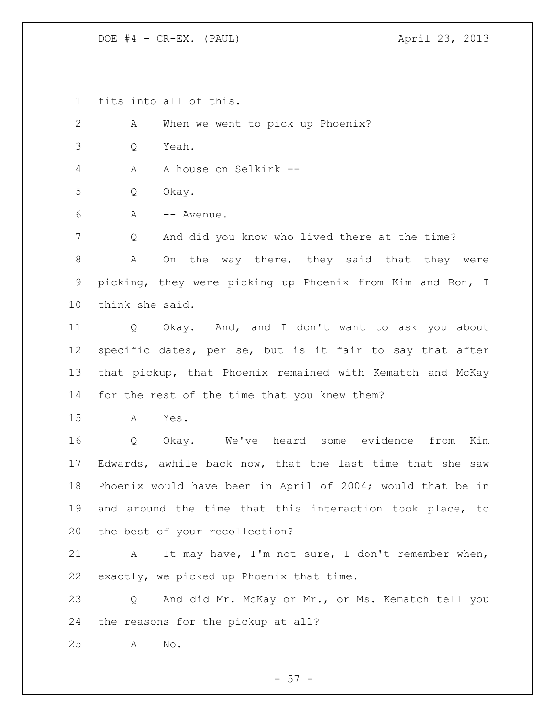DOE #4 - CR-EX. (PAUL) 4 april 23, 2013

fits into all of this.

 A When we went to pick up Phoenix? Q Yeah. A A house on Selkirk -- Q Okay. A -- Avenue. Q And did you know who lived there at the time? 8 A On the way there, they said that they were picking, they were picking up Phoenix from Kim and Ron, I think she said. Q Okay. And, and I don't want to ask you about specific dates, per se, but is it fair to say that after that pickup, that Phoenix remained with Kematch and McKay for the rest of the time that you knew them? A Yes. Q Okay. We've heard some evidence from Kim Edwards, awhile back now, that the last time that she saw Phoenix would have been in April of 2004; would that be in and around the time that this interaction took place, to the best of your recollection? A It may have, I'm not sure, I don't remember when, exactly, we picked up Phoenix that time. Q And did Mr. McKay or Mr., or Ms. Kematch tell you the reasons for the pickup at all? A No.

 $-57 -$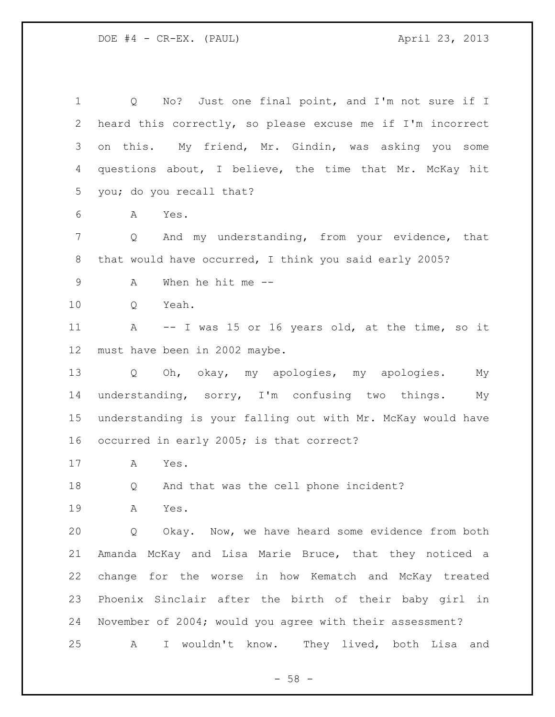DOE #4 - CR-EX. (PAUL) 4 april 23, 2013

 Q No? Just one final point, and I'm not sure if I heard this correctly, so please excuse me if I'm incorrect on this. My friend, Mr. Gindin, was asking you some questions about, I believe, the time that Mr. McKay hit you; do you recall that? A Yes. Q And my understanding, from your evidence, that 8 that would have occurred, I think you said early 2005? A When he hit me -- Q Yeah. A -- I was 15 or 16 years old, at the time, so it must have been in 2002 maybe. Q Oh, okay, my apologies, my apologies. My understanding, sorry, I'm confusing two things. My understanding is your falling out with Mr. McKay would have occurred in early 2005; is that correct? A Yes. Q And that was the cell phone incident? A Yes. Q Okay. Now, we have heard some evidence from both Amanda McKay and Lisa Marie Bruce, that they noticed a change for the worse in how Kematch and McKay treated Phoenix Sinclair after the birth of their baby girl in November of 2004; would you agree with their assessment? A I wouldn't know. They lived, both Lisa and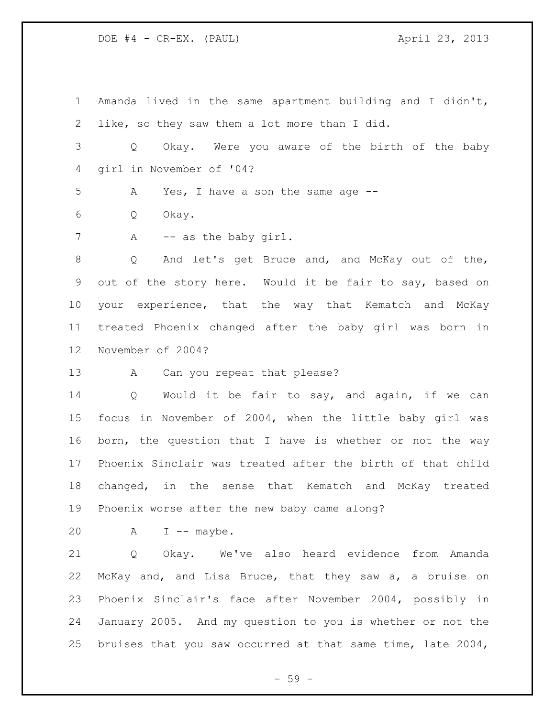DOE #4 - CR-EX. (PAUL) 4 april 23, 2013

 Amanda lived in the same apartment building and I didn't, like, so they saw them a lot more than I did. Q Okay. Were you aware of the birth of the baby girl in November of '04? A Yes, I have a son the same age -- Q Okay. 7 A -- as the baby girl. 8 Q And let's get Bruce and, and McKay out of the, out of the story here. Would it be fair to say, based on your experience, that the way that Kematch and McKay treated Phoenix changed after the baby girl was born in November of 2004? 13 A Can you repeat that please? Q Would it be fair to say, and again, if we can focus in November of 2004, when the little baby girl was born, the question that I have is whether or not the way Phoenix Sinclair was treated after the birth of that child changed, in the sense that Kematch and McKay treated Phoenix worse after the new baby came along?  $A \tI$  -- maybe. Q Okay. We've also heard evidence from Amanda McKay and, and Lisa Bruce, that they saw a, a bruise on Phoenix Sinclair's face after November 2004, possibly in

bruises that you saw occurred at that same time, late 2004,

January 2005. And my question to you is whether or not the

- 59 -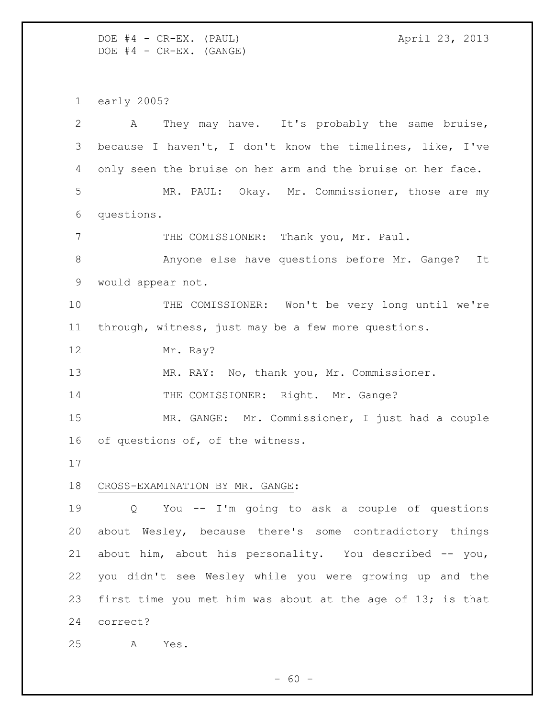DOE #4 - CR-EX. (PAUL) 4 april 23, 2013  $DOE$   $#4$  -  $CR-EX.$  (GANGE)

early 2005?

 A They may have. It's probably the same bruise, because I haven't, I don't know the timelines, like, I've only seen the bruise on her arm and the bruise on her face. MR. PAUL: Okay. Mr. Commissioner, those are my questions. 7 THE COMISSIONER: Thank you, Mr. Paul. Anyone else have questions before Mr. Gange? It would appear not. THE COMISSIONER: Won't be very long until we're through, witness, just may be a few more questions. Mr. Ray? MR. RAY: No, thank you, Mr. Commissioner. 14 THE COMISSIONER: Right. Mr. Gange? MR. GANGE: Mr. Commissioner, I just had a couple 16 of questions of, of the witness. CROSS-EXAMINATION BY MR. GANGE: Q You -- I'm going to ask a couple of questions about Wesley, because there's some contradictory things about him, about his personality. You described -- you, you didn't see Wesley while you were growing up and the first time you met him was about at the age of 13; is that correct? A Yes.

 $- 60 -$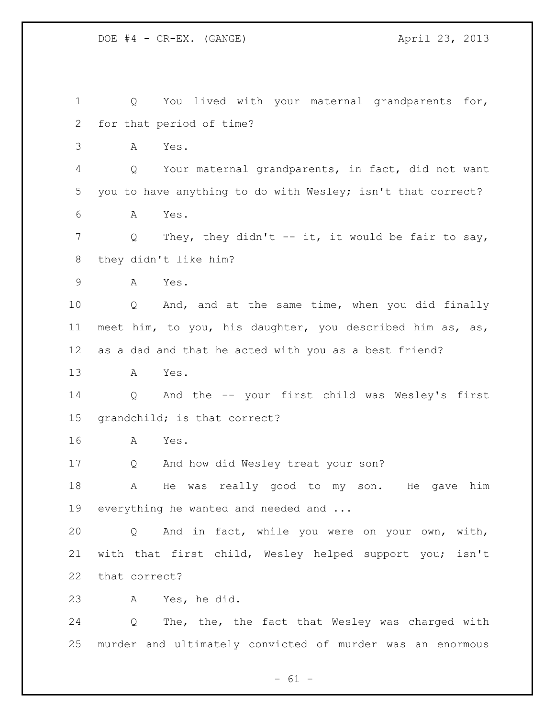DOE #4 - CR-EX. (GANGE) 23, 2013

 Q You lived with your maternal grandparents for, for that period of time? A Yes. Q Your maternal grandparents, in fact, did not want you to have anything to do with Wesley; isn't that correct? A Yes. Q They, they didn't -- it, it would be fair to say, they didn't like him? A Yes. Q And, and at the same time, when you did finally meet him, to you, his daughter, you described him as, as, as a dad and that he acted with you as a best friend? A Yes. Q And the -- your first child was Wesley's first grandchild; is that correct? A Yes. Q And how did Wesley treat your son? A He was really good to my son. He gave him 19 everything he wanted and needed and ... Q And in fact, while you were on your own, with, with that first child, Wesley helped support you; isn't that correct? A Yes, he did. Q The, the, the fact that Wesley was charged with murder and ultimately convicted of murder was an enormous

 $- 61 -$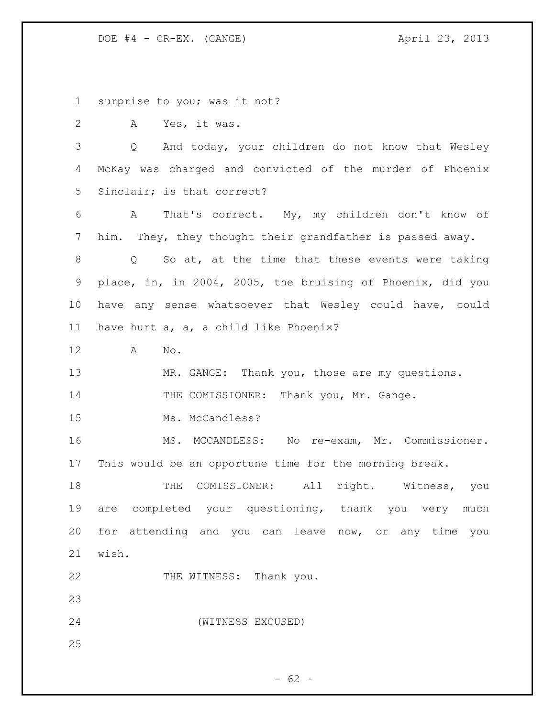DOE #4 - CR-EX. (GANGE) 23, 2013

surprise to you; was it not?

A Yes, it was.

 Q And today, your children do not know that Wesley McKay was charged and convicted of the murder of Phoenix Sinclair; is that correct?

 A That's correct. My, my children don't know of him. They, they thought their grandfather is passed away.

 Q So at, at the time that these events were taking place, in, in 2004, 2005, the bruising of Phoenix, did you have any sense whatsoever that Wesley could have, could have hurt a, a, a child like Phoenix?

A No.

13 MR. GANGE: Thank you, those are my questions.

14 THE COMISSIONER: Thank you, Mr. Gange.

15 Ms. McCandless?

 MS. MCCANDLESS: No re-exam, Mr. Commissioner. This would be an opportune time for the morning break.

18 THE COMISSIONER: All right. Witness, you are completed your questioning, thank you very much for attending and you can leave now, or any time you wish.

22 THE WITNESS: Thank you.

(WITNESS EXCUSED)

 $- 62 -$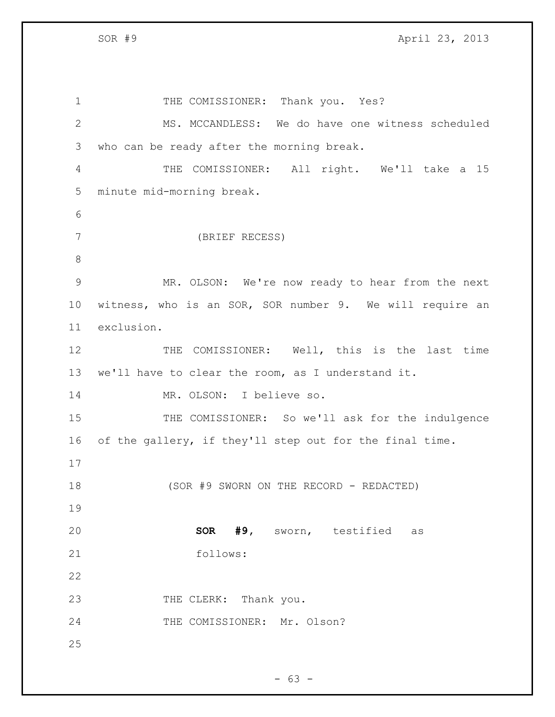1 THE COMISSIONER: Thank you. Yes? MS. MCCANDLESS: We do have one witness scheduled who can be ready after the morning break. THE COMISSIONER: All right. We'll take a 15 minute mid-morning break. (BRIEF RECESS) MR. OLSON: We're now ready to hear from the next witness, who is an SOR, SOR number 9. We will require an exclusion. THE COMISSIONER: Well, this is the last time we'll have to clear the room, as I understand it. MR. OLSON: I believe so. 15 THE COMISSIONER: So we'll ask for the indulgence of the gallery, if they'll step out for the final time. (SOR #9 SWORN ON THE RECORD - REDACTED) **SOR #9,** sworn, testified as follows: 23 THE CLERK: Thank you. 24 THE COMISSIONER: Mr. Olson? 

 $- 63 -$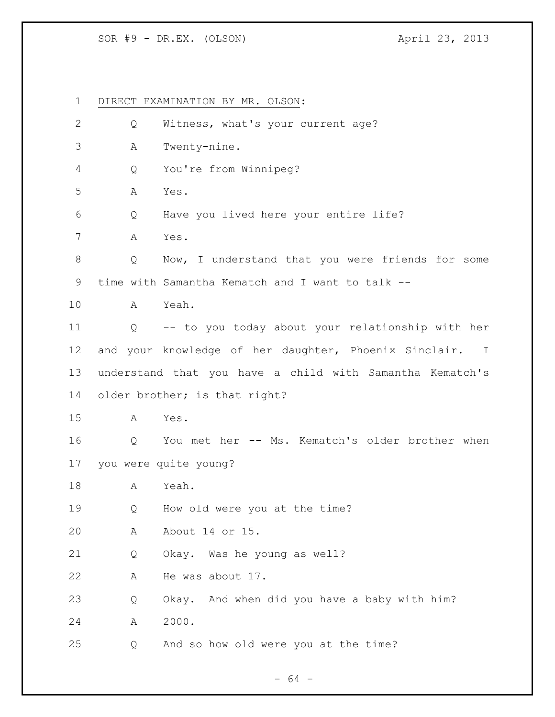## SOR #9 - DR.EX. (OLSON) 4pril 23, 2013

 DIRECT EXAMINATION BY MR. OLSON: Q Witness, what's your current age? A Twenty-nine. Q You're from Winnipeg? A Yes. Q Have you lived here your entire life? A Yes. Q Now, I understand that you were friends for some time with Samantha Kematch and I want to talk -- A Yeah. Q -- to you today about your relationship with her and your knowledge of her daughter, Phoenix Sinclair. I understand that you have a child with Samantha Kematch's older brother; is that right? A Yes. Q You met her -- Ms. Kematch's older brother when you were quite young? A Yeah. Q How old were you at the time? A About 14 or 15. Q Okay. Was he young as well? A He was about 17. Q Okay. And when did you have a baby with him? A 2000. Q And so how old were you at the time?

- 64 -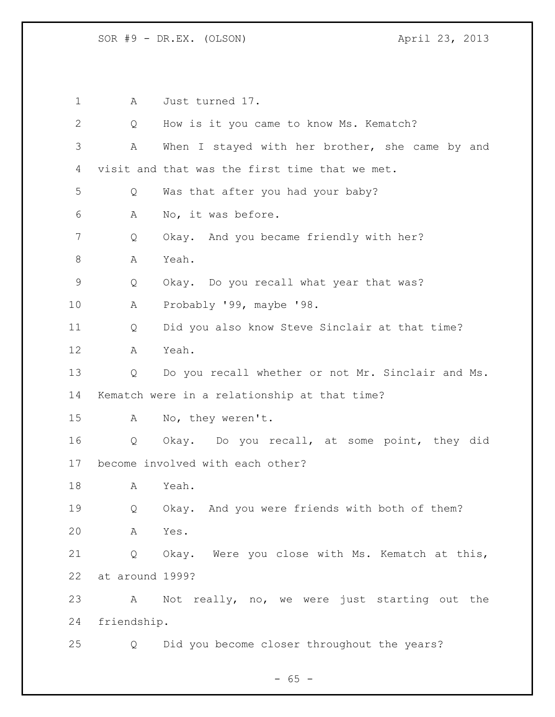A Just turned 17. Q How is it you came to know Ms. Kematch? A When I stayed with her brother, she came by and visit and that was the first time that we met. Q Was that after you had your baby? A No, it was before. Q Okay. And you became friendly with her? A Yeah. Q Okay. Do you recall what year that was? A Probably '99, maybe '98. Q Did you also know Steve Sinclair at that time? A Yeah. Q Do you recall whether or not Mr. Sinclair and Ms. Kematch were in a relationship at that time? A No, they weren't. Q Okay. Do you recall, at some point, they did become involved with each other? A Yeah. Q Okay. And you were friends with both of them? A Yes. Q Okay. Were you close with Ms. Kematch at this, at around 1999? A Not really, no, we were just starting out the friendship. Q Did you become closer throughout the years?

 $- 65 -$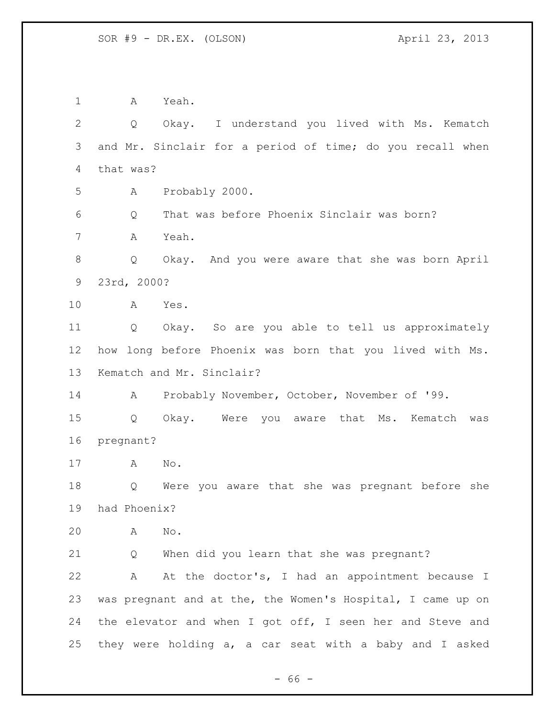A Yeah. Q Okay. I understand you lived with Ms. Kematch and Mr. Sinclair for a period of time; do you recall when that was? A Probably 2000. Q That was before Phoenix Sinclair was born? A Yeah. Q Okay. And you were aware that she was born April 23rd, 2000? A Yes. Q Okay. So are you able to tell us approximately how long before Phoenix was born that you lived with Ms. Kematch and Mr. Sinclair? A Probably November, October, November of '99. Q Okay. Were you aware that Ms. Kematch was pregnant? A No. Q Were you aware that she was pregnant before she had Phoenix? A No. Q When did you learn that she was pregnant? A At the doctor's, I had an appointment because I was pregnant and at the, the Women's Hospital, I came up on the elevator and when I got off, I seen her and Steve and they were holding a, a car seat with a baby and I asked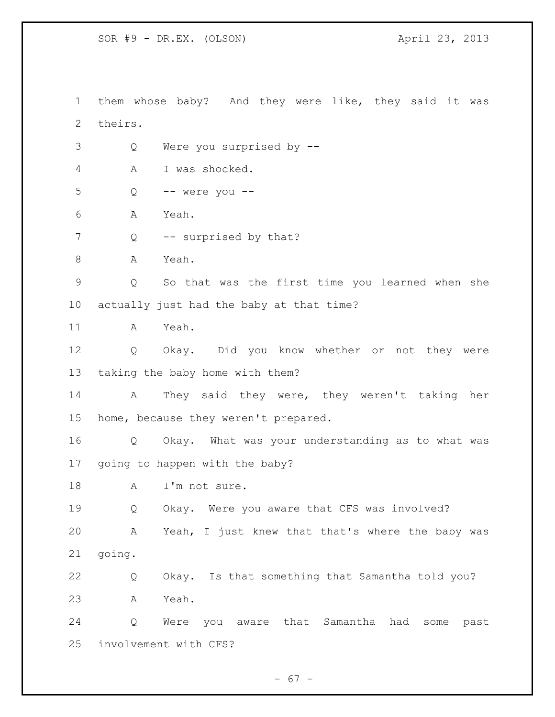SOR #9 - DR.EX. (OLSON) 4pril 23, 2013

 them whose baby? And they were like, they said it was theirs. Q Were you surprised by -- A I was shocked. Q -- were you -- A Yeah. 7 Q -- surprised by that? 8 A Yeah. Q So that was the first time you learned when she actually just had the baby at that time? A Yeah. Q Okay. Did you know whether or not they were taking the baby home with them? A They said they were, they weren't taking her home, because they weren't prepared. Q Okay. What was your understanding as to what was going to happen with the baby? 18 A I'm not sure. Q Okay. Were you aware that CFS was involved? A Yeah, I just knew that that's where the baby was going. Q Okay. Is that something that Samantha told you? A Yeah. Q Were you aware that Samantha had some past involvement with CFS?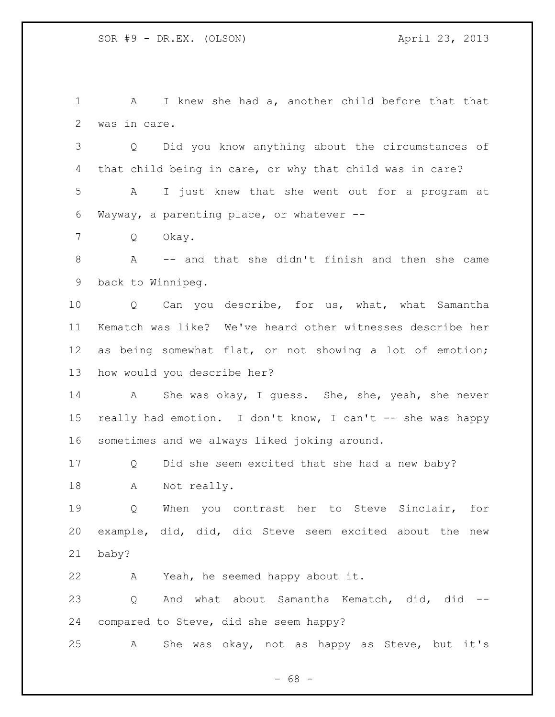A I knew she had a, another child before that that was in care.

 Q Did you know anything about the circumstances of that child being in care, or why that child was in care?

 A I just knew that she went out for a program at Wayway, a parenting place, or whatever --

Q Okay.

 A -- and that she didn't finish and then she came back to Winnipeg.

10 Q Can you describe, for us, what, what Samantha Kematch was like? We've heard other witnesses describe her as being somewhat flat, or not showing a lot of emotion; how would you describe her?

 A She was okay, I guess. She, she, yeah, she never really had emotion. I don't know, I can't -- she was happy sometimes and we always liked joking around.

 Q Did she seem excited that she had a new baby? A Not really.

 Q When you contrast her to Steve Sinclair, for example, did, did, did Steve seem excited about the new baby?

A Yeah, he seemed happy about it.

23 Q And what about Samantha Kematch, did, did --compared to Steve, did she seem happy?

A She was okay, not as happy as Steve, but it's

- 68 -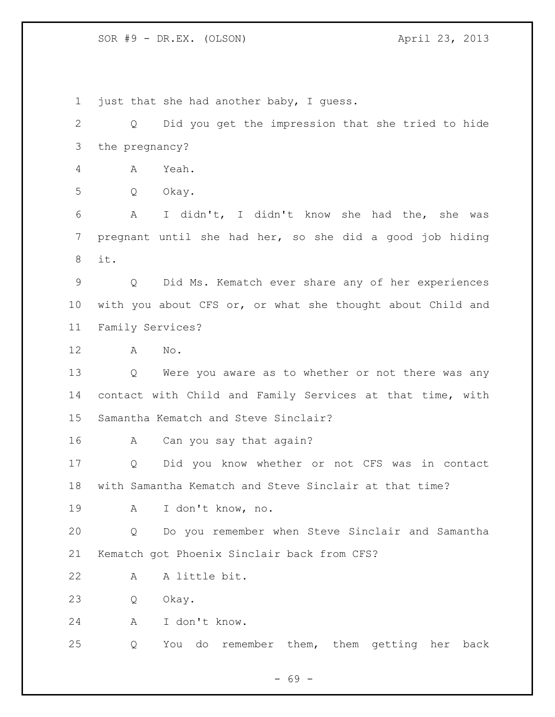SOR #9 - DR.EX. (OLSON) 4pril 23, 2013

1 just that she had another baby, I quess. Q Did you get the impression that she tried to hide the pregnancy? A Yeah. Q Okay. A I didn't, I didn't know she had the, she was pregnant until she had her, so she did a good job hiding it. Q Did Ms. Kematch ever share any of her experiences with you about CFS or, or what she thought about Child and Family Services? A No. Q Were you aware as to whether or not there was any contact with Child and Family Services at that time, with Samantha Kematch and Steve Sinclair? A Can you say that again? Q Did you know whether or not CFS was in contact with Samantha Kematch and Steve Sinclair at that time? A I don't know, no. Q Do you remember when Steve Sinclair and Samantha Kematch got Phoenix Sinclair back from CFS? A A little bit. Q Okay. A I don't know. Q You do remember them, them getting her back

- 69 -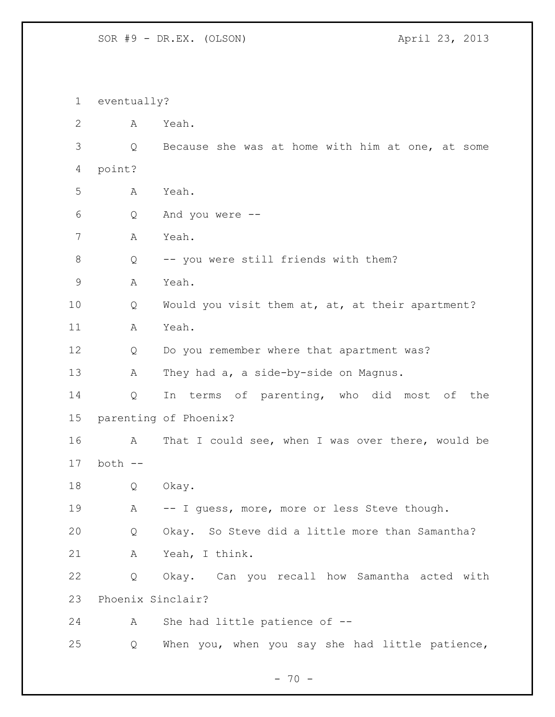eventually? A Yeah. Q Because she was at home with him at one, at some point? A Yeah. Q And you were -- A Yeah. 8 Q -- you were still friends with them? A Yeah. Q Would you visit them at, at, at their apartment? A Yeah. 12 Q Do you remember where that apartment was? A They had a, a side-by-side on Magnus. Q In terms of parenting, who did most of the parenting of Phoenix? A That I could see, when I was over there, would be both -- Q Okay. 19 A -- I guess, more, more or less Steve though. Q Okay. So Steve did a little more than Samantha? A Yeah, I think. Q Okay. Can you recall how Samantha acted with Phoenix Sinclair? A She had little patience of -- Q When you, when you say she had little patience,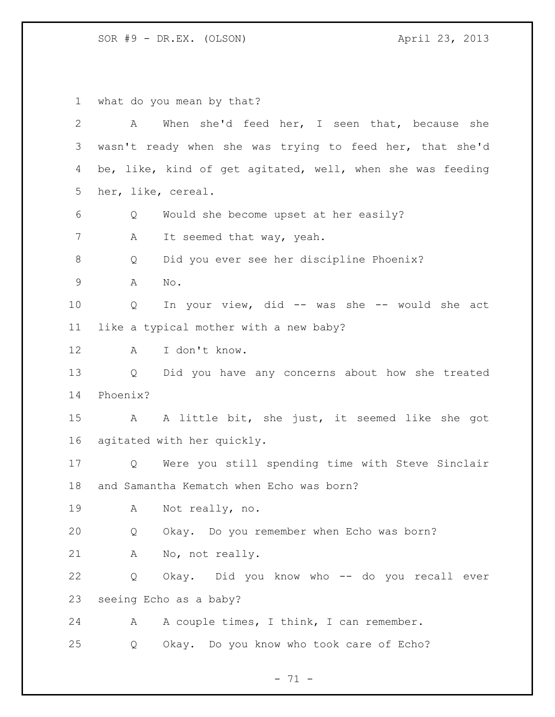what do you mean by that? A When she'd feed her, I seen that, because she wasn't ready when she was trying to feed her, that she'd be, like, kind of get agitated, well, when she was feeding her, like, cereal. Q Would she become upset at her easily? 7 A It seemed that way, yeah. Q Did you ever see her discipline Phoenix? A No. Q In your view, did -- was she -- would she act like a typical mother with a new baby? A I don't know. Q Did you have any concerns about how she treated Phoenix? A A little bit, she just, it seemed like she got agitated with her quickly. Q Were you still spending time with Steve Sinclair and Samantha Kematch when Echo was born? A Not really, no. Q Okay. Do you remember when Echo was born? A No, not really. Q Okay. Did you know who -- do you recall ever seeing Echo as a baby? 24 A A couple times, I think, I can remember. Q Okay. Do you know who took care of Echo?

- 71 -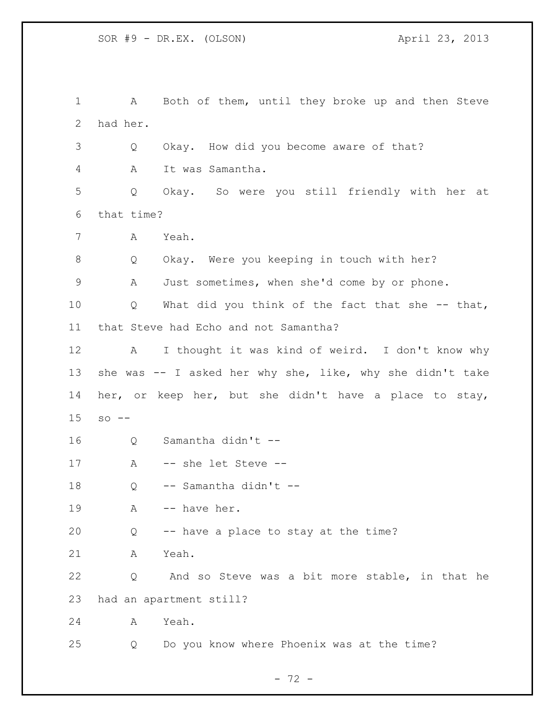A Both of them, until they broke up and then Steve had her. Q Okay. How did you become aware of that? A It was Samantha. Q Okay. So were you still friendly with her at that time? A Yeah. Q Okay. Were you keeping in touch with her? A Just sometimes, when she'd come by or phone. Q What did you think of the fact that she -- that, that Steve had Echo and not Samantha? A I thought it was kind of weird. I don't know why she was -- I asked her why she, like, why she didn't take her, or keep her, but she didn't have a place to stay, so  $-$  Q Samantha didn't -- A -- she let Steve -- Q -- Samantha didn't -- 19 A -- have her. Q -- have a place to stay at the time? A Yeah. Q And so Steve was a bit more stable, in that he had an apartment still? A Yeah. Q Do you know where Phoenix was at the time?

 $- 72 -$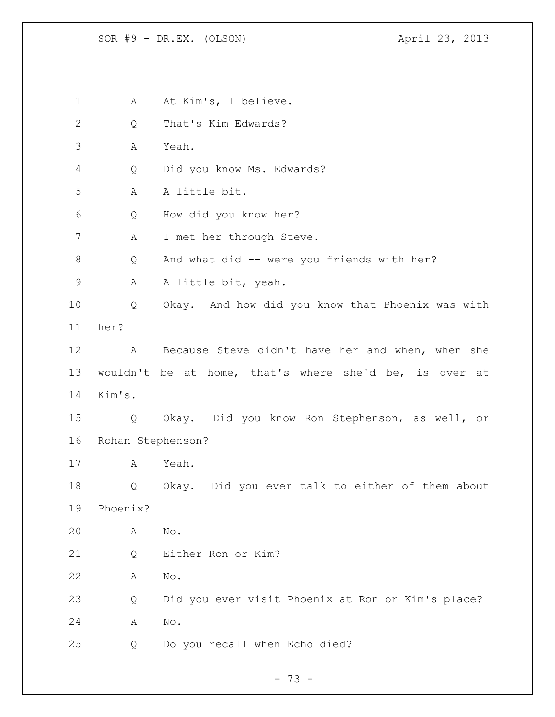1 A At Kim's, I believe. Q That's Kim Edwards? A Yeah. Q Did you know Ms. Edwards? A A little bit. Q How did you know her? A I met her through Steve. 8 Q And what did -- were you friends with her? 9 A A little bit, yeah. Q Okay. And how did you know that Phoenix was with her? A Because Steve didn't have her and when, when she wouldn't be at home, that's where she'd be, is over at Kim's. Q Okay. Did you know Ron Stephenson, as well, or Rohan Stephenson? A Yeah. Q Okay. Did you ever talk to either of them about Phoenix? A No. Q Either Ron or Kim? A No. Q Did you ever visit Phoenix at Ron or Kim's place? A No. Q Do you recall when Echo died?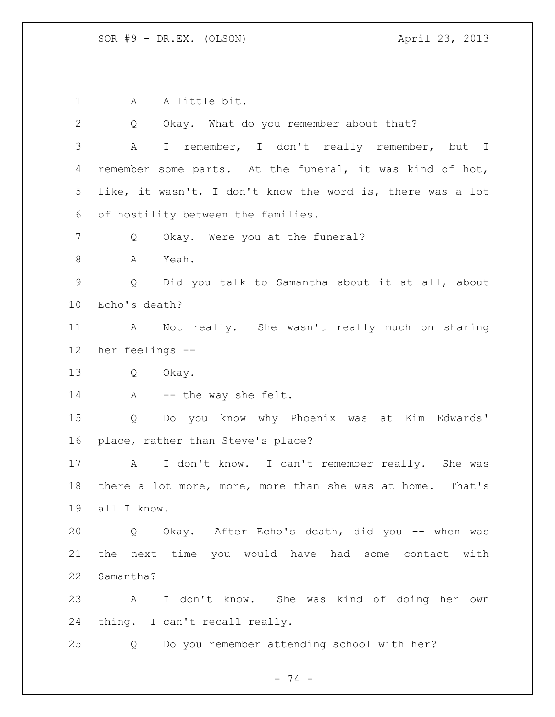A A little bit. Q Okay. What do you remember about that? A I remember, I don't really remember, but I remember some parts. At the funeral, it was kind of hot, like, it wasn't, I don't know the word is, there was a lot of hostility between the families. 7 Q Okay. Were you at the funeral? A Yeah. Q Did you talk to Samantha about it at all, about Echo's death? A Not really. She wasn't really much on sharing her feelings -- Q Okay. 14 A -- the way she felt. Q Do you know why Phoenix was at Kim Edwards' place, rather than Steve's place? A I don't know. I can't remember really. She was there a lot more, more, more than she was at home. That's all I know. Q Okay. After Echo's death, did you -- when was the next time you would have had some contact with Samantha? A I don't know. She was kind of doing her own thing. I can't recall really. Q Do you remember attending school with her?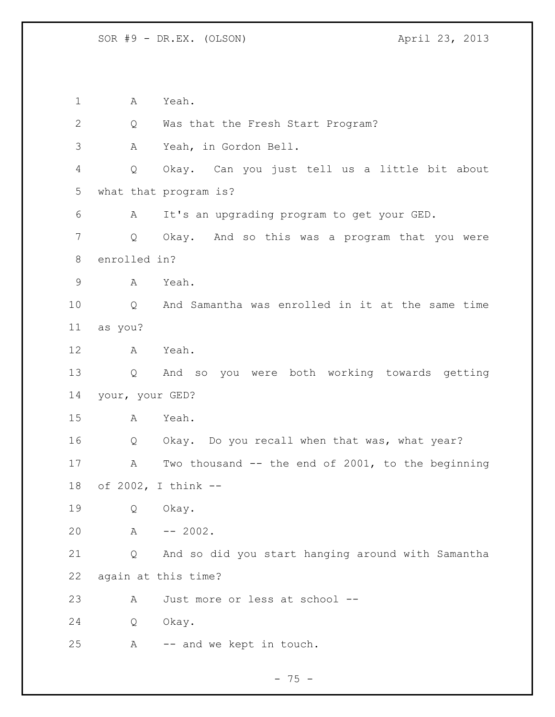A Yeah. 2 Q Was that the Fresh Start Program? A Yeah, in Gordon Bell. Q Okay. Can you just tell us a little bit about what that program is? A It's an upgrading program to get your GED. Q Okay. And so this was a program that you were enrolled in? A Yeah. Q And Samantha was enrolled in it at the same time as you? A Yeah. Q And so you were both working towards getting your, your GED? A Yeah. Q Okay. Do you recall when that was, what year? A Two thousand -- the end of 2001, to the beginning of 2002, I think -- Q Okay. A -- 2002. Q And so did you start hanging around with Samantha again at this time? A Just more or less at school -- Q Okay. A -- and we kept in touch.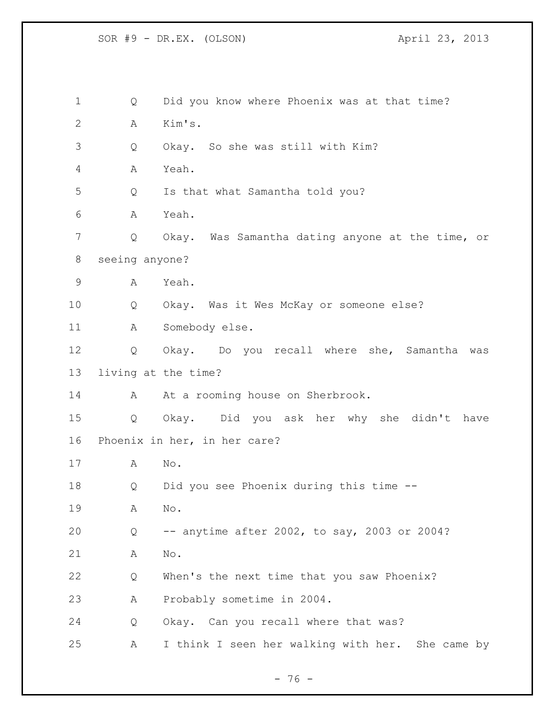Q Did you know where Phoenix was at that time? A Kim's. Q Okay. So she was still with Kim? A Yeah. Q Is that what Samantha told you? A Yeah. Q Okay. Was Samantha dating anyone at the time, or seeing anyone? A Yeah. Q Okay. Was it Wes McKay or someone else? A Somebody else. Q Okay. Do you recall where she, Samantha was living at the time? 14 A At a rooming house on Sherbrook. Q Okay. Did you ask her why she didn't have Phoenix in her, in her care? A No. Q Did you see Phoenix during this time -- A No. Q -- anytime after 2002, to say, 2003 or 2004? A No. Q When's the next time that you saw Phoenix? A Probably sometime in 2004. Q Okay. Can you recall where that was? A I think I seen her walking with her. She came by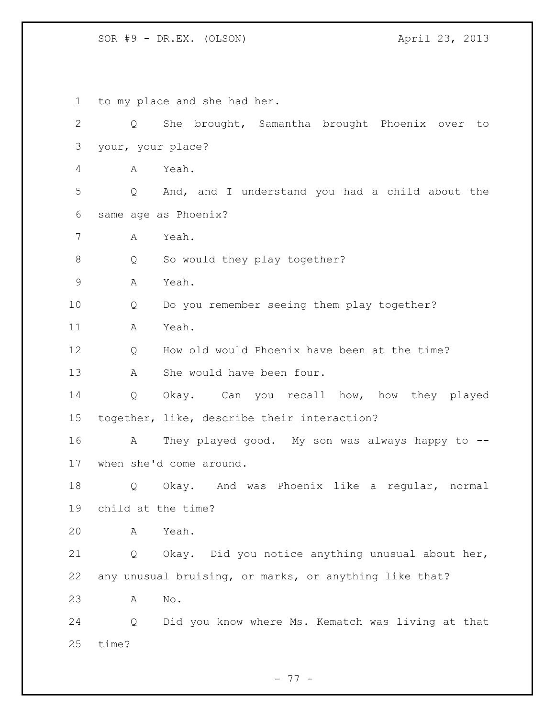| $\mathbf 1$  | to my place and she had her. |                                                        |  |
|--------------|------------------------------|--------------------------------------------------------|--|
| $\mathbf{2}$ | $Q \qquad \qquad$            | She brought, Samantha brought Phoenix over<br>to       |  |
| 3            | your, your place?            |                                                        |  |
| 4            | A                            | Yeah.                                                  |  |
| 5            | Q                            | And, and I understand you had a child about the        |  |
| 6            |                              | same age as Phoenix?                                   |  |
| 7            | А                            | Yeah.                                                  |  |
| 8            | Q                            | So would they play together?                           |  |
| $\mathsf 9$  | Α                            | Yeah.                                                  |  |
| 10           | Q                            | Do you remember seeing them play together?             |  |
| 11           | Α                            | Yeah.                                                  |  |
| 12           | Q                            | How old would Phoenix have been at the time?           |  |
| 13           | А                            | She would have been four.                              |  |
| 14           | Q                            | Okay. Can you recall how, how they played              |  |
| 15           |                              | together, like, describe their interaction?            |  |
| 16           | A                            | They played good. My son was always happy to --        |  |
| 17           |                              | when she'd come around.                                |  |
| 18           | Q                            | Okay. And was Phoenix like a regular, normal           |  |
| 19           | child at the time?           |                                                        |  |
| 20           | Α                            | Yeah.                                                  |  |
| 21           | Q                            | Okay. Did you notice anything unusual about her,       |  |
| 22           |                              | any unusual bruising, or marks, or anything like that? |  |
| 23           | Α                            | $\mathop{\rm No}\nolimits$ .                           |  |
| 24           | Q                            | Did you know where Ms. Kematch was living at that      |  |
| 25           | time?                        |                                                        |  |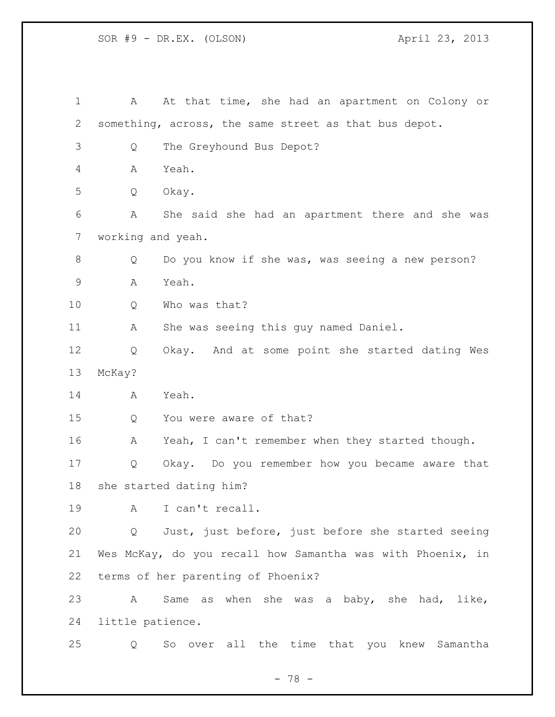| 1     | A                       | At that time, she had an apartment on Colony or            |
|-------|-------------------------|------------------------------------------------------------|
| 2     |                         | something, across, the same street as that bus depot.      |
| 3     | Q                       | The Greyhound Bus Depot?                                   |
| 4     | Α                       | Yeah.                                                      |
| 5     | Q                       | Okay.                                                      |
| 6     | Α                       | She said she had an apartment there and she was            |
| 7     | working and yeah.       |                                                            |
| $8\,$ | Q                       | Do you know if she was, was seeing a new person?           |
| 9     | Α                       | Yeah.                                                      |
| 10    | Q                       | Who was that?                                              |
| 11    | Α                       | She was seeing this guy named Daniel.                      |
| 12    | Q                       | Okay. And at some point she started dating Wes             |
| 13    | McKay?                  |                                                            |
| 14    | A                       | Yeah.                                                      |
| 15    | Q                       | You were aware of that?                                    |
| 16    | А                       | Yeah, I can't remember when they started though.           |
| 17    | Q                       | Okay. Do you remember how you became aware that            |
| 18    | she started dating him? |                                                            |
| 19    | Α                       | I can't recall.                                            |
| 20    | Q                       | Just, just before, just before she started seeing          |
| 21    |                         | Wes McKay, do you recall how Samantha was with Phoenix, in |
| 22    |                         | terms of her parenting of Phoenix?                         |
| 23    | A                       | when she was a baby, she had, like,<br>Same as             |
| 24    | little patience.        |                                                            |
| 25    | Q                       | over all the time that you knew Samantha<br>So             |

- 78 -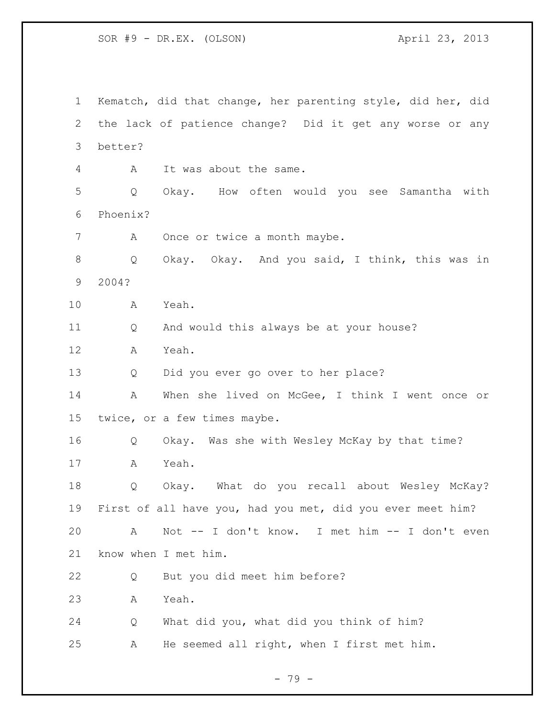Kematch, did that change, her parenting style, did her, did the lack of patience change? Did it get any worse or any better? A It was about the same. Q Okay. How often would you see Samantha with Phoenix? 7 A Once or twice a month maybe. Q Okay. Okay. And you said, I think, this was in 2004? A Yeah. Q And would this always be at your house? A Yeah. Q Did you ever go over to her place? A When she lived on McGee, I think I went once or twice, or a few times maybe. Q Okay. Was she with Wesley McKay by that time? A Yeah. Q Okay. What do you recall about Wesley McKay? First of all have you, had you met, did you ever meet him? A Not -- I don't know. I met him -- I don't even know when I met him. Q But you did meet him before? A Yeah. Q What did you, what did you think of him? A He seemed all right, when I first met him.

- 79 -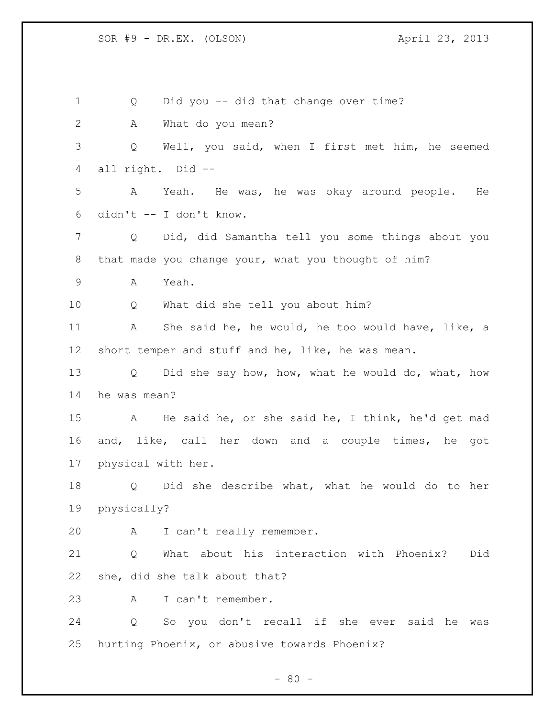Q Did you -- did that change over time? A What do you mean? Q Well, you said, when I first met him, he seemed all right. Did -- A Yeah. He was, he was okay around people. He didn't -- I don't know. Q Did, did Samantha tell you some things about you that made you change your, what you thought of him? A Yeah. Q What did she tell you about him? A She said he, he would, he too would have, like, a short temper and stuff and he, like, he was mean. Q Did she say how, how, what he would do, what, how he was mean? A He said he, or she said he, I think, he'd get mad and, like, call her down and a couple times, he got physical with her. Q Did she describe what, what he would do to her physically? A I can't really remember. Q What about his interaction with Phoenix? Did she, did she talk about that? A I can't remember. Q So you don't recall if she ever said he was hurting Phoenix, or abusive towards Phoenix?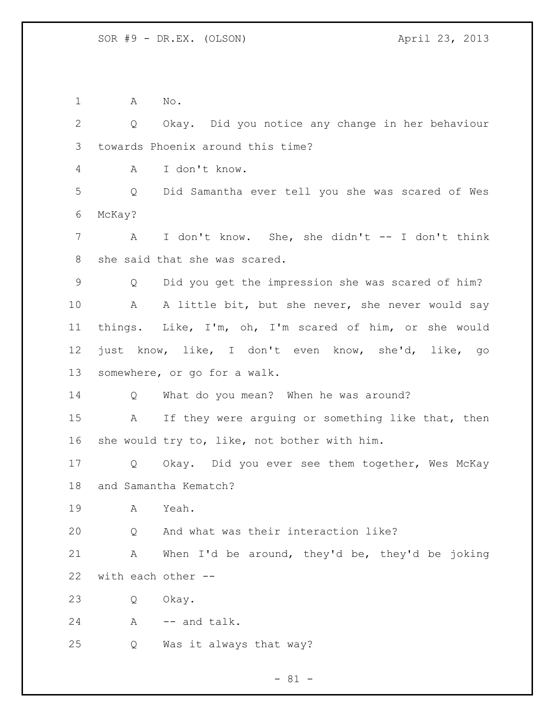A No.

 Q Okay. Did you notice any change in her behaviour towards Phoenix around this time? A I don't know. Q Did Samantha ever tell you she was scared of Wes McKay? A I don't know. She, she didn't -- I don't think she said that she was scared. Q Did you get the impression she was scared of him? A A little bit, but she never, she never would say things. Like, I'm, oh, I'm scared of him, or she would just know, like, I don't even know, she'd, like, go somewhere, or go for a walk. Q What do you mean? When he was around? A If they were arguing or something like that, then she would try to, like, not bother with him. Q Okay. Did you ever see them together, Wes McKay and Samantha Kematch? A Yeah. Q And what was their interaction like? A When I'd be around, they'd be, they'd be joking with each other -- Q Okay. 24 A -- and talk. Q Was it always that way?

 $- 81 -$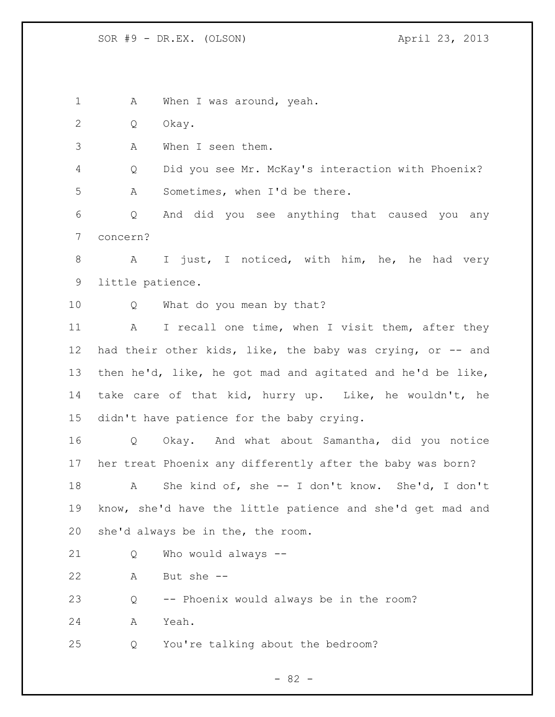1 A When I was around, yeah. Q Okay. A When I seen them. Q Did you see Mr. McKay's interaction with Phoenix? A Sometimes, when I'd be there. Q And did you see anything that caused you any concern? A I just, I noticed, with him, he, he had very little patience. Q What do you mean by that? 11 A I recall one time, when I visit them, after they had their other kids, like, the baby was crying, or -- and then he'd, like, he got mad and agitated and he'd be like, take care of that kid, hurry up. Like, he wouldn't, he didn't have patience for the baby crying. Q Okay. And what about Samantha, did you notice her treat Phoenix any differently after the baby was born? A She kind of, she -- I don't know. She'd, I don't know, she'd have the little patience and she'd get mad and she'd always be in the, the room. Q Who would always -- A But she -- Q -- Phoenix would always be in the room? A Yeah. Q You're talking about the bedroom?

- 82 -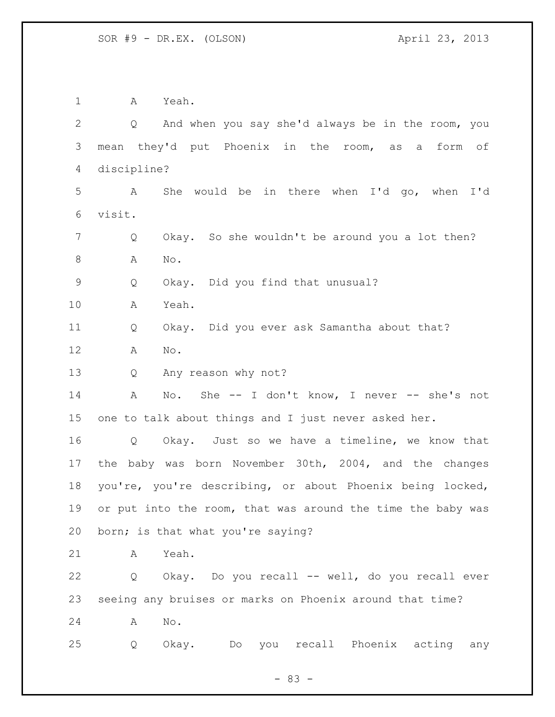A Yeah. Q And when you say she'd always be in the room, you mean they'd put Phoenix in the room, as a form of discipline? A She would be in there when I'd go, when I'd visit. Q Okay. So she wouldn't be around you a lot then? 8 A No. Q Okay. Did you find that unusual? A Yeah. Q Okay. Did you ever ask Samantha about that? A No. Q Any reason why not? A No. She -- I don't know, I never -- she's not one to talk about things and I just never asked her. Q Okay. Just so we have a timeline, we know that the baby was born November 30th, 2004, and the changes you're, you're describing, or about Phoenix being locked, 19 or put into the room, that was around the time the baby was born; is that what you're saying? A Yeah. Q Okay. Do you recall -- well, do you recall ever seeing any bruises or marks on Phoenix around that time? A No. Q Okay. Do you recall Phoenix acting any

 $- 83 -$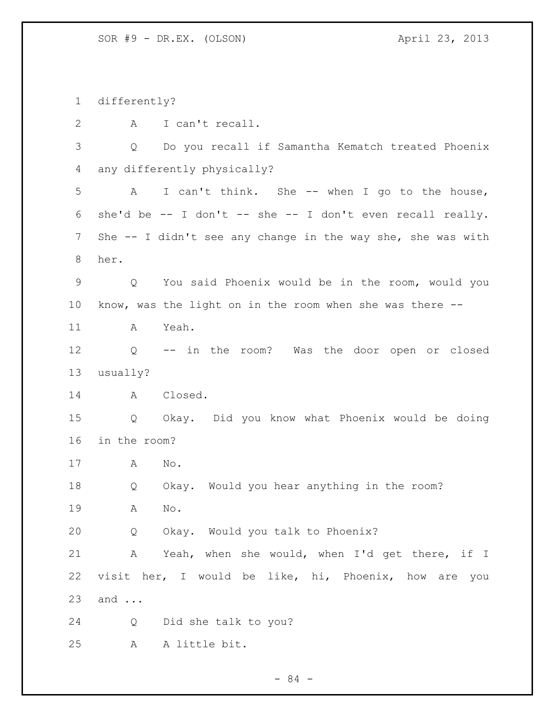differently? A I can't recall. Q Do you recall if Samantha Kematch treated Phoenix any differently physically? A I can't think. She -- when I go to the house, she'd be -- I don't -- she -- I don't even recall really. She -- I didn't see any change in the way she, she was with her. Q You said Phoenix would be in the room, would you know, was the light on in the room when she was there -- A Yeah. Q -- in the room? Was the door open or closed usually? A Closed. Q Okay. Did you know what Phoenix would be doing in the room? A No. Q Okay. Would you hear anything in the room? A No. Q Okay. Would you talk to Phoenix? A Yeah, when she would, when I'd get there, if I visit her, I would be like, hi, Phoenix, how are you and ... Q Did she talk to you? A A little bit.

- 84 -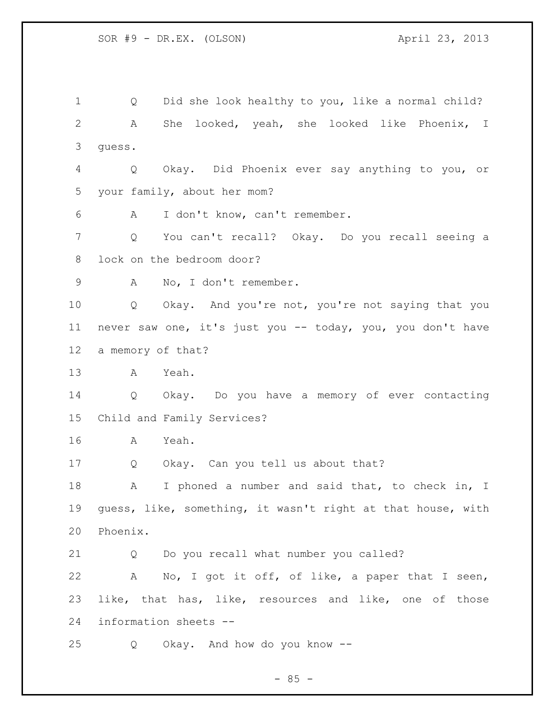Q Did she look healthy to you, like a normal child? A She looked, yeah, she looked like Phoenix, I guess. Q Okay. Did Phoenix ever say anything to you, or your family, about her mom? A I don't know, can't remember. Q You can't recall? Okay. Do you recall seeing a lock on the bedroom door? A No, I don't remember. Q Okay. And you're not, you're not saying that you never saw one, it's just you -- today, you, you don't have a memory of that? A Yeah. Q Okay. Do you have a memory of ever contacting Child and Family Services? A Yeah. Q Okay. Can you tell us about that? 18 A I phoned a number and said that, to check in, I guess, like, something, it wasn't right at that house, with Phoenix. Q Do you recall what number you called? A No, I got it off, of like, a paper that I seen, like, that has, like, resources and like, one of those information sheets -- Q Okay. And how do you know --

 $- 85 -$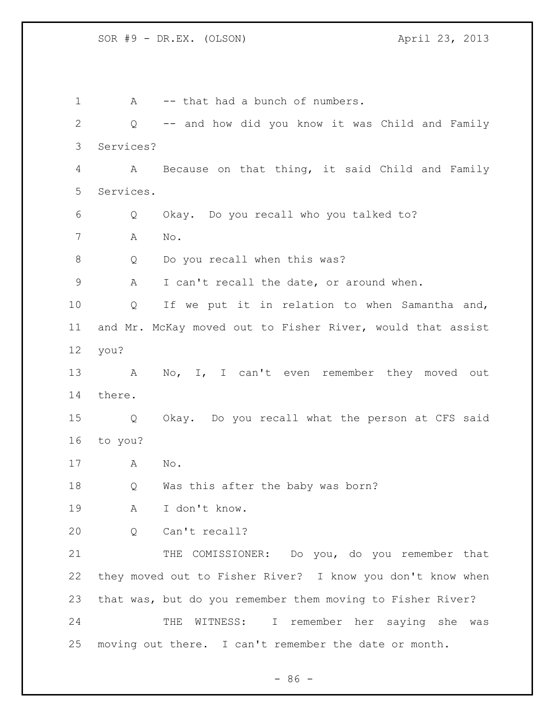1 A -- that had a bunch of numbers. Q -- and how did you know it was Child and Family Services? A Because on that thing, it said Child and Family Services. Q Okay. Do you recall who you talked to? A No. Q Do you recall when this was? A I can't recall the date, or around when. Q If we put it in relation to when Samantha and, and Mr. McKay moved out to Fisher River, would that assist you? 13 A No, I, I can't even remember they moved out there. Q Okay. Do you recall what the person at CFS said to you? A No. Q Was this after the baby was born? A I don't know. Q Can't recall? 21 THE COMISSIONER: Do you, do you remember that they moved out to Fisher River? I know you don't know when that was, but do you remember them moving to Fisher River? THE WITNESS: I remember her saying she was moving out there. I can't remember the date or month.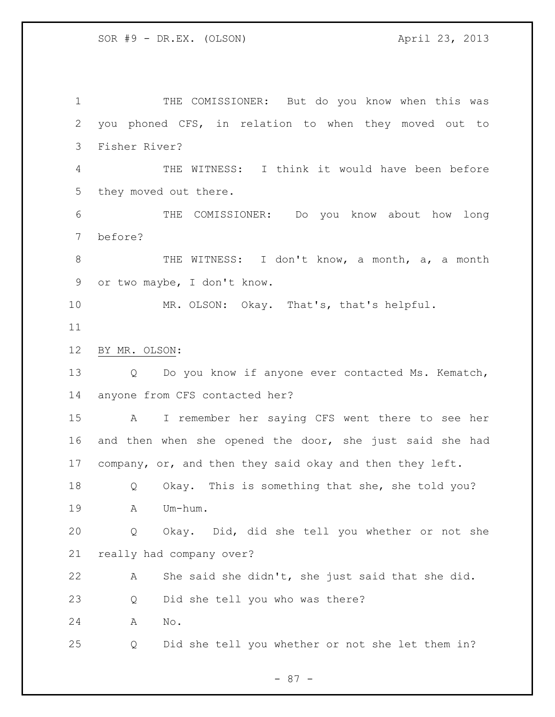THE COMISSIONER: But do you know when this was you phoned CFS, in relation to when they moved out to Fisher River? THE WITNESS: I think it would have been before they moved out there. THE COMISSIONER: Do you know about how long before? 8 THE WITNESS: I don't know, a month, a, a month or two maybe, I don't know. MR. OLSON: Okay. That's, that's helpful. BY MR. OLSON: Q Do you know if anyone ever contacted Ms. Kematch, anyone from CFS contacted her? A I remember her saying CFS went there to see her and then when she opened the door, she just said she had company, or, and then they said okay and then they left. Q Okay. This is something that she, she told you? A Um-hum. Q Okay. Did, did she tell you whether or not she really had company over? A She said she didn't, she just said that she did. Q Did she tell you who was there? A No. Q Did she tell you whether or not she let them in?

- 87 -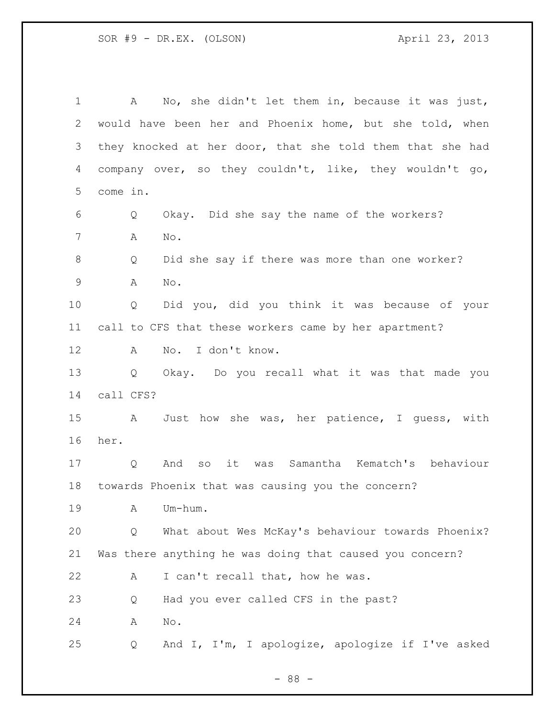A No, she didn't let them in, because it was just, would have been her and Phoenix home, but she told, when they knocked at her door, that she told them that she had company over, so they couldn't, like, they wouldn't go, come in. Q Okay. Did she say the name of the workers? A No. Q Did she say if there was more than one worker? A No. Q Did you, did you think it was because of your call to CFS that these workers came by her apartment? A No. I don't know. Q Okay. Do you recall what it was that made you call CFS? A Just how she was, her patience, I guess, with her. Q And so it was Samantha Kematch's behaviour towards Phoenix that was causing you the concern? A Um-hum. Q What about Wes McKay's behaviour towards Phoenix? Was there anything he was doing that caused you concern? 22 A I can't recall that, how he was. Q Had you ever called CFS in the past? A No. Q And I, I'm, I apologize, apologize if I've asked

- 88 -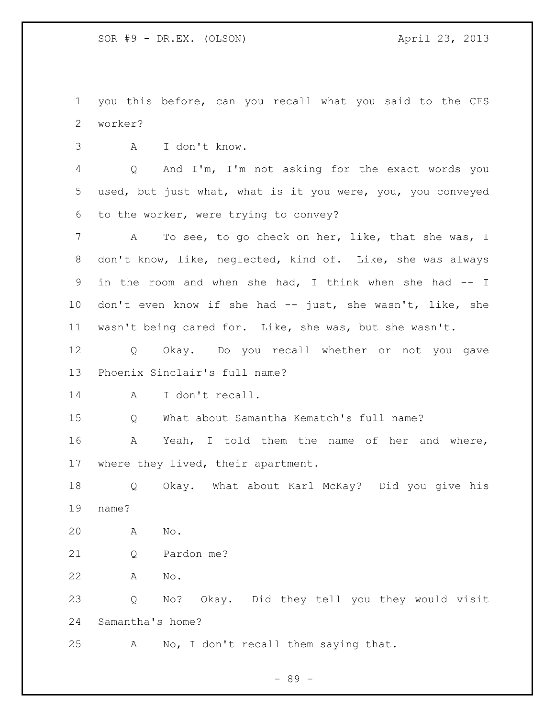you this before, can you recall what you said to the CFS worker?

A I don't know.

 Q And I'm, I'm not asking for the exact words you used, but just what, what is it you were, you, you conveyed to the worker, were trying to convey?

 A To see, to go check on her, like, that she was, I don't know, like, neglected, kind of. Like, she was always in the room and when she had, I think when she had -- I don't even know if she had -- just, she wasn't, like, she wasn't being cared for. Like, she was, but she wasn't.

 Q Okay. Do you recall whether or not you gave Phoenix Sinclair's full name?

A I don't recall.

Q What about Samantha Kematch's full name?

 A Yeah, I told them the name of her and where, where they lived, their apartment.

 Q Okay. What about Karl McKay? Did you give his name?

A No.

Q Pardon me?

A No.

 Q No? Okay. Did they tell you they would visit Samantha's home?

A No, I don't recall them saying that.

- 89 -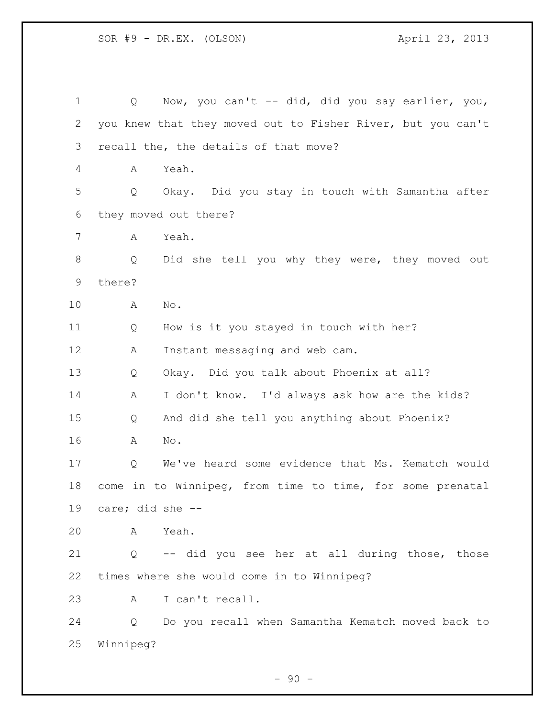Q Now, you can't -- did, did you say earlier, you, you knew that they moved out to Fisher River, but you can't recall the, the details of that move? A Yeah. Q Okay. Did you stay in touch with Samantha after they moved out there? A Yeah. Q Did she tell you why they were, they moved out there? A No. Q How is it you stayed in touch with her? A Instant messaging and web cam. Q Okay. Did you talk about Phoenix at all? A I don't know. I'd always ask how are the kids? Q And did she tell you anything about Phoenix? A No. Q We've heard some evidence that Ms. Kematch would come in to Winnipeg, from time to time, for some prenatal care; did she -- A Yeah. Q -- did you see her at all during those, those times where she would come in to Winnipeg? A I can't recall. Q Do you recall when Samantha Kematch moved back to Winnipeg?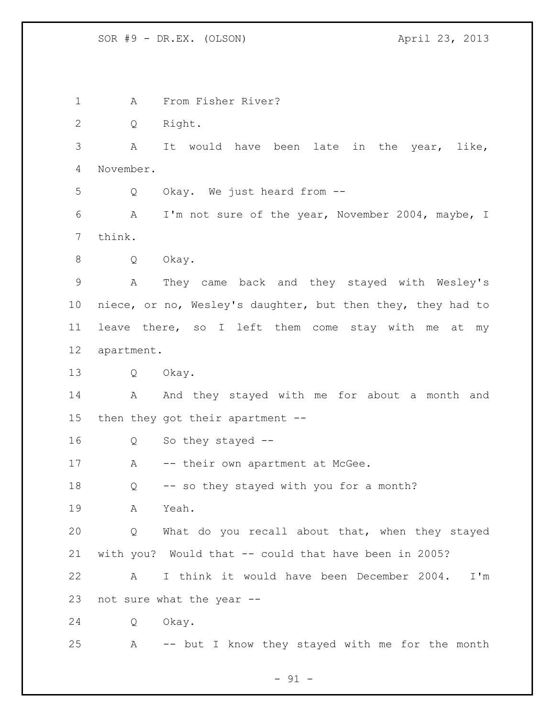A From Fisher River? Q Right. A It would have been late in the year, like, November. Q Okay. We just heard from -- A I'm not sure of the year, November 2004, maybe, I think. Q Okay. A They came back and they stayed with Wesley's niece, or no, Wesley's daughter, but then they, they had to leave there, so I left them come stay with me at my apartment. Q Okay. 14 A And they stayed with me for about a month and then they got their apartment -- Q So they stayed -- 17 A -- their own apartment at McGee. Q -- so they stayed with you for a month? A Yeah. Q What do you recall about that, when they stayed with you? Would that -- could that have been in 2005? A I think it would have been December 2004. I'm not sure what the year -- Q Okay. A -- but I know they stayed with me for the month

- 91 -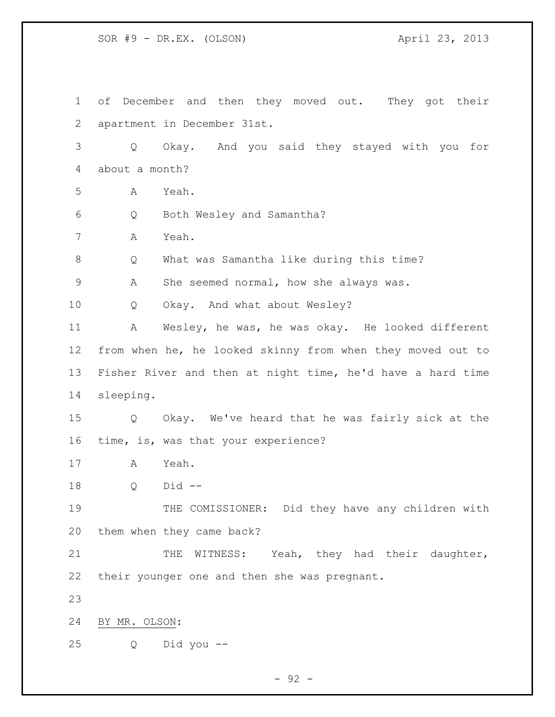of December and then they moved out. They got their apartment in December 31st. Q Okay. And you said they stayed with you for about a month? A Yeah. Q Both Wesley and Samantha? A Yeah. Q What was Samantha like during this time? A She seemed normal, how she always was. Q Okay. And what about Wesley? A Wesley, he was, he was okay. He looked different from when he, he looked skinny from when they moved out to Fisher River and then at night time, he'd have a hard time sleeping. Q Okay. We've heard that he was fairly sick at the time, is, was that your experience? A Yeah. Q Did -- THE COMISSIONER: Did they have any children with them when they came back? 21 THE WITNESS: Yeah, they had their daughter, their younger one and then she was pregnant. BY MR. OLSON: Q Did you --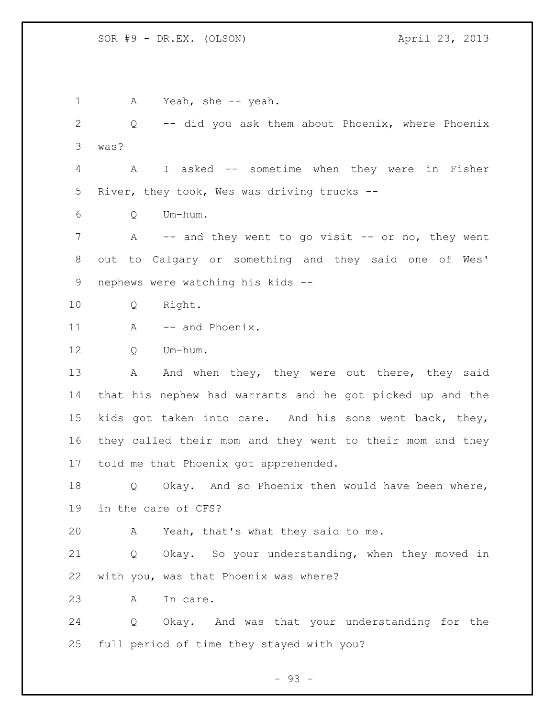1 A Yeah, she -- yeah. Q -- did you ask them about Phoenix, where Phoenix was? A I asked -- sometime when they were in Fisher River, they took, Wes was driving trucks -- Q Um-hum. 7 A -- and they went to go visit -- or no, they went out to Calgary or something and they said one of Wes' nephews were watching his kids -- Q Right. 11 A -- and Phoenix. Q Um-hum. 13 A And when they, they were out there, they said that his nephew had warrants and he got picked up and the kids got taken into care. And his sons went back, they, they called their mom and they went to their mom and they told me that Phoenix got apprehended. Q Okay. And so Phoenix then would have been where, in the care of CFS? A Yeah, that's what they said to me. Q Okay. So your understanding, when they moved in with you, was that Phoenix was where? A In care. Q Okay. And was that your understanding for the full period of time they stayed with you?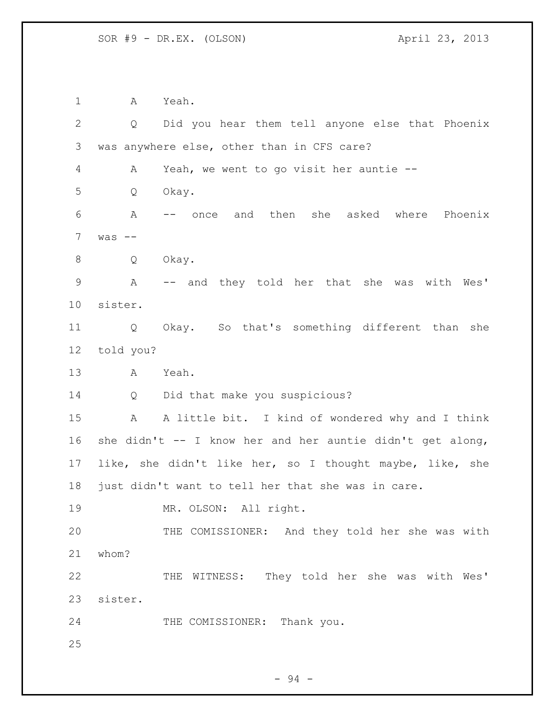A Yeah. Q Did you hear them tell anyone else that Phoenix was anywhere else, other than in CFS care? A Yeah, we went to go visit her auntie -- Q Okay. A -- once and then she asked where Phoenix was -- Q Okay. A -- and they told her that she was with Wes' sister. Q Okay. So that's something different than she told you? A Yeah. Q Did that make you suspicious? A A little bit. I kind of wondered why and I think she didn't -- I know her and her auntie didn't get along, like, she didn't like her, so I thought maybe, like, she just didn't want to tell her that she was in care. 19 MR. OLSON: All right. THE COMISSIONER: And they told her she was with whom? THE WITNESS: They told her she was with Wes' sister. 24 THE COMISSIONER: Thank you.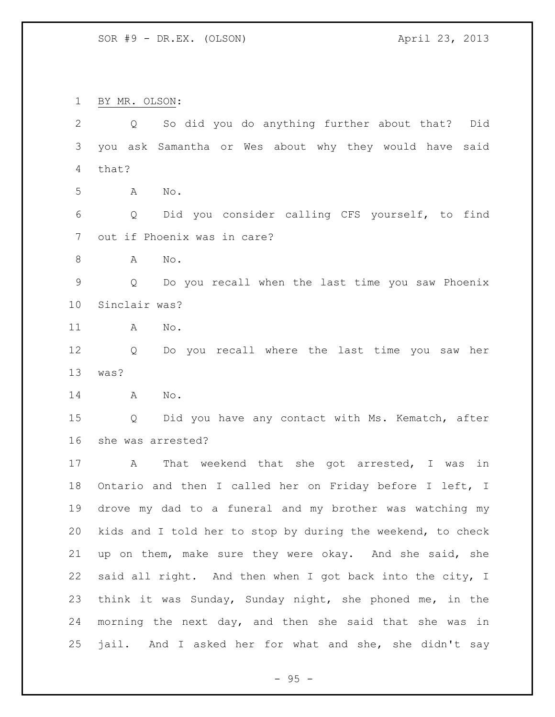BY MR. OLSON:

 Q So did you do anything further about that? Did you ask Samantha or Wes about why they would have said that? A No. Q Did you consider calling CFS yourself, to find out if Phoenix was in care? A No. Q Do you recall when the last time you saw Phoenix Sinclair was? A No. Q Do you recall where the last time you saw her was? A No. Q Did you have any contact with Ms. Kematch, after she was arrested? A That weekend that she got arrested, I was in Ontario and then I called her on Friday before I left, I drove my dad to a funeral and my brother was watching my kids and I told her to stop by during the weekend, to check up on them, make sure they were okay. And she said, she said all right. And then when I got back into the city, I think it was Sunday, Sunday night, she phoned me, in the morning the next day, and then she said that she was in jail. And I asked her for what and she, she didn't say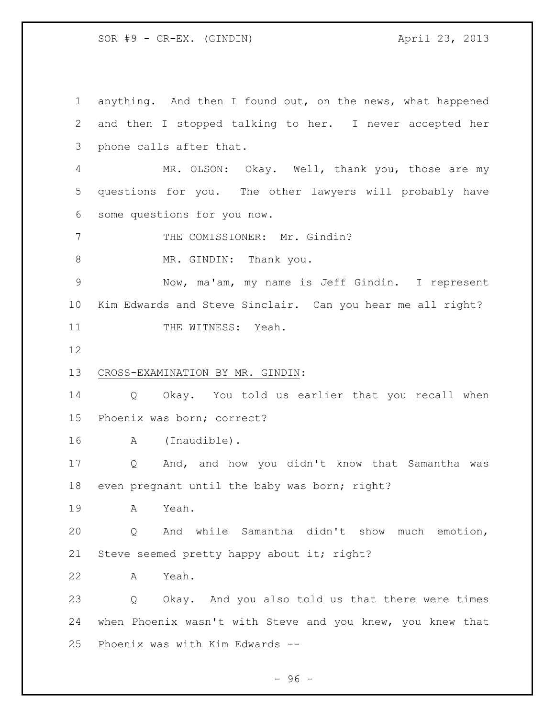SOR #9 - CR-EX. (GINDIN) April 23, 2013

 anything. And then I found out, on the news, what happened and then I stopped talking to her. I never accepted her phone calls after that. MR. OLSON: Okay. Well, thank you, those are my questions for you. The other lawyers will probably have some questions for you now. 7 THE COMISSIONER: Mr. Gindin? 8 MR. GINDIN: Thank you. Now, ma'am, my name is Jeff Gindin. I represent Kim Edwards and Steve Sinclair. Can you hear me all right? 11 THE WITNESS: Yeah. CROSS-EXAMINATION BY MR. GINDIN: Q Okay. You told us earlier that you recall when Phoenix was born; correct? A (Inaudible). Q And, and how you didn't know that Samantha was even pregnant until the baby was born; right? A Yeah. Q And while Samantha didn't show much emotion, 21 Steve seemed pretty happy about it; right? A Yeah. Q Okay. And you also told us that there were times when Phoenix wasn't with Steve and you knew, you knew that Phoenix was with Kim Edwards --

- 96 -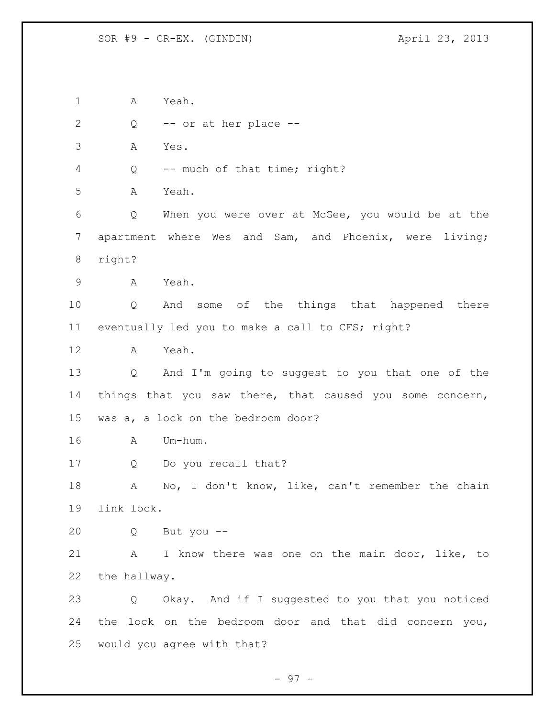A Yeah. 2 Q -- or at her place -- A Yes. Q -- much of that time; right? A Yeah. Q When you were over at McGee, you would be at the apartment where Wes and Sam, and Phoenix, were living; right? A Yeah. Q And some of the things that happened there eventually led you to make a call to CFS; right? A Yeah. Q And I'm going to suggest to you that one of the things that you saw there, that caused you some concern, was a, a lock on the bedroom door? A Um-hum. Q Do you recall that? 18 A No, I don't know, like, can't remember the chain link lock. Q But you -- A I know there was one on the main door, like, to the hallway. Q Okay. And if I suggested to you that you noticed the lock on the bedroom door and that did concern you, would you agree with that?

- 97 -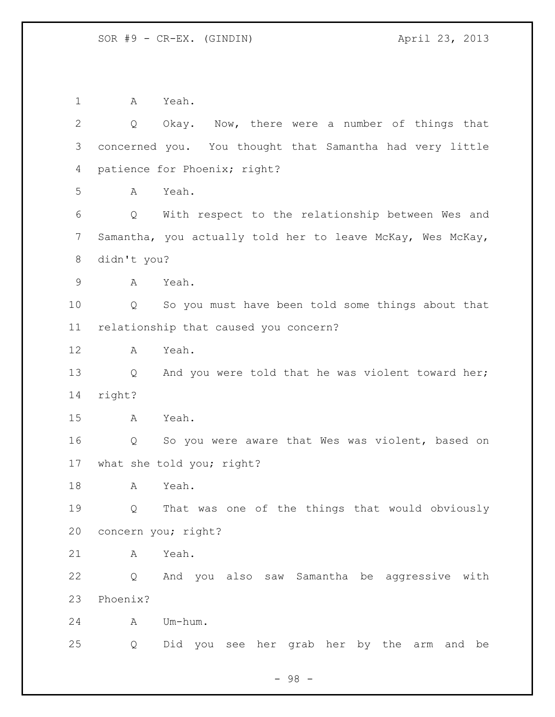A Yeah. Q Okay. Now, there were a number of things that concerned you. You thought that Samantha had very little patience for Phoenix; right? A Yeah. Q With respect to the relationship between Wes and Samantha, you actually told her to leave McKay, Wes McKay, didn't you? A Yeah. Q So you must have been told some things about that relationship that caused you concern? A Yeah. 13 Q And you were told that he was violent toward her; right? A Yeah. Q So you were aware that Wes was violent, based on what she told you; right? A Yeah. Q That was one of the things that would obviously concern you; right? A Yeah. Q And you also saw Samantha be aggressive with Phoenix? A Um-hum. Q Did you see her grab her by the arm and be

- 98 -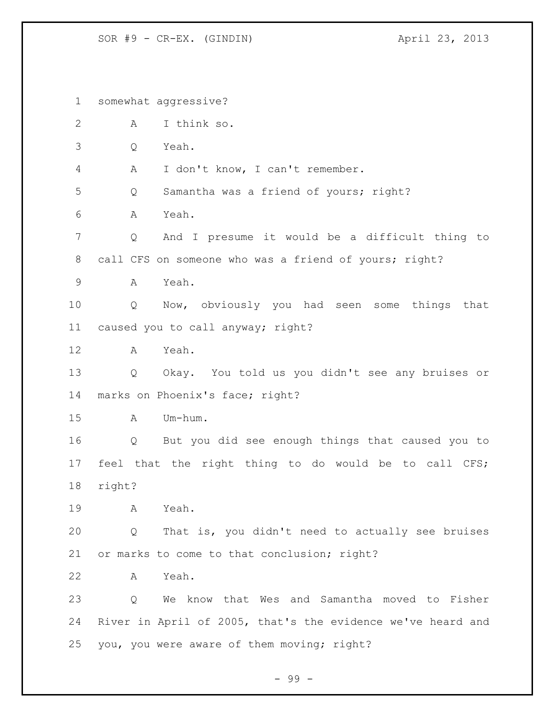SOR #9 - CR-EX. (GINDIN) April 23, 2013

 somewhat aggressive? A I think so. Q Yeah. A I don't know, I can't remember. Q Samantha was a friend of yours; right? A Yeah. Q And I presume it would be a difficult thing to 8 call CFS on someone who was a friend of yours; right? A Yeah. Q Now, obviously you had seen some things that caused you to call anyway; right? A Yeah. Q Okay. You told us you didn't see any bruises or marks on Phoenix's face; right? A Um-hum. Q But you did see enough things that caused you to feel that the right thing to do would be to call CFS; right? A Yeah. Q That is, you didn't need to actually see bruises or marks to come to that conclusion; right? A Yeah. Q We know that Wes and Samantha moved to Fisher River in April of 2005, that's the evidence we've heard and you, you were aware of them moving; right?

- 99 -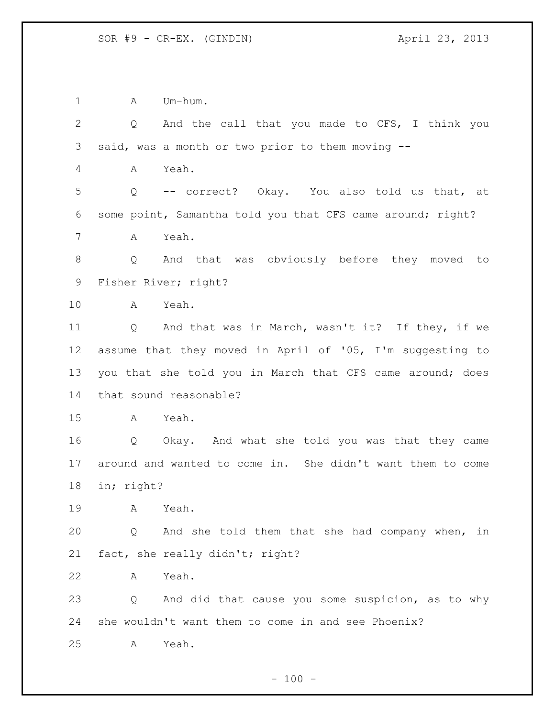1 A Um-hum.

 Q And the call that you made to CFS, I think you said, was a month or two prior to them moving -- A Yeah. Q -- correct? Okay. You also told us that, at some point, Samantha told you that CFS came around; right? A Yeah. Q And that was obviously before they moved to Fisher River; right? A Yeah. Q And that was in March, wasn't it? If they, if we assume that they moved in April of '05, I'm suggesting to you that she told you in March that CFS came around; does that sound reasonable? A Yeah. Q Okay. And what she told you was that they came around and wanted to come in. She didn't want them to come in; right? A Yeah. Q And she told them that she had company when, in fact, she really didn't; right? A Yeah. Q And did that cause you some suspicion, as to why she wouldn't want them to come in and see Phoenix? A Yeah.

 $- 100 -$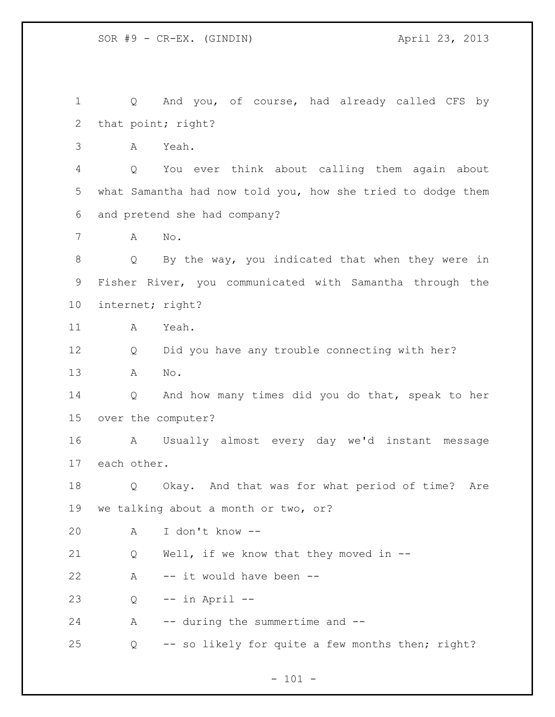Q And you, of course, had already called CFS by that point; right? A Yeah. Q You ever think about calling them again about what Samantha had now told you, how she tried to dodge them and pretend she had company? A No. Q By the way, you indicated that when they were in Fisher River, you communicated with Samantha through the internet; right? A Yeah. Q Did you have any trouble connecting with her? A No. Q And how many times did you do that, speak to her over the computer? A Usually almost every day we'd instant message each other. Q Okay. And that was for what period of time? Are we talking about a month or two, or? A I don't know -- Q Well, if we know that they moved in -- A -- it would have been -- Q -- in April -- 24 A -- during the summertime and --Q -- so likely for quite a few months then; right?

 $- 101 -$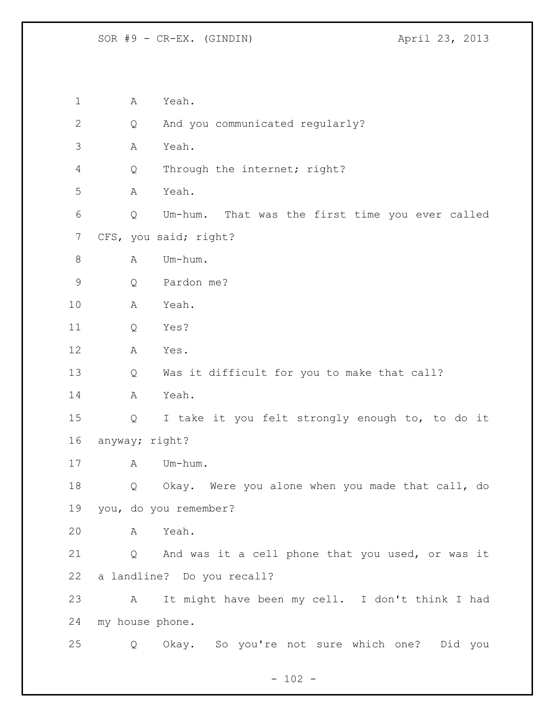SOR #9 - CR-EX. (GINDIN) April 23, 2013

 A Yeah. 2 Q And you communicated regularly? A Yeah. Q Through the internet; right? A Yeah. Q Um-hum. That was the first time you ever called CFS, you said; right? 8 A Um-hum. Q Pardon me? A Yeah. Q Yes? A Yes. Q Was it difficult for you to make that call? A Yeah. Q I take it you felt strongly enough to, to do it anyway; right? 17 A Um-hum. Q Okay. Were you alone when you made that call, do you, do you remember? A Yeah. Q And was it a cell phone that you used, or was it a landline? Do you recall? A It might have been my cell. I don't think I had my house phone. Q Okay. So you're not sure which one? Did you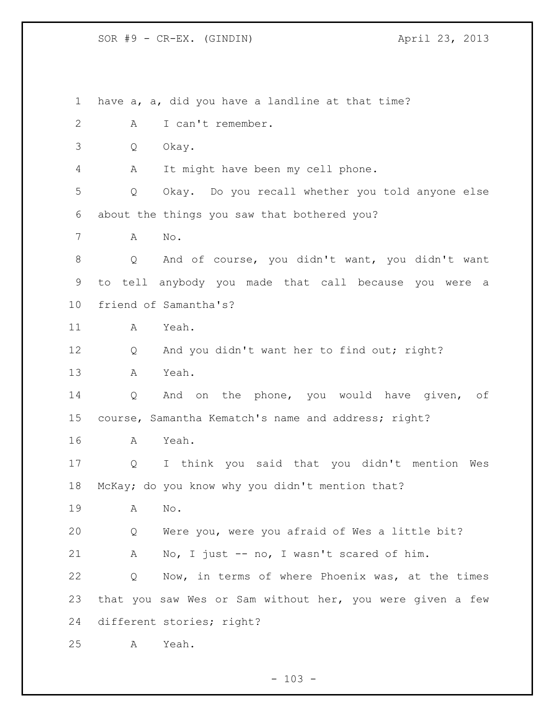SOR #9 - CR-EX. (GINDIN) April 23, 2013

 have a, a, did you have a landline at that time? A I can't remember. Q Okay. A It might have been my cell phone. Q Okay. Do you recall whether you told anyone else about the things you saw that bothered you? A No. Q And of course, you didn't want, you didn't want to tell anybody you made that call because you were a friend of Samantha's? A Yeah. Q And you didn't want her to find out; right? A Yeah. Q And on the phone, you would have given, of course, Samantha Kematch's name and address; right? A Yeah. Q I think you said that you didn't mention Wes McKay; do you know why you didn't mention that? A No. Q Were you, were you afraid of Wes a little bit? A No, I just -- no, I wasn't scared of him. Q Now, in terms of where Phoenix was, at the times that you saw Wes or Sam without her, you were given a few different stories; right? A Yeah.

 $- 103 -$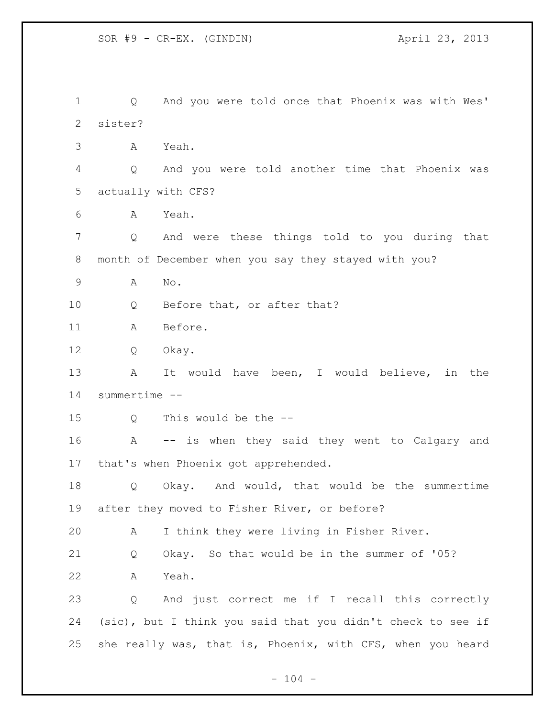SOR #9 - CR-EX. (GINDIN) 4pril 23, 2013

 Q And you were told once that Phoenix was with Wes' sister? A Yeah. Q And you were told another time that Phoenix was actually with CFS? A Yeah. Q And were these things told to you during that month of December when you say they stayed with you? A No. 10 Q Before that, or after that? A Before. Q Okay. A It would have been, I would believe, in the summertime -- 15 O This would be the -- A -- is when they said they went to Calgary and that's when Phoenix got apprehended. Q Okay. And would, that would be the summertime after they moved to Fisher River, or before? A I think they were living in Fisher River. Q Okay. So that would be in the summer of '05? A Yeah. Q And just correct me if I recall this correctly (sic), but I think you said that you didn't check to see if she really was, that is, Phoenix, with CFS, when you heard

 $- 104 -$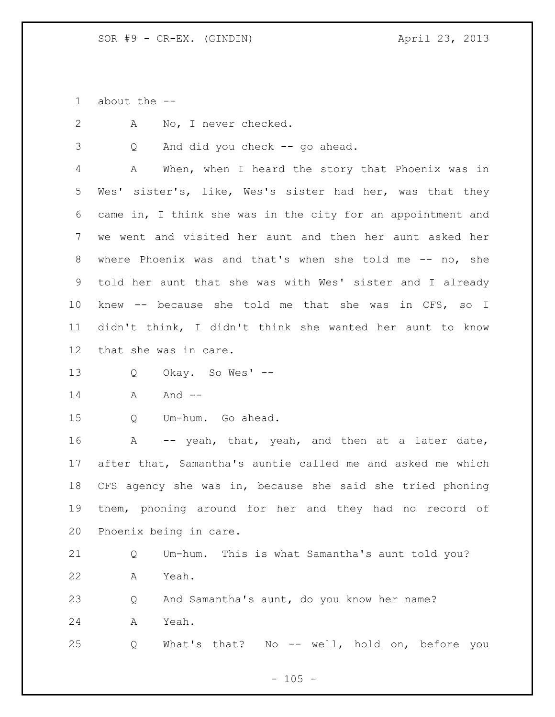about the --

A No, I never checked.

Q And did you check -- go ahead.

 A When, when I heard the story that Phoenix was in Wes' sister's, like, Wes's sister had her, was that they came in, I think she was in the city for an appointment and we went and visited her aunt and then her aunt asked her where Phoenix was and that's when she told me -- no, she told her aunt that she was with Wes' sister and I already knew -- because she told me that she was in CFS, so I didn't think, I didn't think she wanted her aunt to know that she was in care.

Q Okay. So Wes' --

14 A And --

Q Um-hum. Go ahead.

16 A -- yeah, that, yeah, and then at a later date, after that, Samantha's auntie called me and asked me which CFS agency she was in, because she said she tried phoning them, phoning around for her and they had no record of Phoenix being in care.

 Q Um-hum. This is what Samantha's aunt told you? A Yeah.

 Q And Samantha's aunt, do you know her name? A Yeah.

Q What's that? No -- well, hold on, before you

 $- 105 -$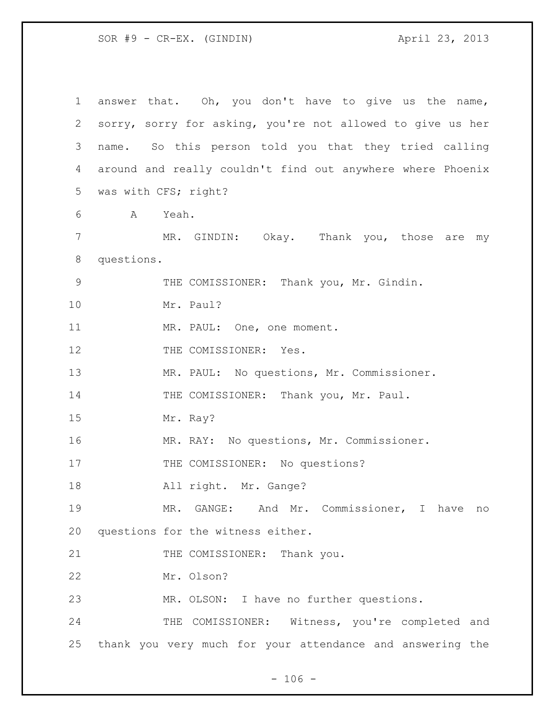| $\mathbf{1}$ | answer that. Oh, you don't have to give us the name,                      |  |  |  |  |  |  |  |
|--------------|---------------------------------------------------------------------------|--|--|--|--|--|--|--|
| 2            | sorry, sorry for asking, you're not allowed to give us her                |  |  |  |  |  |  |  |
| 3            | name. So this person told you that they tried calling                     |  |  |  |  |  |  |  |
| 4            | around and really couldn't find out anywhere where Phoenix                |  |  |  |  |  |  |  |
| 5            | was with CFS; right?<br>A Yeah.<br>MR. GINDIN: Okay. Thank you, those are |  |  |  |  |  |  |  |
| 6            |                                                                           |  |  |  |  |  |  |  |
| 7            | my                                                                        |  |  |  |  |  |  |  |
| $8\,$        | questions.                                                                |  |  |  |  |  |  |  |
| $\mathsf 9$  | THE COMISSIONER: Thank you, Mr. Gindin.                                   |  |  |  |  |  |  |  |
| 10           | Mr. Paul?                                                                 |  |  |  |  |  |  |  |
| 11           | MR. PAUL: One, one moment.                                                |  |  |  |  |  |  |  |
| 12           | THE COMISSIONER: Yes.                                                     |  |  |  |  |  |  |  |
| 13           | MR. PAUL: No questions, Mr. Commissioner.                                 |  |  |  |  |  |  |  |
| 14           | THE COMISSIONER: Thank you, Mr. Paul.                                     |  |  |  |  |  |  |  |
| 15           | Mr. Ray?                                                                  |  |  |  |  |  |  |  |
| 16           | MR. RAY: No questions, Mr. Commissioner.                                  |  |  |  |  |  |  |  |
| 17           | THE COMISSIONER: No questions?                                            |  |  |  |  |  |  |  |
| 18           | All right. Mr. Gange?                                                     |  |  |  |  |  |  |  |
| 19           | MR. GANGE: And Mr. Commissioner, I have<br>no                             |  |  |  |  |  |  |  |
| 20           | questions for the witness either.                                         |  |  |  |  |  |  |  |
| 21           | THE COMISSIONER: Thank you.                                               |  |  |  |  |  |  |  |
| 22           | Mr. Olson?                                                                |  |  |  |  |  |  |  |
| 23           | MR. OLSON: I have no further questions.                                   |  |  |  |  |  |  |  |
| 24           | THE COMISSIONER: Witness, you're completed and                            |  |  |  |  |  |  |  |
| 25           | thank you very much for your attendance and answering the                 |  |  |  |  |  |  |  |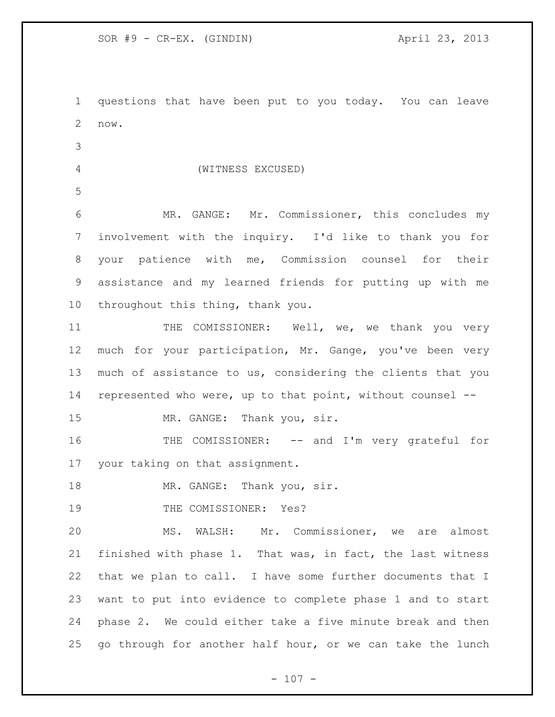questions that have been put to you today. You can leave now.

- 
- (WITNESS EXCUSED)
- 

 MR. GANGE: Mr. Commissioner, this concludes my involvement with the inquiry. I'd like to thank you for your patience with me, Commission counsel for their assistance and my learned friends for putting up with me throughout this thing, thank you.

11 THE COMISSIONER: Well, we, we thank you very much for your participation, Mr. Gange, you've been very much of assistance to us, considering the clients that you represented who were, up to that point, without counsel --

15 MR. GANGE: Thank you, sir.

16 THE COMISSIONER: -- and I'm very grateful for your taking on that assignment.

18 MR. GANGE: Thank you, sir.

19 THE COMISSIONER: Yes?

 MS. WALSH: Mr. Commissioner, we are almost finished with phase 1. That was, in fact, the last witness that we plan to call. I have some further documents that I want to put into evidence to complete phase 1 and to start phase 2. We could either take a five minute break and then go through for another half hour, or we can take the lunch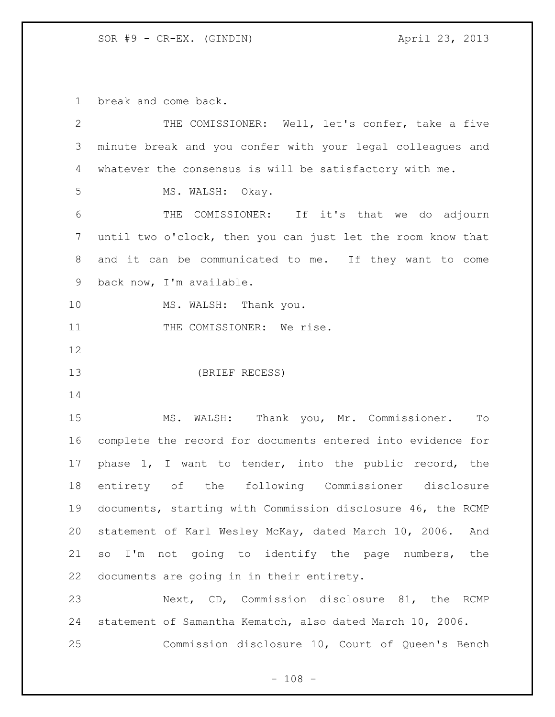break and come back.

| $\mathbf{2}$   | THE COMISSIONER: Well, let's confer, take a five             |  |  |  |  |  |
|----------------|--------------------------------------------------------------|--|--|--|--|--|
| $\mathcal{S}$  | minute break and you confer with your legal colleagues and   |  |  |  |  |  |
| 4              | whatever the consensus is will be satisfactory with me.      |  |  |  |  |  |
| 5              | MS. WALSH: Okay.                                             |  |  |  |  |  |
| 6              | THE COMISSIONER: If it's that we do adjourn                  |  |  |  |  |  |
| $\overline{7}$ | until two o'clock, then you can just let the room know that  |  |  |  |  |  |
| 8              | and it can be communicated to me. If they want to come       |  |  |  |  |  |
| 9              | back now, I'm available.                                     |  |  |  |  |  |
| 10             | MS. WALSH: Thank you.                                        |  |  |  |  |  |
| 11             | THE COMISSIONER: We rise.                                    |  |  |  |  |  |
| 12             |                                                              |  |  |  |  |  |
| 13             | (BRIEF RECESS)                                               |  |  |  |  |  |
| 14             |                                                              |  |  |  |  |  |
| 15             | MS. WALSH: Thank you, Mr. Commissioner.<br>To                |  |  |  |  |  |
| 16             | complete the record for documents entered into evidence for  |  |  |  |  |  |
| 17             | phase 1, I want to tender, into the public record, the       |  |  |  |  |  |
| 18             | entirety of the following Commissioner disclosure            |  |  |  |  |  |
| 19             | documents, starting with Commission disclosure 46, the RCMP  |  |  |  |  |  |
| 20             | statement of Karl Wesley McKay, dated March 10, 2006.<br>And |  |  |  |  |  |
| 21             | so I'm not going to identify the page numbers, the           |  |  |  |  |  |
| 22             | documents are going in in their entirety.                    |  |  |  |  |  |
| 23             | Next, CD, Commission disclosure 81, the RCMP                 |  |  |  |  |  |
| 24             | statement of Samantha Kematch, also dated March 10, 2006.    |  |  |  |  |  |
| 25             | Commission disclosure 10, Court of Queen's Bench             |  |  |  |  |  |
|                |                                                              |  |  |  |  |  |

- 108 -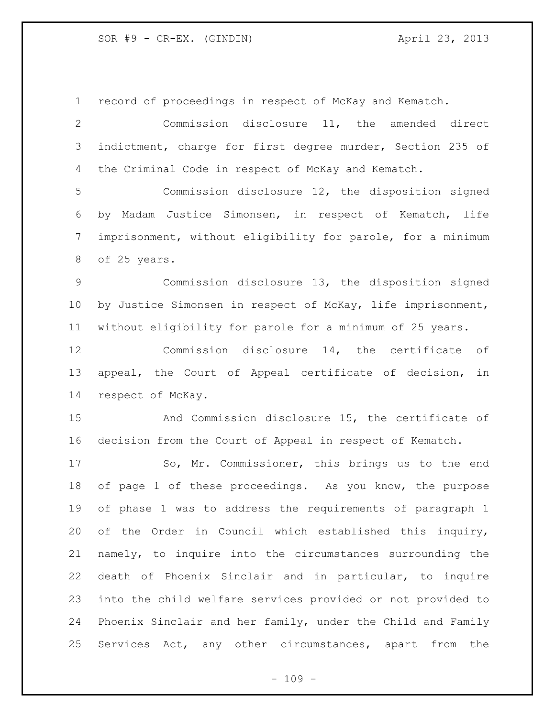| $\mathbf 1$  | record of proceedings in respect of McKay and Kematch.      |  |  |  |  |  |  |  |
|--------------|-------------------------------------------------------------|--|--|--|--|--|--|--|
| $\mathbf{2}$ | Commission disclosure 11, the amended direct                |  |  |  |  |  |  |  |
| 3            | indictment, charge for first degree murder, Section 235 of  |  |  |  |  |  |  |  |
| 4            | the Criminal Code in respect of McKay and Kematch.          |  |  |  |  |  |  |  |
| 5            | Commission disclosure 12, the disposition signed            |  |  |  |  |  |  |  |
| 6            | by Madam Justice Simonsen, in respect of Kematch, life      |  |  |  |  |  |  |  |
| 7            | imprisonment, without eligibility for parole, for a minimum |  |  |  |  |  |  |  |
| 8            | of 25 years.                                                |  |  |  |  |  |  |  |
| 9            | Commission disclosure 13, the disposition signed            |  |  |  |  |  |  |  |
| 10           | by Justice Simonsen in respect of McKay, life imprisonment, |  |  |  |  |  |  |  |
| 11           | without eligibility for parole for a minimum of 25 years.   |  |  |  |  |  |  |  |
| 12           | Commission disclosure 14, the certificate of                |  |  |  |  |  |  |  |
| 13           | appeal, the Court of Appeal certificate of decision,<br>in  |  |  |  |  |  |  |  |
| 14           | respect of McKay.                                           |  |  |  |  |  |  |  |
| 15           | And Commission disclosure 15, the certificate of            |  |  |  |  |  |  |  |
| 16           | decision from the Court of Appeal in respect of Kematch.    |  |  |  |  |  |  |  |
| 17           | So, Mr. Commissioner, this brings us to the end             |  |  |  |  |  |  |  |
| 18           | of page 1 of these proceedings. As you know, the purpose    |  |  |  |  |  |  |  |
| 19           | of phase 1 was to address the requirements of paragraph 1   |  |  |  |  |  |  |  |
| 20           | of the Order in Council which established this inquiry,     |  |  |  |  |  |  |  |
| 21           | namely, to inquire into the circumstances surrounding the   |  |  |  |  |  |  |  |
| 22           | death of Phoenix Sinclair and in particular, to inquire     |  |  |  |  |  |  |  |
| 23           | into the child welfare services provided or not provided to |  |  |  |  |  |  |  |
| 24           | Phoenix Sinclair and her family, under the Child and Family |  |  |  |  |  |  |  |
| 25           | Services Act, any other circumstances, apart<br>from<br>the |  |  |  |  |  |  |  |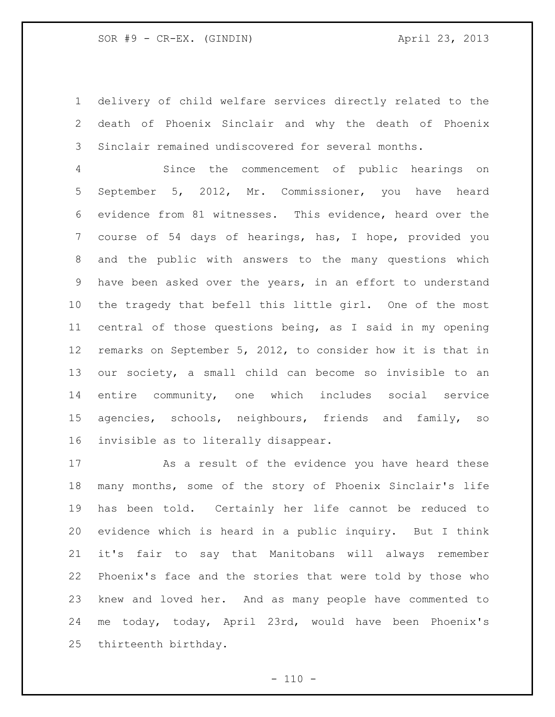delivery of child welfare services directly related to the death of Phoenix Sinclair and why the death of Phoenix Sinclair remained undiscovered for several months.

 Since the commencement of public hearings on September 5, 2012, Mr. Commissioner, you have heard evidence from 81 witnesses. This evidence, heard over the course of 54 days of hearings, has, I hope, provided you and the public with answers to the many questions which have been asked over the years, in an effort to understand the tragedy that befell this little girl. One of the most central of those questions being, as I said in my opening remarks on September 5, 2012, to consider how it is that in our society, a small child can become so invisible to an entire community, one which includes social service agencies, schools, neighbours, friends and family, so invisible as to literally disappear.

 As a result of the evidence you have heard these many months, some of the story of Phoenix Sinclair's life has been told. Certainly her life cannot be reduced to evidence which is heard in a public inquiry. But I think it's fair to say that Manitobans will always remember Phoenix's face and the stories that were told by those who knew and loved her. And as many people have commented to me today, today, April 23rd, would have been Phoenix's thirteenth birthday.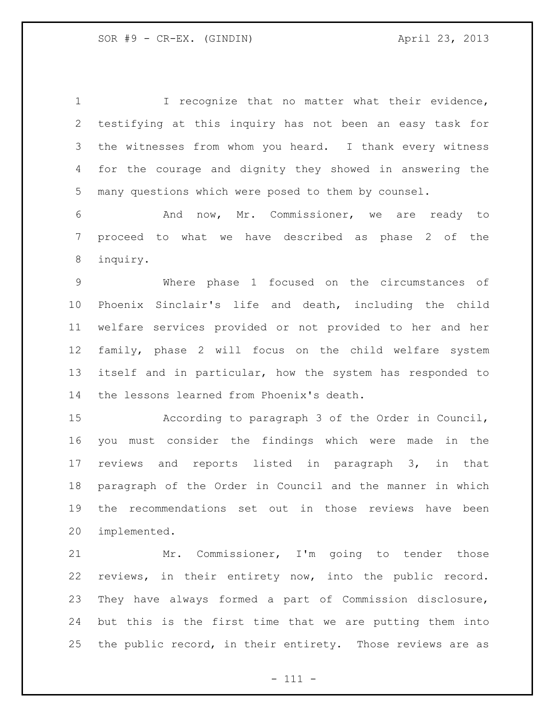1 I recognize that no matter what their evidence, testifying at this inquiry has not been an easy task for the witnesses from whom you heard. I thank every witness for the courage and dignity they showed in answering the many questions which were posed to them by counsel. And now, Mr. Commissioner, we are ready to proceed to what we have described as phase 2 of the inquiry. Where phase 1 focused on the circumstances of Phoenix Sinclair's life and death, including the child welfare services provided or not provided to her and her family, phase 2 will focus on the child welfare system itself and in particular, how the system has responded to the lessons learned from Phoenix's death.

 According to paragraph 3 of the Order in Council, you must consider the findings which were made in the reviews and reports listed in paragraph 3, in that paragraph of the Order in Council and the manner in which the recommendations set out in those reviews have been implemented.

 Mr. Commissioner, I'm going to tender those reviews, in their entirety now, into the public record. They have always formed a part of Commission disclosure, but this is the first time that we are putting them into the public record, in their entirety. Those reviews are as

- 111 -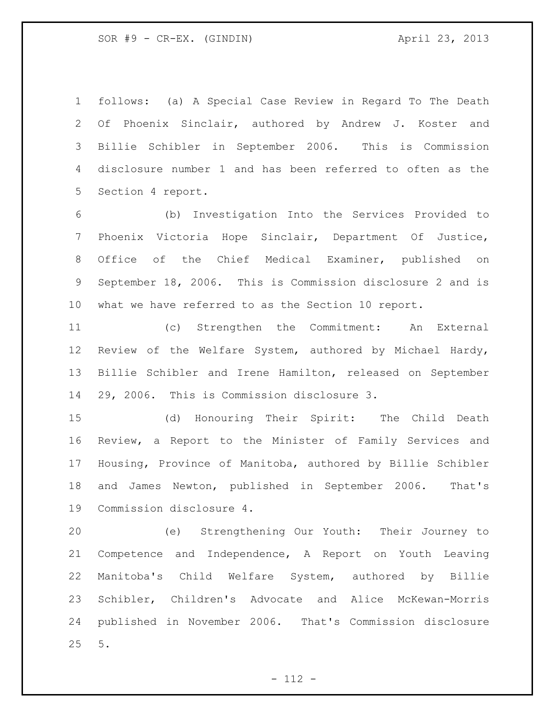follows: (a) A Special Case Review in Regard To The Death Of Phoenix Sinclair, authored by Andrew J. Koster and Billie Schibler in September 2006. This is Commission disclosure number 1 and has been referred to often as the Section 4 report.

 (b) Investigation Into the Services Provided to Phoenix Victoria Hope Sinclair, Department Of Justice, Office of the Chief Medical Examiner, published on September 18, 2006. This is Commission disclosure 2 and is what we have referred to as the Section 10 report.

 (c) Strengthen the Commitment: An External Review of the Welfare System, authored by Michael Hardy, Billie Schibler and Irene Hamilton, released on September 29, 2006. This is Commission disclosure 3.

 (d) Honouring Their Spirit: The Child Death Review, a Report to the Minister of Family Services and Housing, Province of Manitoba, authored by Billie Schibler and James Newton, published in September 2006. That's Commission disclosure 4.

 (e) Strengthening Our Youth: Their Journey to Competence and Independence, A Report on Youth Leaving Manitoba's Child Welfare System, authored by Billie Schibler, Children's Advocate and Alice McKewan-Morris published in November 2006. That's Commission disclosure 5.

 $- 112 -$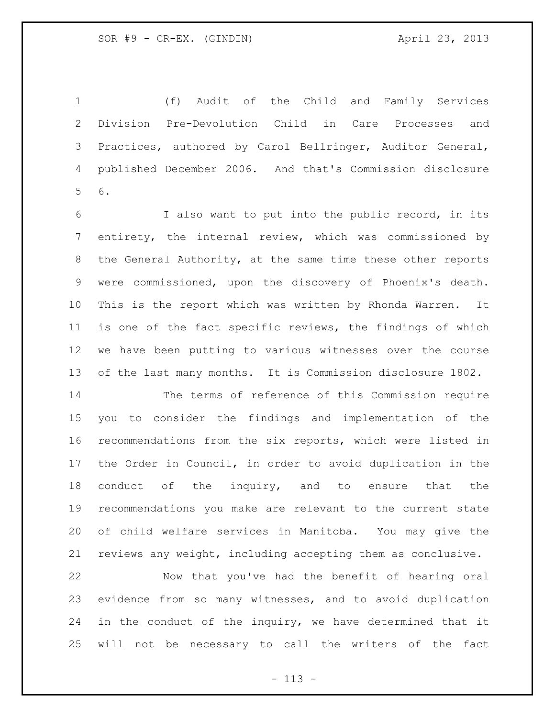(f) Audit of the Child and Family Services Division Pre-Devolution Child in Care Processes and Practices, authored by Carol Bellringer, Auditor General, published December 2006. And that's Commission disclosure 6.

 I also want to put into the public record, in its entirety, the internal review, which was commissioned by the General Authority, at the same time these other reports were commissioned, upon the discovery of Phoenix's death. This is the report which was written by Rhonda Warren. It is one of the fact specific reviews, the findings of which we have been putting to various witnesses over the course of the last many months. It is Commission disclosure 1802.

 The terms of reference of this Commission require you to consider the findings and implementation of the recommendations from the six reports, which were listed in the Order in Council, in order to avoid duplication in the 18 conduct of the inquiry, and to ensure that the recommendations you make are relevant to the current state of child welfare services in Manitoba. You may give the reviews any weight, including accepting them as conclusive.

 Now that you've had the benefit of hearing oral evidence from so many witnesses, and to avoid duplication in the conduct of the inquiry, we have determined that it will not be necessary to call the writers of the fact

- 113 -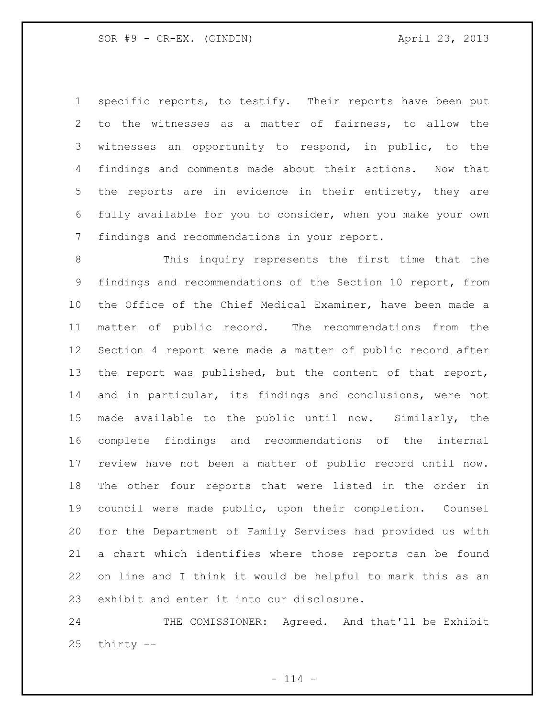specific reports, to testify. Their reports have been put to the witnesses as a matter of fairness, to allow the witnesses an opportunity to respond, in public, to the findings and comments made about their actions. Now that the reports are in evidence in their entirety, they are fully available for you to consider, when you make your own findings and recommendations in your report.

 This inquiry represents the first time that the findings and recommendations of the Section 10 report, from the Office of the Chief Medical Examiner, have been made a matter of public record. The recommendations from the Section 4 report were made a matter of public record after the report was published, but the content of that report, and in particular, its findings and conclusions, were not made available to the public until now. Similarly, the complete findings and recommendations of the internal review have not been a matter of public record until now. The other four reports that were listed in the order in council were made public, upon their completion. Counsel for the Department of Family Services had provided us with a chart which identifies where those reports can be found on line and I think it would be helpful to mark this as an exhibit and enter it into our disclosure.

24 THE COMISSIONER: Agreed. And that'll be Exhibit thirty --

 $- 114 -$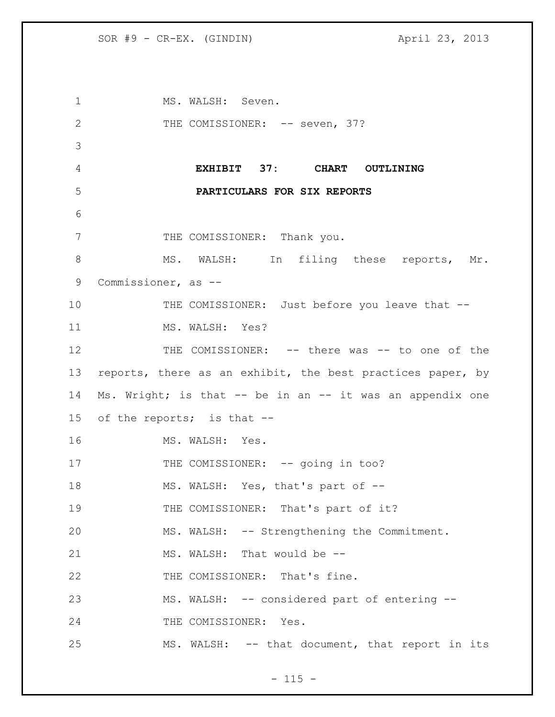1 MS. WALSH: Seven. 2 THE COMISSIONER: -- seven, 37? 3 4 **EXHIBIT 37: CHART OUTLINING**  5 **PARTICULARS FOR SIX REPORTS** 6 7 THE COMISSIONER: Thank you. 8 MS. WALSH: In filing these reports, Mr. 9 Commissioner, as -- 10 THE COMISSIONER: Just before you leave that --11 MS. WALSH: Yes? 12 THE COMISSIONER: -- there was -- to one of the 13 reports, there as an exhibit, the best practices paper, by 14 Ms. Wright; is that -- be in an -- it was an appendix one 15 of the reports; is that -- 16 MS. WALSH: Yes. 17 THE COMISSIONER: -- going in too? 18 MS. WALSH: Yes, that's part of --19 THE COMISSIONER: That's part of it? 20 MS. WALSH: -- Strengthening the Commitment. 21 MS. WALSH: That would be --22 THE COMISSIONER: That's fine. 23 MS. WALSH: -- considered part of entering -- 24 THE COMISSIONER: Yes. 25 MS. WALSH: -- that document, that report in its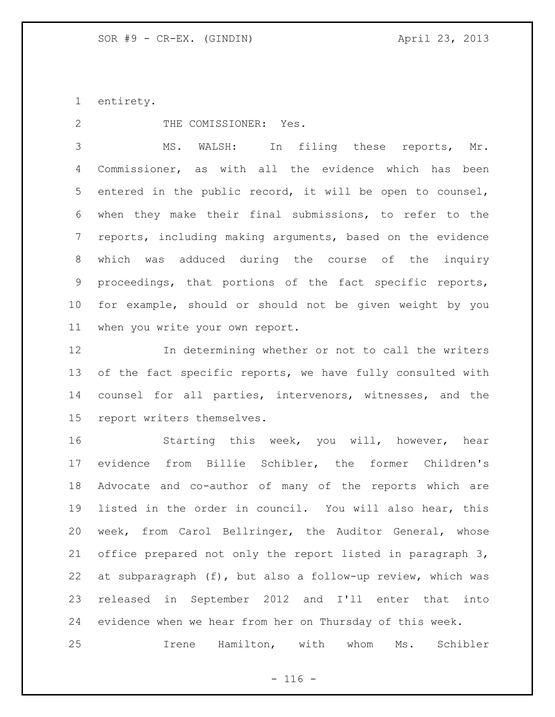entirety.

2 THE COMISSIONER: Yes.

 MS. WALSH: In filing these reports, Mr. Commissioner, as with all the evidence which has been entered in the public record, it will be open to counsel, when they make their final submissions, to refer to the reports, including making arguments, based on the evidence which was adduced during the course of the inquiry proceedings, that portions of the fact specific reports, for example, should or should not be given weight by you when you write your own report.

 In determining whether or not to call the writers 13 of the fact specific reports, we have fully consulted with counsel for all parties, intervenors, witnesses, and the report writers themselves.

 Starting this week, you will, however, hear evidence from Billie Schibler, the former Children's Advocate and co-author of many of the reports which are listed in the order in council. You will also hear, this week, from Carol Bellringer, the Auditor General, whose office prepared not only the report listed in paragraph 3, at subparagraph (f), but also a follow-up review, which was released in September 2012 and I'll enter that into evidence when we hear from her on Thursday of this week.

Irene Hamilton, with whom Ms. Schibler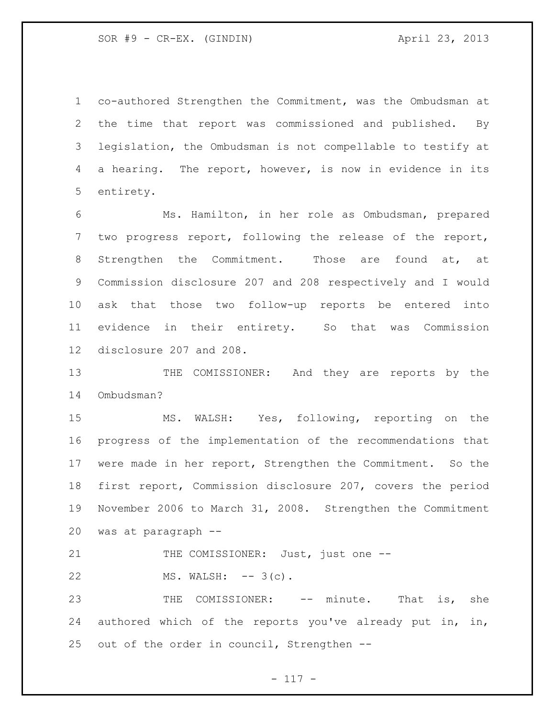co-authored Strengthen the Commitment, was the Ombudsman at the time that report was commissioned and published. By legislation, the Ombudsman is not compellable to testify at a hearing. The report, however, is now in evidence in its entirety.

 Ms. Hamilton, in her role as Ombudsman, prepared two progress report, following the release of the report, Strengthen the Commitment. Those are found at, at Commission disclosure 207 and 208 respectively and I would ask that those two follow-up reports be entered into evidence in their entirety. So that was Commission disclosure 207 and 208.

13 THE COMISSIONER: And they are reports by the Ombudsman?

 MS. WALSH: Yes, following, reporting on the progress of the implementation of the recommendations that were made in her report, Strengthen the Commitment. So the first report, Commission disclosure 207, covers the period November 2006 to March 31, 2008. Strengthen the Commitment was at paragraph --

21 THE COMISSIONER: Just, just one --22 MS. WALSH: -- 3(c).

23 THE COMISSIONER: -- minute. That is, she authored which of the reports you've already put in, in, out of the order in council, Strengthen --

- 117 -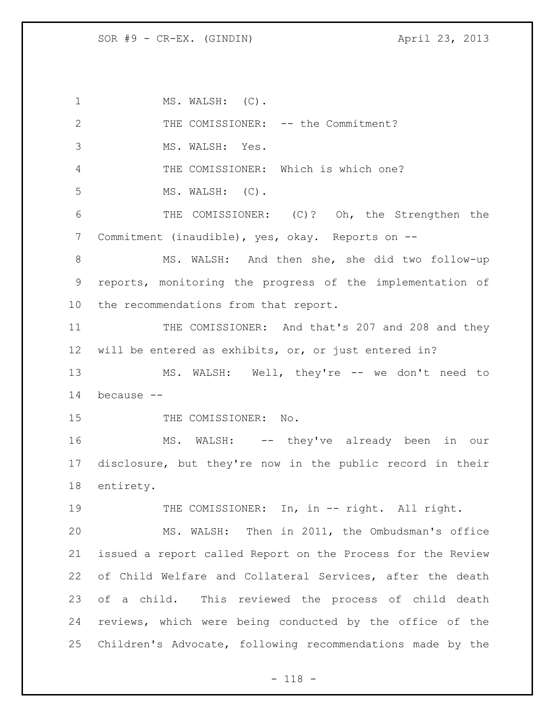1 MS. WALSH: (C). 2 THE COMISSIONER: -- the Commitment? MS. WALSH: Yes. THE COMISSIONER: Which is which one? MS. WALSH: (C). THE COMISSIONER: (C)? Oh, the Strengthen the Commitment (inaudible), yes, okay. Reports on -- MS. WALSH: And then she, she did two follow-up reports, monitoring the progress of the implementation of the recommendations from that report. 11 THE COMISSIONER: And that's 207 and 208 and they will be entered as exhibits, or, or just entered in? MS. WALSH: Well, they're -- we don't need to because -- 15 THE COMISSIONER: No. MS. WALSH: -- they've already been in our disclosure, but they're now in the public record in their entirety. 19 THE COMISSIONER: In, in -- right. All right. MS. WALSH: Then in 2011, the Ombudsman's office issued a report called Report on the Process for the Review of Child Welfare and Collateral Services, after the death of a child. This reviewed the process of child death reviews, which were being conducted by the office of the Children's Advocate, following recommendations made by the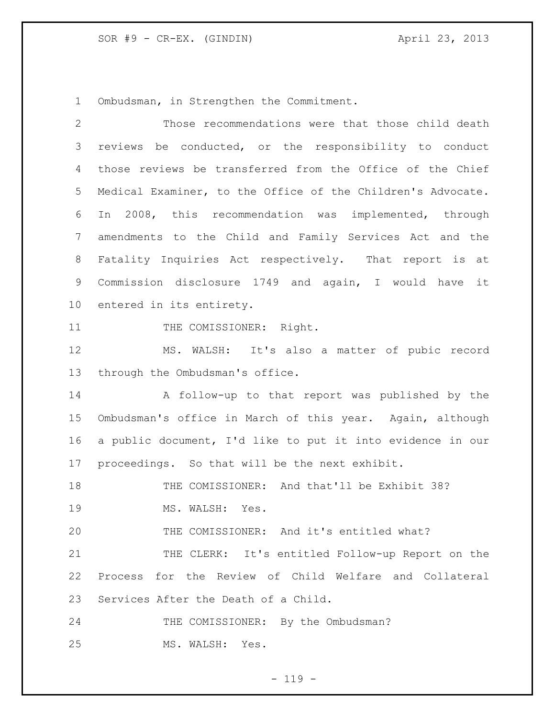Ombudsman, in Strengthen the Commitment.

| $\mathbf{2}$    | Those recommendations were that those child death           |  |  |  |  |  |  |
|-----------------|-------------------------------------------------------------|--|--|--|--|--|--|
| 3               | reviews be conducted, or the responsibility to conduct      |  |  |  |  |  |  |
| 4               | those reviews be transferred from the Office of the Chief   |  |  |  |  |  |  |
| 5               | Medical Examiner, to the Office of the Children's Advocate. |  |  |  |  |  |  |
| 6               | In 2008, this recommendation was implemented, through       |  |  |  |  |  |  |
| 7               | amendments to the Child and Family Services Act and the     |  |  |  |  |  |  |
| 8               | Fatality Inquiries Act respectively. That report is at      |  |  |  |  |  |  |
| 9               | Commission disclosure 1749 and again, I would have it       |  |  |  |  |  |  |
| 10 <sub>o</sub> | entered in its entirety.                                    |  |  |  |  |  |  |
| 11              | THE COMISSIONER: Right.                                     |  |  |  |  |  |  |
| 12              | MS. WALSH: It's also a matter of pubic record               |  |  |  |  |  |  |
| 13              | through the Ombudsman's office.                             |  |  |  |  |  |  |
| 14              | A follow-up to that report was published by the             |  |  |  |  |  |  |
| 15              | Ombudsman's office in March of this year. Again, although   |  |  |  |  |  |  |
| 16              | a public document, I'd like to put it into evidence in our  |  |  |  |  |  |  |
| 17              | proceedings. So that will be the next exhibit.              |  |  |  |  |  |  |
| 18              | THE COMISSIONER: And that'll be Exhibit 38?                 |  |  |  |  |  |  |
| 19              | MS. WALSH: Yes.                                             |  |  |  |  |  |  |
| 20              | THE COMISSIONER: And it's entitled what?                    |  |  |  |  |  |  |
| 21              | THE CLERK: It's entitled Follow-up Report on the            |  |  |  |  |  |  |
| 22              | Process for the Review of Child Welfare and Collateral      |  |  |  |  |  |  |
| 23              | Services After the Death of a Child.                        |  |  |  |  |  |  |
| 24              | THE COMISSIONER: By the Ombudsman?                          |  |  |  |  |  |  |
| 25              | MS. WALSH:<br>Yes.                                          |  |  |  |  |  |  |

- 119 -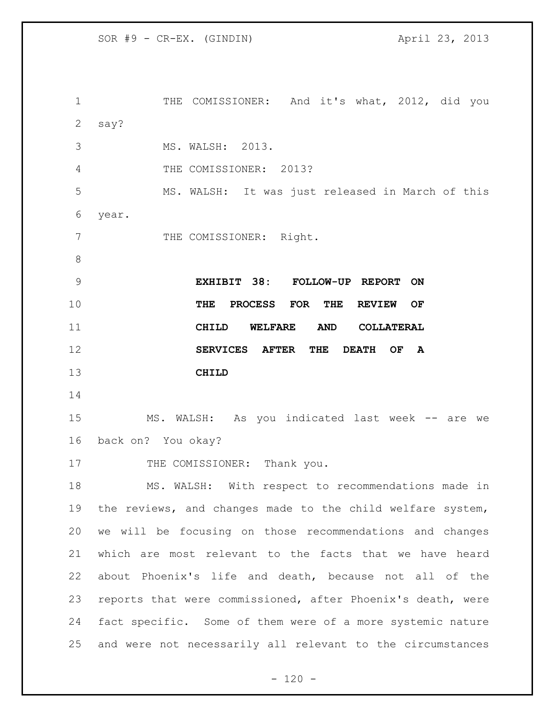THE COMISSIONER: And it's what, 2012, did you say? MS. WALSH: 2013. THE COMISSIONER: 2013? MS. WALSH: It was just released in March of this year. 7 THE COMISSIONER: Right. **EXHIBIT 38: FOLLOW-UP REPORT ON THE PROCESS FOR THE REVIEW OF CHILD WELFARE AND COLLATERAL SERVICES AFTER THE DEATH OF A CHILD** MS. WALSH: As you indicated last week -- are we back on? You okay? 17 THE COMISSIONER: Thank you. MS. WALSH: With respect to recommendations made in the reviews, and changes made to the child welfare system, we will be focusing on those recommendations and changes which are most relevant to the facts that we have heard about Phoenix's life and death, because not all of the reports that were commissioned, after Phoenix's death, were fact specific. Some of them were of a more systemic nature and were not necessarily all relevant to the circumstances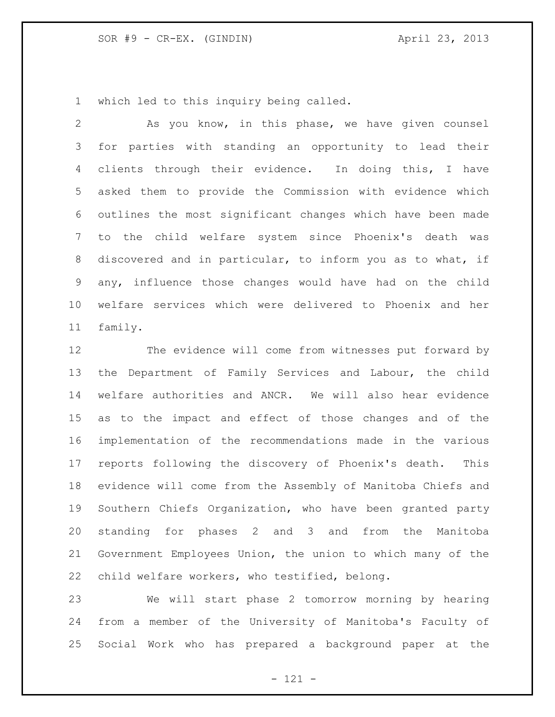which led to this inquiry being called.

 As you know, in this phase, we have given counsel for parties with standing an opportunity to lead their clients through their evidence. In doing this, I have asked them to provide the Commission with evidence which outlines the most significant changes which have been made to the child welfare system since Phoenix's death was discovered and in particular, to inform you as to what, if any, influence those changes would have had on the child welfare services which were delivered to Phoenix and her family.

 The evidence will come from witnesses put forward by the Department of Family Services and Labour, the child welfare authorities and ANCR. We will also hear evidence as to the impact and effect of those changes and of the implementation of the recommendations made in the various reports following the discovery of Phoenix's death. This evidence will come from the Assembly of Manitoba Chiefs and Southern Chiefs Organization, who have been granted party standing for phases 2 and 3 and from the Manitoba Government Employees Union, the union to which many of the child welfare workers, who testified, belong.

 We will start phase 2 tomorrow morning by hearing from a member of the University of Manitoba's Faculty of Social Work who has prepared a background paper at the

- 121 -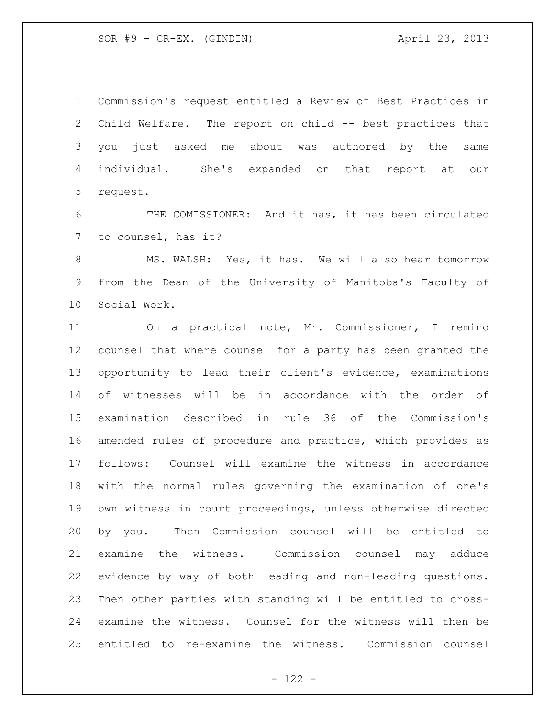Commission's request entitled a Review of Best Practices in Child Welfare. The report on child -- best practices that you just asked me about was authored by the same individual. She's expanded on that report at our request.

 THE COMISSIONER: And it has, it has been circulated to counsel, has it?

8 MS. WALSH: Yes, it has. We will also hear tomorrow from the Dean of the University of Manitoba's Faculty of Social Work.

 On a practical note, Mr. Commissioner, I remind counsel that where counsel for a party has been granted the opportunity to lead their client's evidence, examinations of witnesses will be in accordance with the order of examination described in rule 36 of the Commission's amended rules of procedure and practice, which provides as follows: Counsel will examine the witness in accordance with the normal rules governing the examination of one's own witness in court proceedings, unless otherwise directed by you. Then Commission counsel will be entitled to examine the witness. Commission counsel may adduce evidence by way of both leading and non-leading questions. Then other parties with standing will be entitled to cross- examine the witness. Counsel for the witness will then be entitled to re-examine the witness. Commission counsel

 $- 122 -$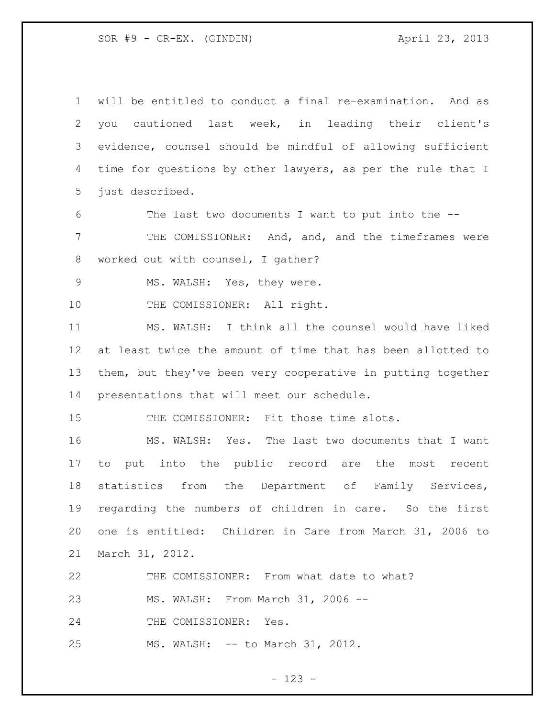will be entitled to conduct a final re-examination. And as you cautioned last week, in leading their client's evidence, counsel should be mindful of allowing sufficient time for questions by other lawyers, as per the rule that I just described.

The last two documents I want to put into the --

 THE COMISSIONER: And, and, and the timeframes were worked out with counsel, I gather?

MS. WALSH: Yes, they were.

10 THE COMISSIONER: All right.

 MS. WALSH: I think all the counsel would have liked at least twice the amount of time that has been allotted to them, but they've been very cooperative in putting together presentations that will meet our schedule.

THE COMISSIONER: Fit those time slots.

 MS. WALSH: Yes. The last two documents that I want to put into the public record are the most recent statistics from the Department of Family Services, regarding the numbers of children in care. So the first one is entitled: Children in Care from March 31, 2006 to March 31, 2012.

 THE COMISSIONER: From what date to what? MS. WALSH: From March 31, 2006 -- 24 THE COMISSIONER: Yes. MS. WALSH: -- to March 31, 2012.

- 123 -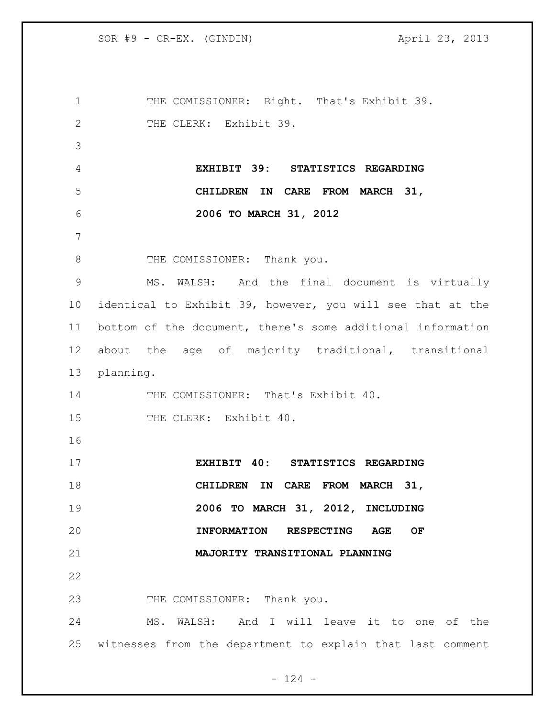1 THE COMISSIONER: Right. That's Exhibit 39. 2 THE CLERK: Exhibit 39. **EXHIBIT 39: STATISTICS REGARDING CHILDREN IN CARE FROM MARCH 31, 2006 TO MARCH 31, 2012** 8 THE COMISSIONER: Thank you. MS. WALSH: And the final document is virtually identical to Exhibit 39, however, you will see that at the bottom of the document, there's some additional information about the age of majority traditional, transitional planning. 14 THE COMISSIONER: That's Exhibit 40. 15 THE CLERK: Exhibit 40. **EXHIBIT 40: STATISTICS REGARDING CHILDREN IN CARE FROM MARCH 31, 2006 TO MARCH 31, 2012, INCLUDING INFORMATION RESPECTING AGE OF MAJORITY TRANSITIONAL PLANNING** 23 THE COMISSIONER: Thank you. MS. WALSH: And I will leave it to one of the witnesses from the department to explain that last comment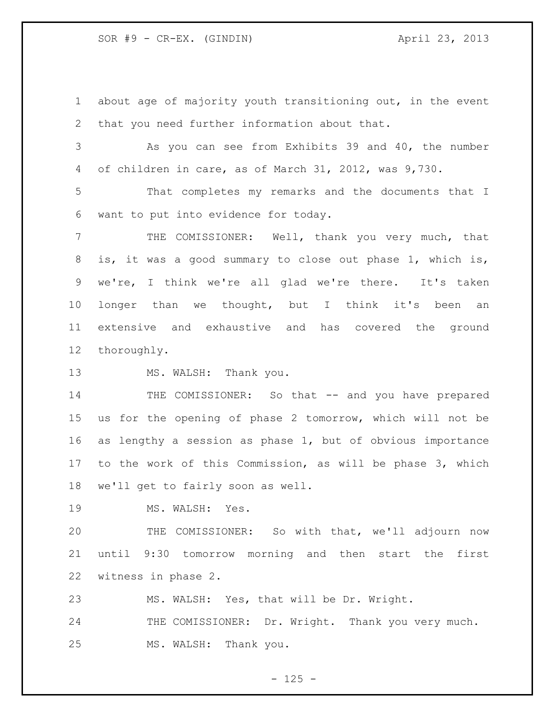about age of majority youth transitioning out, in the event that you need further information about that.

 As you can see from Exhibits 39 and 40, the number of children in care, as of March 31, 2012, was 9,730.

 That completes my remarks and the documents that I want to put into evidence for today.

 THE COMISSIONER: Well, thank you very much, that is, it was a good summary to close out phase 1, which is, we're, I think we're all glad we're there. It's taken longer than we thought, but I think it's been an extensive and exhaustive and has covered the ground thoroughly.

13 MS. WALSH: Thank you.

14 THE COMISSIONER: So that -- and you have prepared us for the opening of phase 2 tomorrow, which will not be as lengthy a session as phase 1, but of obvious importance to the work of this Commission, as will be phase 3, which we'll get to fairly soon as well.

19 MS. WALSH: Yes.

 THE COMISSIONER: So with that, we'll adjourn now until 9:30 tomorrow morning and then start the first witness in phase 2.

MS. WALSH: Yes, that will be Dr. Wright.

24 THE COMISSIONER: Dr. Wright. Thank you very much. MS. WALSH: Thank you.

 $- 125 -$